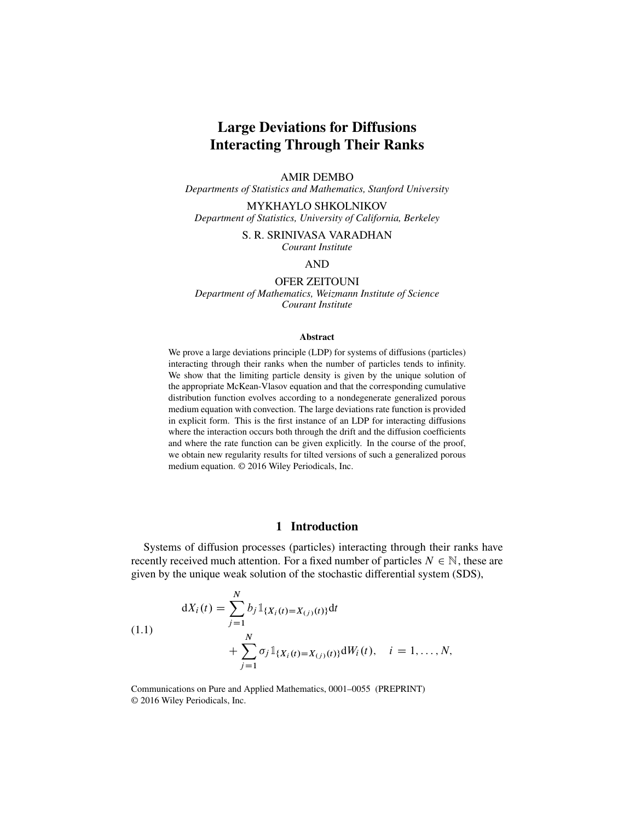# Large Deviations for Diffusions Interacting Through Their Ranks

### AMIR DEMBO

*Departments of Statistics and Mathematics, Stanford University*

MYKHAYLO SHKOLNIKOV *Department of Statistics, University of California, Berkeley*

S. R. SRINIVASA VARADHAN

*Courant Institute*

### AND

OFER ZEITOUNI *Department of Mathematics, Weizmann Institute of Science Courant Institute*

### Abstract

We prove a large deviations principle (LDP) for systems of diffusions (particles) interacting through their ranks when the number of particles tends to infinity. We show that the limiting particle density is given by the unique solution of the appropriate McKean-Vlasov equation and that the corresponding cumulative distribution function evolves according to a nondegenerate generalized porous medium equation with convection. The large deviations rate function is provided in explicit form. This is the first instance of an LDP for interacting diffusions where the interaction occurs both through the drift and the diffusion coefficients and where the rate function can be given explicitly. In the course of the proof, we obtain new regularity results for tilted versions of such a generalized porous medium equation. © 2016 Wiley Periodicals, Inc.

# 1 Introduction

Systems of diffusion processes (particles) interacting through their ranks have recently received much attention. For a fixed number of particles  $N \in \mathbb{N}$ , these are given by the unique weak solution of the stochastic differential system (SDS),

<span id="page-0-0"></span>(1.1)  
\n
$$
dX_i(t) = \sum_{j=1}^{N} b_j \mathbb{1}_{\{X_i(t) = X_{(j)}(t)\}} dt + \sum_{j=1}^{N} \sigma_j \mathbb{1}_{\{X_i(t) = X_{(j)}(t)\}} dW_i(t), \quad i = 1, ..., N,
$$

Communications on Pure and Applied Mathematics, 0001–0055 (PREPRINT) © 2016 Wiley Periodicals, Inc.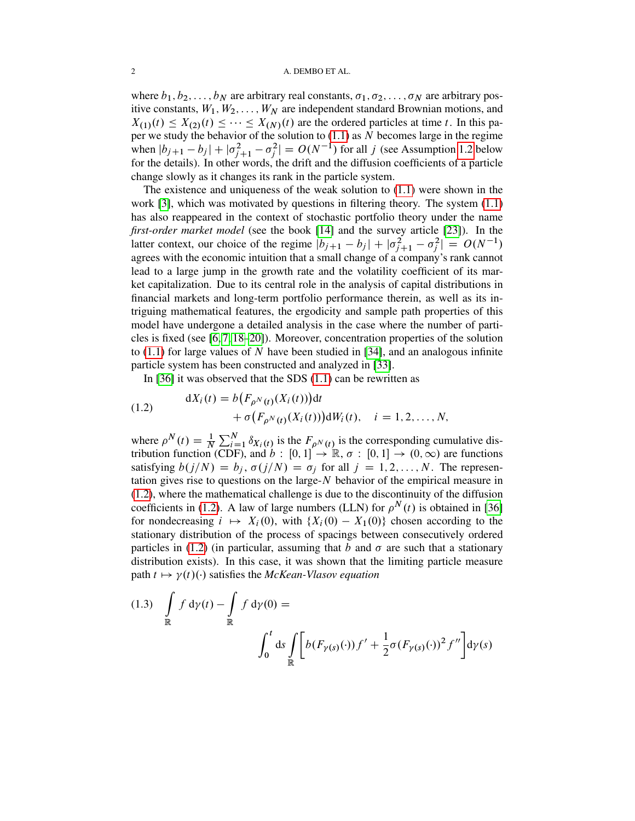### 2 A. DEMBO ET AL.

where  $b_1, b_2, \ldots, b_N$  are arbitrary real constants,  $\sigma_1, \sigma_2, \ldots, \sigma_N$  are arbitrary positive constants,  $W_1, W_2, \ldots, W_N$  are independent standard Brownian motions, and  $X_{(1)}(t) \leq X_{(2)}(t) \leq \cdots \leq X_{(N)}(t)$  are the ordered particles at time t. In this paper we study the behavior of the solution to  $(1.1)$  as N becomes large in the regime when  $|b_{j+1} - b_j| + |\sigma_{j+1}^2 - \sigma_j^2| = O(N^{-1})$  for all j (see Assumption [1.2](#page-2-0) below for the details). In other words, the drift and the diffusion coefficients of a particle change slowly as it changes its rank in the particle system.

The existence and uniqueness of the weak solution to [\(1.1\)](#page-0-0) were shown in the work [\[3\]](#page-52-0), which was motivated by questions in filtering theory. The system [\(1.1\)](#page-0-0) has also reappeared in the context of stochastic portfolio theory under the name *first-order market model* (see the book [\[14\]](#page-52-1) and the survey article [\[23\]](#page-53-0)). In the latter context, our choice of the regime  $|b_{j+1} - b_j| + |\sigma_{j+1}^2 - \sigma_j^2| = O(N^{-1})$ agrees with the economic intuition that a small change of a company's rank cannot lead to a large jump in the growth rate and the volatility coefficient of its market capitalization. Due to its central role in the analysis of capital distributions in financial markets and long-term portfolio performance therein, as well as its intriguing mathematical features, the ergodicity and sample path properties of this model have undergone a detailed analysis in the case where the number of particles is fixed (see [\[6,](#page-52-2) [7,](#page-52-3) [18–](#page-52-4)[20\]](#page-52-5)). Moreover, concentration properties of the solution to  $(1.1)$  for large values of N have been studied in [\[34\]](#page-53-1), and an analogous infinite particle system has been constructed and analyzed in [\[33\]](#page-53-2).

In [\[36\]](#page-53-3) it was observed that the SDS [\(1.1\)](#page-0-0) can be rewritten as

<span id="page-1-0"></span>(1.2) 
$$
dX_i(t) = b(F_{\rho^N(t)}(X_i(t)))dt + \sigma(F_{\rho^N(t)}(X_i(t)))dW_i(t), \quad i = 1, 2, ..., N,
$$

where  $\rho^{N}(t) = \frac{1}{N} \sum_{i=1}^{N} \delta_{X_i(t)}$  is the  $F_{\rho^{N}(t)}$  is the corresponding cumulative distribution function (CDF), and  $b : [0,1] \rightarrow \mathbb{R}, \sigma : [0,1] \rightarrow (0,\infty)$  are functions satisfying  $b(j/N) = b_j$ ,  $\sigma(j/N) = \sigma_j$  for all  $j = 1, 2, ..., N$ . The representation gives rise to questions on the large- $N$  behavior of the empirical measure in [\(1.2\)](#page-1-0), where the mathematical challenge is due to the discontinuity of the diffusion coefficients in [\(1.2\)](#page-1-0). A law of large numbers (LLN) for  $\rho^{N}(t)$  is obtained in [\[36\]](#page-53-3) for nondecreasing  $i \mapsto X_i(0)$ , with  $\{X_i(0) - X_1(0)\}\)$  chosen according to the stationary distribution of the process of spacings between consecutively ordered particles in [\(1.2\)](#page-1-0) (in particular, assuming that b and  $\sigma$  are such that a stationary distribution exists). In this case, it was shown that the limiting particle measure path  $t \mapsto \gamma(t)$ . satisfies the *McKean-Vlasov equation* 

$$
(1.3) \int_{\mathbb{R}} f d\gamma(t) - \int_{\mathbb{R}} f d\gamma(0) =
$$

$$
\int_{0}^{t} ds \int_{\mathbb{R}} \left[ b(F_{\gamma(s)}(\cdot)) f' + \frac{1}{2} \sigma(F_{\gamma(s)}(\cdot))^{2} f'' \right] d\gamma(s)
$$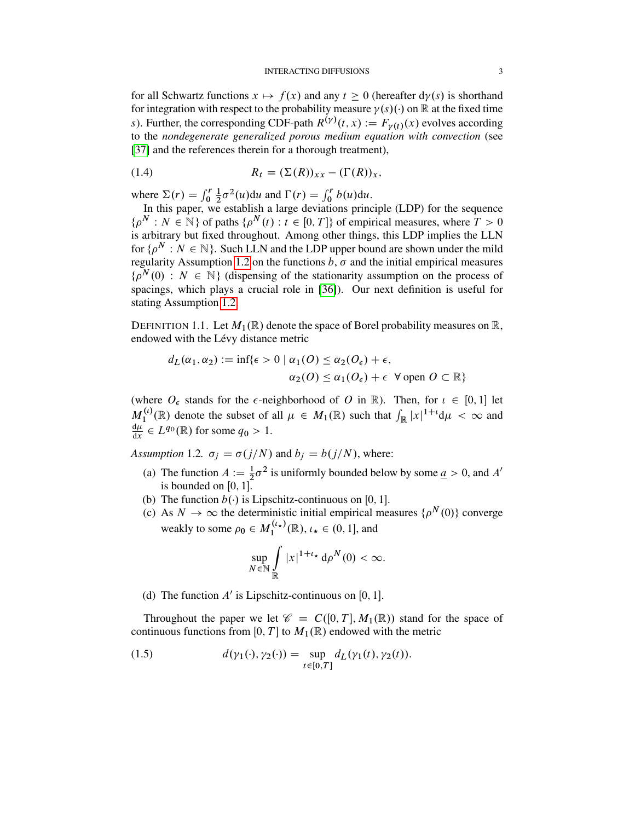for all Schwartz functions  $x \mapsto f(x)$  and any  $t \ge 0$  (hereafter  $d\gamma(s)$  is shorthand for integration with respect to the probability measure  $\gamma(s)(\cdot)$  on R at the fixed time s). Further, the corresponding CDF-path  $R^{(\gamma)}(t, x) := F_{\gamma(t)}(x)$  evolves according to the *nondegenerate generalized porous medium equation with convection* (see [\[37\]](#page-53-4) and the references therein for a thorough treatment),

(1.4) 
$$
R_t = (\Sigma(R))_{xx} - (\Gamma(R))_{x},
$$

where  $\Sigma(r) = \int_0^r$ 1  $\frac{1}{2}\sigma^2(u)du$  and  $\Gamma(r) = \int_0^r b(u)du$ .

In this paper, we establish a large deviations principle  $(LDP)$  for the sequence  $\{\rho^N : N \in \mathbb{N}\}\$  of paths  $\{\rho^N(t) : t \in [0, T]\}\$  of empirical measures, where  $T > 0$ is arbitrary but fixed throughout. Among other things, this LDP implies the LLN for  $\{ \rho^N : N \in \mathbb{N} \}$ . Such LLN and the LDP upper bound are shown under the mild regularity Assumption [1.2](#page-2-0) on the functions  $\overrightarrow{b}$ ,  $\overrightarrow{\sigma}$  and the initial empirical measures  $\{\rho^{N}(0): N \in \mathbb{N}\}\$  (dispensing of the stationarity assumption on the process of spacings, which plays a crucial role in [\[36\]](#page-53-3)). Our next definition is useful for stating Assumption [1.2.](#page-2-0)

DEFINITION 1.1. Let  $M_1(\mathbb{R})$  denote the space of Borel probability measures on  $\mathbb{R}$ , endowed with the Lévy distance metric

$$
d_L(\alpha_1, \alpha_2) := \inf \{ \epsilon > 0 \mid \alpha_1(O) \le \alpha_2(O_{\epsilon}) + \epsilon,
$$
  

$$
\alpha_2(O) \le \alpha_1(O_{\epsilon}) + \epsilon \quad \forall \text{ open } O \subset \mathbb{R} \}
$$

(where  $O_{\epsilon}$  stands for the  $\epsilon$ -neighborhood of O in R). Then, for  $\iota \in [0, 1]$  let  $M_1^{(t)}$  $I_1^{(t)}(\mathbb{R})$  denote the subset of all  $\mu \in M_1(\mathbb{R})$  such that  $\int_{\mathbb{R}} |x|^{1+t} d\mu < \infty$  and  $d\mu$  $\frac{d\mu}{dx} \in L^{q_0}(\mathbb{R})$  for some  $q_0 > 1$ .

<span id="page-2-0"></span>*Assumption* 1.2*.*  $\sigma_i = \sigma(j/N)$  and  $b_i = b(j/N)$ , where:

- (a) The function  $A := \frac{1}{2}\sigma^2$  is uniformly bounded below by some  $\underline{a} > 0$ , and  $A'$ is bounded on  $[0, 1]$ .
- (b) The function  $b(\cdot)$  is Lipschitz-continuous on [0, 1].
- (c) As  $N \to \infty$  the deterministic initial empirical measures  $\{\rho^N(0)\}$  converge weakly to some  $\rho_0 \in M_1^{(\ell_{\star})}$  $\mathcal{L}_1^{(\iota_\star)}(\mathbb{R}), \iota_\star \in (0,1],$  and

$$
\sup_{N \in \mathbb{N}} \int_{\mathbb{R}} |x|^{1+t_{\star}} d\rho^N(0) < \infty.
$$

(d) The function  $A'$  is Lipschitz-continuous on [0, 1].

Throughout the paper we let  $\mathscr{C} = C([0, T], M_1(\mathbb{R}))$  stand for the space of continuous functions from [0, T] to  $M_1(\mathbb{R})$  endowed with the metric

<span id="page-2-1"></span>(1.5) 
$$
d(\gamma_1(\cdot), \gamma_2(\cdot)) = \sup_{t \in [0, T]} d_L(\gamma_1(t), \gamma_2(t)).
$$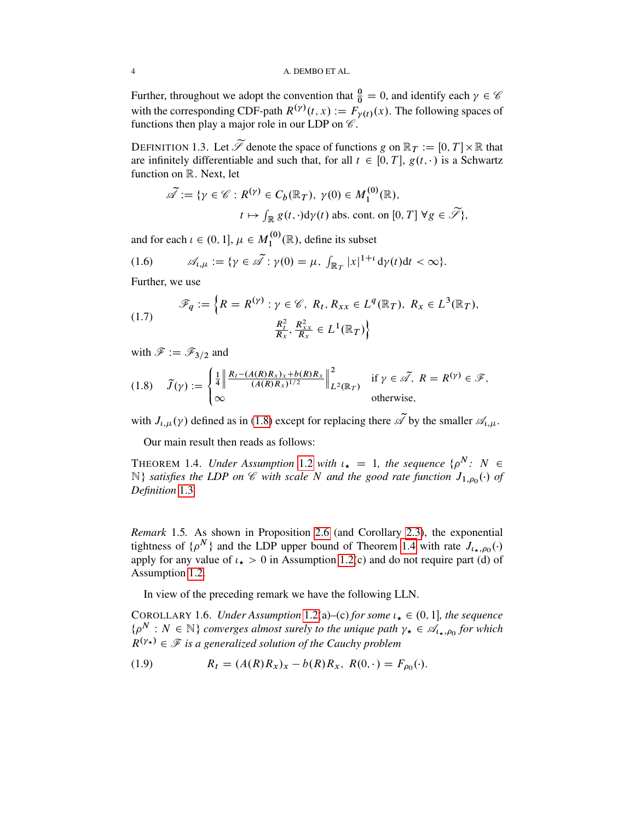Further, throughout we adopt the convention that  $\frac{0}{0} = 0$ , and identify each  $\gamma \in \mathscr{C}$ with the corresponding CDF-path  $R^{(\gamma)}(t, x) := \tilde{F}_{\gamma(t)}(x)$ . The following spaces of functions then play a major role in our LDP on  $\mathscr C$ .

<span id="page-3-1"></span>DEFINITION 1.3. Let  $\widetilde{\mathscr{S}}$  denote the space of functions g on  $\mathbb{R}_T := [0, T] \times \mathbb{R}$  that are infinitely differentiable and such that, for all  $t \in [0, T]$ ,  $g(t, \cdot)$  is a Schwartz function on R. Next, let

$$
\widetilde{\mathscr{A}} := \{ \gamma \in \mathscr{C} : R^{(\gamma)} \in C_b(\mathbb{R}_T), \ \gamma(0) \in M_1^{(0)}(\mathbb{R}), \n t \mapsto \int_{\mathbb{R}} g(t, \cdot) d\gamma(t) \text{ abs. cont. on } [0, T] \ \forall g \in \widetilde{\mathscr{S}} \},
$$

and for each  $\iota \in (0, 1]$ ,  $\mu \in M_1^{(0)}$  $1^{(0)}(\mathbb{R})$ , define its subset

<span id="page-3-6"></span>(1.6) 
$$
\mathscr{A}_{t,\mu} := \{ \gamma \in \tilde{\mathscr{A}} : \gamma(0) = \mu, \int_{\mathbb{R}_T} |x|^{1+t} \, \mathrm{d}\gamma(t) \mathrm{d}t < \infty \}.
$$

Further, we use

<span id="page-3-7"></span>(1.7) 
$$
\mathscr{F}_q := \left\{ R = R^{(\gamma)} : \gamma \in \mathscr{C}, R_t, R_{xx} \in L^q(\mathbb{R}_T), R_x \in L^3(\mathbb{R}_T), \right\}
$$

$$
\frac{R_t^2}{R_x}, \frac{R_{xx}^2}{R_x} \in L^1(\mathbb{R}_T) \right\}
$$

with  $\mathscr{F} := \mathscr{F}_{3/2}$  and

<span id="page-3-0"></span>
$$
(1.8) \quad \tilde{J}(\gamma) := \begin{cases} \frac{1}{4} \left\| \frac{R_t - (A(R)R_x)_x + b(R)R_x}{(A(R)R_x)^{1/2}} \right\|_{L^2(\mathbb{R}_T)}^2 & \text{if } \gamma \in \tilde{\mathscr{A}}, \ R = R^{(\gamma)} \in \mathscr{F}, \\ \infty & \text{otherwise}, \end{cases}
$$

with  $J_{\iota,\mu}(\gamma)$  defined as in [\(1.8\)](#page-3-0) except for replacing there  $\widetilde{\mathscr{A}}$  by the smaller  $\mathscr{A}_{\iota,\mu}$ .

Our main result then reads as follows:

<span id="page-3-2"></span>THEOREM 1.4. *Under Assumption* [1.2](#page-2-0) *with*  $\iota_{\star} = 1$ , *the sequence*  $\{ \rho^N : N \in \mathbb{R} \}$  $\mathbb{N}$ *} satisfies the LDP on*  $\mathscr C$  *with scale*  $N$  *and the good rate function*  $J_{1,\rho_0}(\cdot)$  *of Definition* [1.3](#page-3-1)*.*

<span id="page-3-3"></span>*Remark* 1.5*.* As shown in Proposition [2.6](#page-8-0) (and Corollary [2.3\)](#page-6-0), the exponential tightness of  $\{\rho^N\}$  and the LDP upper bound of Theorem [1.4](#page-3-2) with rate  $J_{\iota_{\star},\rho_0}(\cdot)$ apply for any value of  $t_{\star} > 0$  in Assumption [1.2\(](#page-2-0)c) and do not require part (d) of Assumption [1.2.](#page-2-0)

In view of the preceding remark we have the following LLN.

<span id="page-3-5"></span>COROLLARY 1.6. *Under Assumption* [1.2\(](#page-2-0)a)–(c) *for some*  $\iota_{\star} \in (0, 1]$ *, the sequence*  $\{\rho^N: N \in \mathbb{N}\}\$ converges almost surely to the unique path  $\gamma_\star \in \mathscr{A}_{\iota_\star, \rho_0}$  for which  $R^{(\gamma_{\star})} \in \mathcal{F}$  is a generalized solution of the Cauchy problem

<span id="page-3-4"></span>(1.9) 
$$
R_t = (A(R)R_x)_x - b(R)R_x, R(0, \cdot) = F_{\rho_0}(\cdot).
$$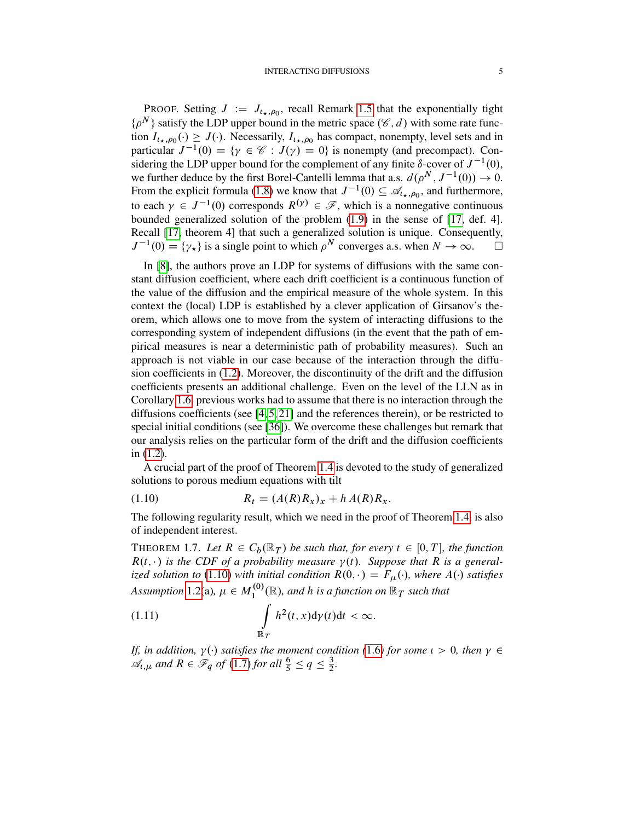PROOF. Setting  $J := J_{l_{\star},\rho_0}$ , recall Remark [1.5](#page-3-3) that the exponentially tight  $\{\rho^N\}$  satisfy the LDP upper bound in the metric space  $(\mathscr{C}, d)$  with some rate function  $I_{l_{\star},\rho_0}(\cdot) \geq J(\cdot)$ . Necessarily,  $I_{l_{\star},\rho_0}$  has compact, nonempty, level sets and in particular  $J^{-1}(0) = \{ \gamma \in \mathcal{C} : J(\gamma) = 0 \}$  is nonempty (and precompact). Considering the LDP upper bound for the complement of any finite  $\delta$ -cover of  $J^{-1}(0)$ , we further deduce by the first Borel-Cantelli lemma that a.s.  $d(\rho^N, J^{-1}(0)) \to 0$ . From the explicit formula [\(1.8\)](#page-3-0) we know that  $J^{-1}(0) \subseteq \mathcal{A}_{l_{\star},\rho_{0}}$ , and furthermore, to each  $\gamma \in J^{-1}(0)$  corresponds  $R^{(\gamma)} \in \mathscr{F}$ , which is a nonnegative continuous bounded generalized solution of the problem [\(1.9\)](#page-3-4) in the sense of [\[17,](#page-52-6) def. 4]. Recall [\[17,](#page-52-6) theorem 4] that such a generalized solution is unique. Consequently,  $J^{-1}(0) = {\gamma_{\star}}$  is a single point to which  $\rho^N$  converges a.s. when  $N \to \infty$ .

In [\[8\]](#page-52-7), the authors prove an LDP for systems of diffusions with the same constant diffusion coefficient, where each drift coefficient is a continuous function of the value of the diffusion and the empirical measure of the whole system. In this context the (local) LDP is established by a clever application of Girsanov's theorem, which allows one to move from the system of interacting diffusions to the corresponding system of independent diffusions (in the event that the path of empirical measures is near a deterministic path of probability measures). Such an approach is not viable in our case because of the interaction through the diffusion coefficients in [\(1.2\)](#page-1-0). Moreover, the discontinuity of the drift and the diffusion coefficients presents an additional challenge. Even on the level of the LLN as in Corollary [1.6,](#page-3-5) previous works had to assume that there is no interaction through the diffusions coefficients (see  $[4, 5, 21]$  $[4, 5, 21]$  $[4, 5, 21]$  and the references therein), or be restricted to special initial conditions (see [\[36\]](#page-53-3)). We overcome these challenges but remark that our analysis relies on the particular form of the drift and the diffusion coefficients in [\(1.2\)](#page-1-0).

A crucial part of the proof of Theorem [1.4](#page-3-2) is devoted to the study of generalized solutions to porous medium equations with tilt

<span id="page-4-0"></span>(1.10) 
$$
R_t = (A(R)R_x)_x + h A(R)R_x.
$$

The following regularity result, which we need in the proof of Theorem [1.4,](#page-3-2) is also of independent interest.

<span id="page-4-1"></span>THEOREM 1.7. Let  $R \in C_b(\mathbb{R}_T)$  be such that, for every  $t \in [0, T]$ , the function  $R(t, \cdot)$  is the CDF of a probability measure  $\gamma(t)$ . Suppose that R is a general*ized solution to* [\(1.10\)](#page-4-0) *with initial condition*  $R(0, \cdot) = F_\mu(\cdot)$ *, where*  $A(\cdot)$  *satisfies Assumption* [1.2\(](#page-2-0)a),  $\mu \in M_1^{(0)}$  $\mathbb{R}_1^{(0)}(\mathbb{R})$ , and h is a function on  $\mathbb{R}_T$  such that

<span id="page-4-2"></span>(1.11) 
$$
\int_{\mathbb{R}_T} h^2(t,x) \mathrm{d}\gamma(t) \mathrm{d}t < \infty.
$$

*If, in addition,*  $\gamma(\cdot)$  satisfies the moment condition ([1.6](#page-3-6)) for some  $\iota > 0$ , then  $\gamma \in$  $\mathscr{A}_{\iota,\mu}$  and  $R \in \mathscr{F}_q$  of [\(1.7\)](#page-3-7) for all  $\frac{6}{5} \leq q \leq \frac{3}{2}$  $\frac{3}{2}$ .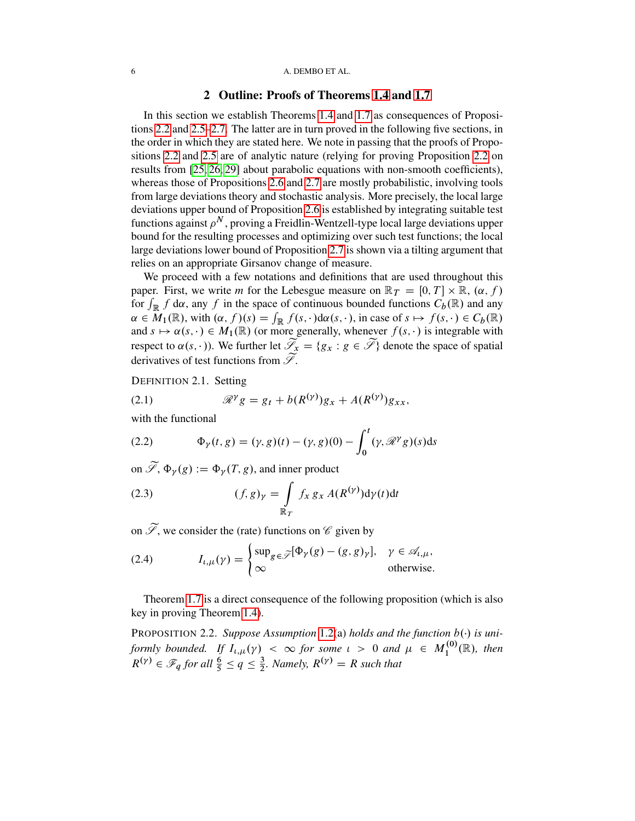### 6 A. DEMBO ET AL.

## 2 Outline: Proofs of Theorems [1.4](#page-3-2) and [1.7](#page-4-1)

In this section we establish Theorems [1.4](#page-3-2) and [1.7](#page-4-1) as consequences of Propositions [2.2](#page-5-0) and [2.5–](#page-7-0)[2.7.](#page-8-1) The latter are in turn proved in the following five sections, in the order in which they are stated here. We note in passing that the proofs of Propositions [2.2](#page-5-0) and [2.5](#page-7-0) are of analytic nature (relying for proving Proposition [2.2](#page-5-0) on results from [\[25,](#page-53-5) [26,](#page-53-6) [29\]](#page-53-7) about parabolic equations with non-smooth coefficients), whereas those of Propositions [2.6](#page-8-0) and [2.7](#page-8-1) are mostly probabilistic, involving tools from large deviations theory and stochastic analysis. More precisely, the local large deviations upper bound of Proposition [2.6](#page-8-0) is established by integrating suitable test functions against  $\rho^N$ , proving a Freidlin-Wentzell-type local large deviations upper bound for the resulting processes and optimizing over such test functions; the local large deviations lower bound of Proposition [2.7](#page-8-1) is shown via a tilting argument that relies on an appropriate Girsanov change of measure.

We proceed with a few notations and definitions that are used throughout this paper. First, we write *m* for the Lebesgue measure on  $\mathbb{R}_T = [0, T] \times \mathbb{R}$ ,  $(\alpha, f)$ for  $\int_{\mathbb{R}} f \, d\alpha$ , any f in the space of continuous bounded functions  $C_b(\mathbb{R})$  and any  $\alpha \in M_1(\mathbb{R})$ , with  $(\alpha, f)(s) = \int_{\mathbb{R}} f(s, \cdot) d\alpha(s, \cdot)$ , in case of  $s \mapsto f(s, \cdot) \in C_b(\mathbb{R})$ and  $s \mapsto \alpha(s, \cdot) \in M_1(\mathbb{R})$  (or more generally, whenever  $f(s, \cdot)$  is integrable with respect to  $\alpha(s, \cdot)$ ). We further let  $\widetilde{\mathscr{S}_x} = \{g_x : g \in \widetilde{\mathscr{S}}\}$  denote the space of spatial derivatives of test functions from  $\widetilde{\mathscr{S}}$ .

DEFINITION 2.1. Setting

<span id="page-5-3"></span>
$$
(2.1) \t\t \mathscr{R}^{\gamma} g = g_t + b(R^{(\gamma)})g_x + A(R^{(\gamma)})g_{xx},
$$

with the functional

<span id="page-5-1"></span>(2.2) 
$$
\Phi_{\gamma}(t,g) = (\gamma, g)(t) - (\gamma, g)(0) - \int_0^t (\gamma, \mathcal{R}^{\gamma} g)(s) ds
$$

on  $\widetilde{\mathscr{S}}, \Phi_{\nu}(g) := \Phi_{\nu}(T, g)$ , and inner product

<span id="page-5-2"></span>(2.3) 
$$
(f,g)_{\gamma} = \int\limits_{\mathbb{R}_T} f_x g_x A(R^{(\gamma)}) d\gamma(t) dt
$$

on  $\widetilde{\mathscr{S}}$ , we consider the (rate) functions on  $\mathscr{C}$  given by

<span id="page-5-4"></span>(2.4) 
$$
I_{t,\mu}(\gamma) = \begin{cases} \sup_{g \in \widetilde{\mathscr{S}}} [\Phi_{\gamma}(g) - (g,g)_{\gamma}], & \gamma \in \mathscr{A}_{t,\mu}, \\ \infty & \text{otherwise.} \end{cases}
$$

Theorem [1.7](#page-4-1) is a direct consequence of the following proposition (which is also key in proving Theorem [1.4\)](#page-3-2).

<span id="page-5-0"></span>PROPOSITION 2.2. Suppose Assumption [1.2\(](#page-2-0)a) holds and the function  $b(\cdot)$  is uni*formly bounded.* If  $I_{t,\mu}(\gamma) < \infty$  for some  $t > 0$  and  $\mu \in M_1^{(0)}$  $\mathcal{L}_1^{(0)}(\mathbb{R})$ , then  $R^{(\gamma)} \in \mathscr{F}_q$  for all  $\frac{6}{5} \leq q \leq \frac{3}{2}$  $\frac{3}{2}$ *. Namely,*  $R^{(\gamma)} = R$  *such that*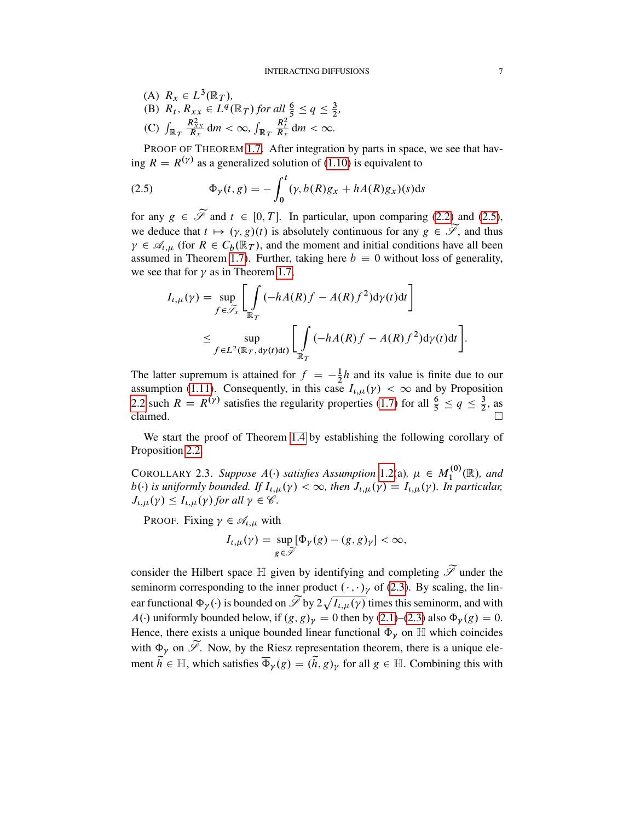(A)  $R_x \in L^3(\mathbb{R}_T)$ , (B)  $R_t$ ,  $R_{xx} \in L^q(\mathbb{R}_T)$  for all  $\frac{6}{5} \le q \le \frac{3}{2}$  $\frac{3}{2}$ , (C)  $\int_{\mathbb{R}_T}$  $\frac{R_{xx}^2}{R_x}$  dm <  $\infty$ ,  $\int_{\mathbb{R}_T}$  $\frac{R_t^2}{R_x}$  dm <  $\infty$ .

PROOF OF THEOREM [1.7.](#page-4-1) After integration by parts in space, we see that having  $R = R^{(\gamma)}$  as a generalized solution of [\(1.10\)](#page-4-0) is equivalent to

<span id="page-6-1"></span>(2.5) 
$$
\Phi_{\gamma}(t,g) = -\int_0^t (\gamma, b(R)g_x + hA(R)g_x)(s)ds
$$

for any  $g \in \widetilde{\mathscr{S}}$  and  $t \in [0, T]$ . In particular, upon comparing [\(2.2\)](#page-5-1) and [\(2.5\)](#page-6-1), we deduce that  $t \mapsto (\gamma, g)(t)$  is absolutely continuous for any  $g \in \widetilde{\mathscr{S}}$ , and thus  $\gamma \in \mathscr{A}_{\iota,\mu}$  (for  $R \in C_b(\mathbb{R}_T)$ , and the moment and initial conditions have all been assumed in Theorem [1.7\)](#page-4-1). Further, taking here  $b \equiv 0$  without loss of generality, we see that for  $\gamma$  as in Theorem [1.7,](#page-4-1)

$$
I_{t,\mu}(\gamma) = \sup_{f \in \widetilde{\mathscr{S}}_x} \left[ \int_{\mathbb{R}_T} (-hA(R)f - A(R)f^2) d\gamma(t) dt \right]
$$
  

$$
\leq \sup_{f \in L^2(\mathbb{R}_T, d\gamma(t)dt)} \left[ \int_{\mathbb{R}_T} (-hA(R)f - A(R)f^2) d\gamma(t) dt \right].
$$

The latter supremum is attained for  $f = -\frac{1}{2}$  $\frac{1}{2}h$  and its value is finite due to our assumption [\(1.11\)](#page-4-2). Consequently, in this case  $I_{t,\mu}(\gamma) < \infty$  and by Proposition [2.2](#page-5-0) such  $R = R^{(\gamma)}$  satisfies the regularity properties [\(1.7\)](#page-3-7) for all  $\frac{6}{5} \le q \le \frac{3}{2}$  $\frac{3}{2}$ , as claimed.  $\Box$ 

We start the proof of Theorem [1.4](#page-3-2) by establishing the following corollary of Proposition [2.2.](#page-5-0)

<span id="page-6-0"></span>COROLLARY 2.3. Suppose  $A(\cdot)$  satisfies Assumption [1.2\(](#page-2-0)a),  $\mu \in M_1^{(0)}$  $I_1^{(0)}(\mathbb{R})$ , and  $b(\cdot)$  is uniformly bounded. If  $I_{t,\mu}(\gamma) < \infty$ , then  $J_{t,\mu}(\gamma) = I_{t,\mu}(\gamma)$ . In particular,  $J_{\iota,\mu}(\gamma) \leq I_{\iota,\mu}(\gamma)$  for all  $\gamma \in \mathscr{C}$ .

PROOF. Fixing  $\gamma \in \mathcal{A}_{\iota,\mu}$  with

$$
I_{\iota,\mu}(\gamma) = \sup_{g \in \widetilde{\mathscr{I}}} [\Phi_{\gamma}(g) - (g,g)_{\gamma}] < \infty,
$$

consider the Hilbert space  $\mathbb H$  given by identifying and completing  $\widetilde{\mathscr S}$  under the seminorm corresponding to the inner product  $(\cdot, \cdot)_{\nu}$  of [\(2.3\)](#page-5-2). By scaling, the linear functional  $\Phi_y(\cdot)$  is bounded on  $\widetilde{\mathscr{S}}$  by  $2\sqrt{I_{t,\mu}(\gamma)}$  times this seminorm, and with  $A(\cdot)$  uniformly bounded below, if  $(g, g)_{\gamma} = 0$  then by [\(2.1\)](#page-5-3)–[\(2.3\)](#page-5-2) also  $\Phi_{\gamma}(g) = 0$ . Hence, there exists a unique bounded linear functional  $\overline{\Phi}_{\gamma}$  on H which coincides with  $\Phi_{\gamma}$  on  $\widetilde{\mathscr{S}}$ . Now, by the Riesz representation theorem, there is a unique element  $\tilde{h} \in \mathbb{H}$ , which satisfies  $\overline{\Phi}_{\gamma}(g) = (\tilde{h}, g)_{\gamma}$  for all  $g \in \mathbb{H}$ . Combining this with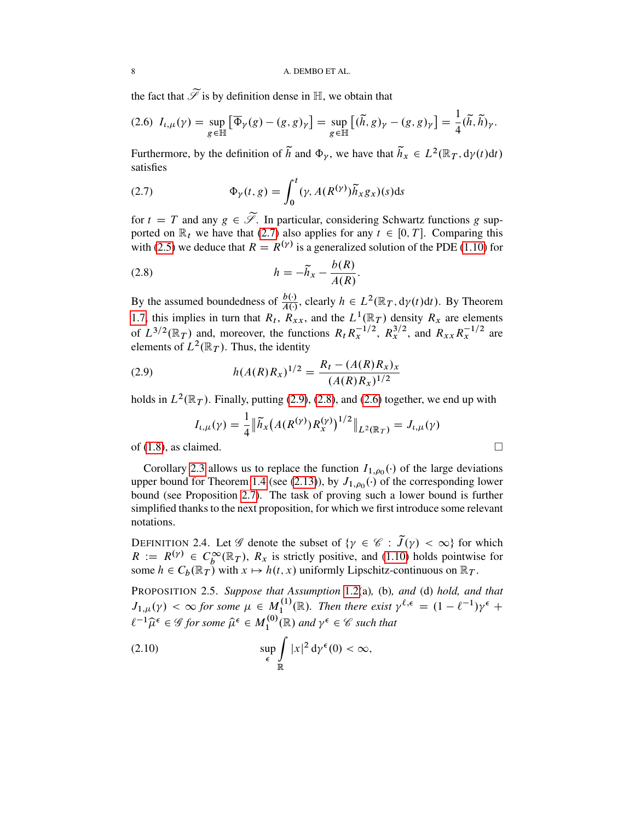the fact that  $\widetilde{\mathscr{S}}$  is by definition dense in  $\mathbb{H}$ , we obtain that

<span id="page-7-4"></span>
$$
(2.6)\ \ I_{\iota,\mu}(\gamma) = \sup_{g \in \mathbb{H}} \left[ \overline{\Phi}_{\gamma}(g) - (g,g)_{\gamma} \right] = \sup_{g \in \mathbb{H}} \left[ (\widetilde{h},g)_{\gamma} - (g,g)_{\gamma} \right] = \frac{1}{4} (\widetilde{h}, \widetilde{h})_{\gamma}.
$$

Furthermore, by the definition of  $\tilde{h}$  and  $\Phi_{\gamma}$ , we have that  $\tilde{h}_x \in L^2(\mathbb{R}_T, d\gamma(t)dt)$ satisfies

<span id="page-7-1"></span>(2.7) 
$$
\Phi_{\gamma}(t,g) = \int_0^t (\gamma, A(R^{(\gamma)}) \tilde{h}_x g_x)(s) ds
$$

for  $t = T$  and any  $g \in \widetilde{\mathscr{S}}$ . In particular, considering Schwartz functions g supported on  $\mathbb{R}_t$  we have that [\(2.7\)](#page-7-1) also applies for any  $t \in [0, T]$ . Comparing this with [\(2.5\)](#page-6-1) we deduce that  $R = R^{(\gamma)}$  is a generalized solution of the PDE [\(1.10\)](#page-4-0) for

<span id="page-7-3"></span>
$$
(2.8) \t\t\t h = -\widetilde{h}_x - \frac{b(R)}{A(R)}.
$$

By the assumed boundedness of  $\frac{b(\cdot)}{A(\cdot)}$ , clearly  $h \in L^2(\mathbb{R}_T, d\gamma(t)dt)$ . By Theorem [1.7,](#page-4-1) this implies in turn that  $R_t$ ,  $R_{xx}$ , and the  $L^1(\mathbb{R}_T)$  density  $R_x$  are elements of  $L^{3/2}(\mathbb{R}_T)$  and, moreover, the functions  $R_t R_x^{-1/2}$ ,  $R_x^{3/2}$ , and  $R_{xx} R_x^{-1/2}$  are elements of  $L^2(\mathbb{R}_T)$ . Thus, the identity

(2.9) 
$$
h(A(R)R_x)^{1/2} = \frac{R_t - (A(R)R_x)_x}{(A(R)R_x)^{1/2}}
$$

holds in  $L^2(\mathbb{R}_T)$ . Finally, putting [\(2.9\)](#page-7-2), [\(2.8\)](#page-7-3), and [\(2.6\)](#page-7-4) together, we end up with

<span id="page-7-2"></span>
$$
I_{t,\mu}(\gamma) = \frac{1}{4} \|\widetilde{h}_x(A(R^{(\gamma)})R^{(\gamma)}_x)^{1/2}\|_{L^2(\mathbb{R}_T)} = J_{t,\mu}(\gamma)
$$

of [\(1.8\)](#page-3-0), as claimed.

Corollary [2.3](#page-6-0) allows us to replace the function  $I_{1,\rho_0}(\cdot)$  of the large deviations upper bound for Theorem [1.4](#page-3-2) (see [\(2.13\)](#page-8-2)), by  $J_{1,\rho_0}(\cdot)$  of the corresponding lower bound (see Proposition [2.7\)](#page-8-1). The task of proving such a lower bound is further simplified thanks to the next proposition, for which we first introduce some relevant notations.

<span id="page-7-5"></span>DEFINITION 2.4. Let  $\mathscr G$  denote the subset of  $\{\gamma \in \mathscr C : \tilde{J}(\gamma) < \infty\}$  for which  $R := R^{(\gamma)} \in C_b^{\infty}(\mathbb{R}_T)$ ,  $R_x$  is strictly positive, and [\(1.10\)](#page-4-0) holds pointwise for some  $h \in C_b(\mathbb{R}_T)$  with  $x \mapsto h(t, x)$  uniformly Lipschitz-continuous on  $\mathbb{R}_T$ .

<span id="page-7-0"></span>PROPOSITION 2.5. *Suppose that Assumption* [1.2\(](#page-2-0)a)*,* (b)*, and* (d) *hold, and that*  $J_{1,\mu}(\gamma) < \infty$  for some  $\mu \in M_1^{(1)}$  $I_1^{(1)}(\mathbb{R})$ . Then there exist  $\gamma^{\ell, \epsilon} = (1 - \ell^{-1})\gamma^{\epsilon} +$  $\ell^{-1}\widehat{\mu}^{\epsilon} \in \mathscr{G}$  for some  $\widehat{\mu}^{\epsilon} \in M_1^{(0)}$  $\gamma_1^{(0)}(\mathbb{R})$  and  $\gamma^{\epsilon} \in \mathscr{C}$  such that

<span id="page-7-6"></span>(2.10) 
$$
\sup_{\epsilon} \int_{\mathbb{R}} |x|^2 d\gamma^{\epsilon}(0) < \infty,
$$

$$
\qquad \qquad \Box
$$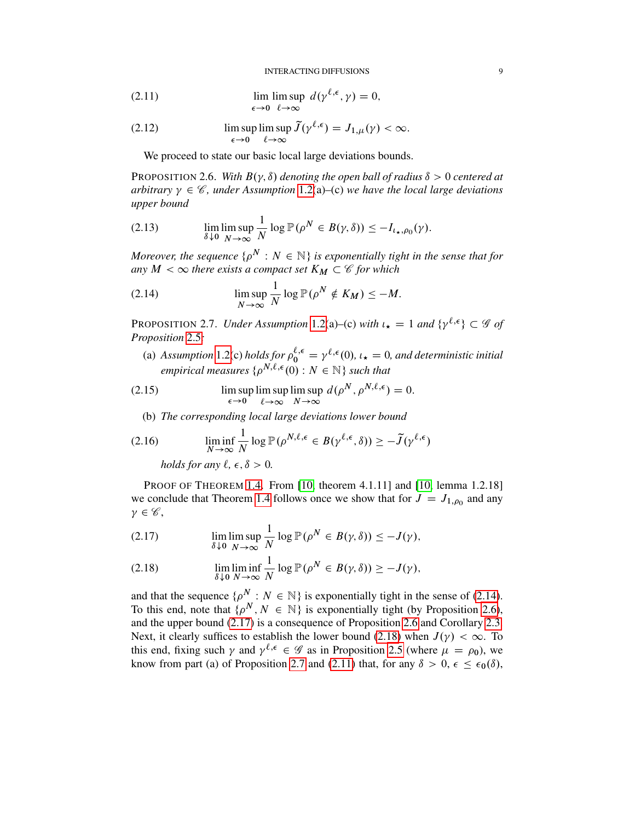INTERACTING DIFFUSIONS 9

<span id="page-8-6"></span>(2.11) 
$$
\lim_{\epsilon \to 0} \limsup_{\ell \to \infty} d(\gamma^{\ell,\epsilon}, \gamma) = 0,
$$

<span id="page-8-7"></span>(2.12) 
$$
\limsup_{\epsilon \to 0} \limsup_{\ell \to \infty} \widetilde{J}(\gamma^{\ell,\epsilon}) = J_{1,\mu}(\gamma) < \infty.
$$

We proceed to state our basic local large deviations bounds.

<span id="page-8-0"></span>PROPOSITION 2.6. With  $B(\gamma, \delta)$  denoting the open ball of radius  $\delta > 0$  centered at arbitrary  $\gamma \in \mathcal{C}$ , under Assumption [1.2\(](#page-2-0)a)–(c) we have the local large deviations *upper bound*

<span id="page-8-2"></span>(2.13) 
$$
\lim_{\delta \downarrow 0} \lim_{N \to \infty} \frac{1}{N} \log \mathbb{P}(\rho^N \in B(\gamma, \delta)) \leq -I_{\iota_{\star}, \rho_0}(\gamma).
$$

Moreover, the sequence  $\{ \rho^N : N \in \mathbb{N} \}$  is exponentially tight in the sense that for *any*  $M < \infty$  *there exists a compact set*  $K_M \subset \mathscr{C}$  *for which* 

<span id="page-8-3"></span>(2.14) 
$$
\limsup_{N \to \infty} \frac{1}{N} \log \mathbb{P}(\rho^N \notin K_M) \leq -M.
$$

<span id="page-8-1"></span>PROPOSITION 2.7. *Under Assumption* [1.2\(](#page-2-0)a)–(c) *with*  $\iota_{\star} = 1$  *and*  $\{\gamma^{\ell, \epsilon}\} \subset \mathscr{G}$  *of Proposition* [2.5](#page-7-0)*:*

(a) Assumption [1.2\(](#page-2-0)c) holds for  $\rho_0^{\ell, \epsilon} = \gamma^{\ell, \epsilon}(0)$ ,  $\iota_{\star} = 0$ , and deterministic initial empirical measures  $\{ \rho^{N,\ell,\epsilon}(0) : N \in \mathbb{N} \}$  such that

(2.15) 
$$
\limsup_{\epsilon \to 0} \limsup_{\ell \to \infty} \limsup_{N \to \infty} d(\rho^N, \rho^{N,\ell,\epsilon}) = 0.
$$

<span id="page-8-8"></span>(b) *The corresponding local large deviations lower bound*

(2.16) 
$$
\liminf_{N \to \infty} \frac{1}{N} \log \mathbb{P}(\rho^{N,\ell,\epsilon} \in B(\gamma^{\ell,\epsilon}, \delta)) \geq -\tilde{J}(\gamma^{\ell,\epsilon})
$$

<span id="page-8-9"></span>*holds for any*  $\ell, \epsilon, \delta > 0$ .

PROOF OF THEOREM [1.4.](#page-3-2) From [\[10,](#page-52-11) theorem 4.1.11] and [\[10,](#page-52-11) lemma 1.2.18] we conclude that Theorem [1.4](#page-3-2) follows once we show that for  $J = J_{1, \rho_0}$  and any  $\gamma \in \mathscr{C},$ 

<span id="page-8-4"></span>(2.17) 
$$
\lim_{\delta \downarrow 0} \limsup_{N \to \infty} \frac{1}{N} \log \mathbb{P}(\rho^N \in B(\gamma, \delta)) \leq -J(\gamma),
$$

<span id="page-8-5"></span>(2.18) 
$$
\lim_{\delta \downarrow 0} \liminf_{N \to \infty} \frac{1}{N} \log \mathbb{P}(\rho^N \in B(\gamma, \delta)) \geq -J(\gamma),
$$

and that the sequence  $\{p^N : N \in \mathbb{N}\}\$ is exponentially tight in the sense of [\(2.14\)](#page-8-3). To this end, note that  $\{\rho^N, N \in \mathbb{N}\}\$ is exponentially tight (by Proposition [2.6\)](#page-8-0), and the upper bound [\(2.17\)](#page-8-4) is a consequence of Proposition [2.6](#page-8-0) and Corollary [2.3.](#page-6-0) Next, it clearly suffices to establish the lower bound [\(2.18\)](#page-8-5) when  $J(\gamma) < \infty$ . To this end, fixing such  $\gamma$  and  $\gamma^{\ell, \epsilon} \in \mathscr{G}$  as in Proposition [2.5](#page-7-0) (where  $\mu = \rho_0$ ), we know from part (a) of Proposition [2.7](#page-8-1) and [\(2.11\)](#page-8-6) that, for any  $\delta > 0, \epsilon \leq \epsilon_0(\delta)$ ,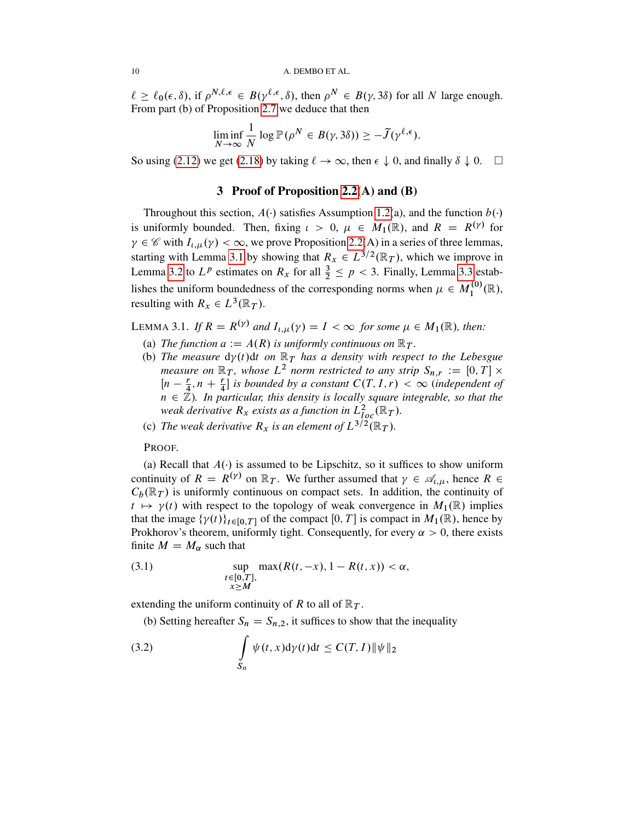$\ell \geq \ell_0(\epsilon, \delta)$ , if  $\rho^{N,\ell,\epsilon} \in B(\gamma^{\ell,\epsilon}, \delta)$ , then  $\rho^N \in B(\gamma, 3\delta)$  for all N large enough. From part (b) of Proposition [2.7](#page-8-1) we deduce that then

$$
\liminf_{N \to \infty} \frac{1}{N} \log \mathbb{P}(\rho^N \in B(\gamma, 3\delta)) \geq -\tilde{J}(\gamma^{\ell, \epsilon}).
$$

So using [\(2.12\)](#page-8-7) we get [\(2.18\)](#page-8-5) by taking  $\ell \to \infty$ , then  $\epsilon \downarrow 0$ , and finally  $\delta \downarrow 0$ .  $\Box$ 

# 3 Proof of Proposition [2.2\(](#page-5-0)A) and (B)

Throughout this section,  $A(\cdot)$  satisfies Assumption [1.2\(](#page-2-0)a), and the function  $b(\cdot)$ is uniformly bounded. Then, fixing  $\iota > 0$ ,  $\mu \in M_1(\mathbb{R})$ , and  $R = R^{(\gamma)}$  for  $\gamma \in \mathscr{C}$  with  $I_{\iota,\mu}(\gamma) < \infty$ , we prove Proposition [2.2\(](#page-5-0)A) in a series of three lemmas, starting with Lemma [3.1](#page-9-0) by showing that  $R_x \in L^{3/2}(\mathbb{R}_T)$ , which we improve in Lemma [3.2](#page-12-0) to  $L^p$  estimates on  $R_x$  for all  $\frac{3}{2} \leq p < 3$ . Finally, Lemma [3.3](#page-13-0) establishes the uniform boundedness of the corresponding norms when  $\mu \in M_1^{(0)}$  $I_1^{(0)}(\mathbb{R}),$ resulting with  $R_x \in L^3(\mathbb{R}_T)$ .

<span id="page-9-0"></span>LEMMA 3.1. If  $R = R^{(\gamma)}$  and  $I_{i,\mu}(\gamma) = I < \infty$  for some  $\mu \in M_1(\mathbb{R})$ , then:

- (a) *The function*  $a := A(R)$  *is uniformly continuous on*  $\mathbb{R}_T$ *.*
- (b) The measure  $d\gamma(t)dt$  on  $\mathbb{R}_T$  has a density with respect to the Lebesgue *measure on*  $\mathbb{R}_T$ , whose  $L^2$  *norm restricted to any strip*  $S_{n,r} := [0, T] \times$  $\left[ n - \frac{r}{4} \right]$  $\frac{r}{4}$ ,  $n + \frac{r}{4}$  is bounded by a constant  $C(T, I, r) < \infty$  (independent of  $n \in \mathbb{Z}$ ). In particular, this density is locally square integrable, so that the weak derivative  $R_x$  exists as a function in  $L^2_{loc}(\R_T)$ .
- (c) The weak derivative  $R_x$  is an element of  $L^{3/2}(\mathbb{R}_T)$ .

PROOF.

(a) Recall that  $A(\cdot)$  is assumed to be Lipschitz, so it suffices to show uniform continuity of  $R = R^{(\gamma)}$  on  $\mathbb{R}_T$ . We further assumed that  $\gamma \in \mathcal{A}_{\iota,\mu}$ , hence  $R \in$  $C_b(\mathbb{R}_T)$  is uniformly continuous on compact sets. In addition, the continuity of  $t \mapsto \gamma(t)$  with respect to the topology of weak convergence in  $M_1(\mathbb{R})$  implies that the image  $\{\gamma(t)\}_{t \in [0,T]}$  of the compact  $[0,T]$  is compact in  $M_1(\mathbb{R})$ , hence by Prokhorov's theorem, uniformly tight. Consequently, for every  $\alpha > 0$ , there exists finite  $M = M_{\alpha}$  such that

<span id="page-9-2"></span>(3.1) 
$$
\sup_{\substack{t\in[0,T],\\x\geq M}} \max(R(t,-x),1-R(t,x)) < \alpha,
$$

extending the uniform continuity of R to all of  $\mathbb{R}_T$ .

<span id="page-9-1"></span>(b) Setting hereafter  $S_n = S_{n,2}$ , it suffices to show that the inequality

(3.2) 
$$
\int_{S_n} \psi(t, x) d\gamma(t) dt \leq C(T, I) \|\psi\|_2
$$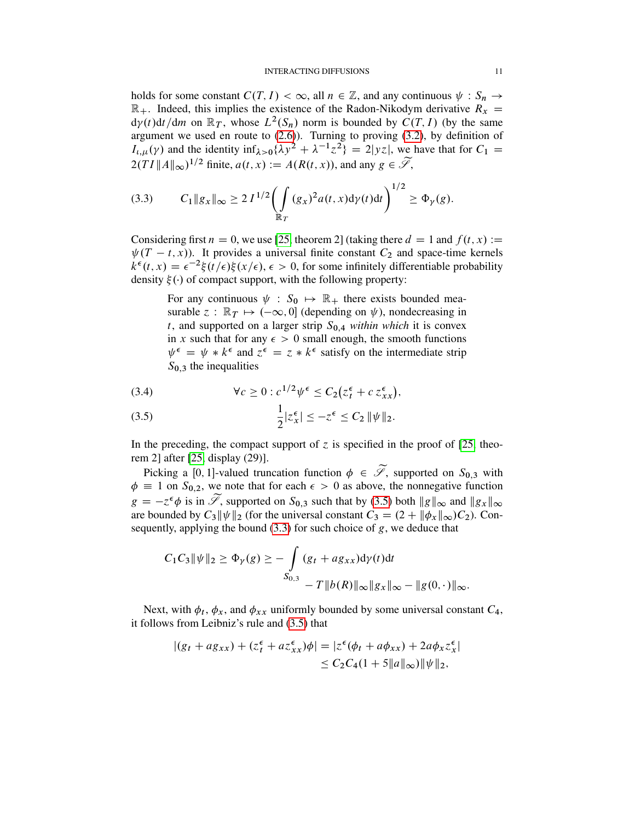#### INTERACTING DIFFUSIONS 11

holds for some constant  $C(T, I) < \infty$ , all  $n \in \mathbb{Z}$ , and any continuous  $\psi : S_n \to$  $\mathbb{R}_+$ . Indeed, this implies the existence of the Radon-Nikodym derivative  $R_x$  =  $d\gamma(t)dt/dm$  on  $\mathbb{R}_T$ , whose  $L^2(S_n)$  norm is bounded by  $C(T, I)$  (by the same argument we used en route to  $(2.6)$ ). Turning to proving  $(3.2)$ , by definition of  $I_{\ell,\mu}(\gamma)$  and the identity  $\inf_{\lambda>0} {\lambda y^2 + \lambda^{-1} z^2} = 2|yz|$ , we have that for  $C_1 =$  $2(TI || A ||_{\infty})^{1/2}$  finite,  $a(t, x) := A(R(t, x))$ , and any  $g \in \widetilde{\mathscr{S}},$ 

<span id="page-10-1"></span>
$$
(3.3) \tC_1 \|g_x\|_{\infty} \ge 2 I^{1/2} \biggl( \int_{\mathbb{R}_T} (g_x)^2 a(t,x) d\gamma(t) dt \biggr)^{1/2} \ge \Phi_{\gamma}(g).
$$

Considering first  $n = 0$ , we use [\[25,](#page-53-5) theorem 2] (taking there  $d = 1$  and  $f(t, x) :=$  $\psi(T - t, x)$ . It provides a universal finite constant  $C_2$  and space-time kernels  $k^{\epsilon}(t, x) = \epsilon^{-2} \xi(t/\epsilon) \xi(x/\epsilon)$ ,  $\epsilon > 0$ , for some infinitely differentiable probability density  $\xi(\cdot)$  of compact support, with the following property:

For any continuous  $\psi : S_0 \mapsto \mathbb{R}_+$  there exists bounded measurable  $z : \mathbb{R}_T \mapsto (-\infty, 0]$  (depending on  $\psi$ ), nondecreasing in t, and supported on a larger strip  $S_{0,4}$  *within which* it is convex in x such that for any  $\epsilon > 0$  small enough, the smooth functions  $\psi^{\epsilon} = \psi * k^{\epsilon}$  and  $z^{\epsilon} = z * k^{\epsilon}$  satisfy on the intermediate strip  $S_{0,3}$  the inequalities

<span id="page-10-2"></span>(3.4) 
$$
\forall c \geq 0 : c^{1/2} \psi^{\epsilon} \leq C_2 (z_t^{\epsilon} + c z_{xx}^{\epsilon}),
$$

<span id="page-10-0"></span>(3.5) 
$$
\frac{1}{2}|z_x^{\epsilon}| \leq -z^{\epsilon} \leq C_2 \|\psi\|_2.
$$

In the preceding, the compact support of  $\zeta$  is specified in the proof of [\[25,](#page-53-5) theorem 2] after [\[25,](#page-53-5) display (29)].

Picking a [0, 1]-valued truncation function  $\phi \in \widetilde{\mathscr{S}}$ , supported on  $S_{0,3}$  with  $\phi \equiv 1$  on  $S_{0,2}$ , we note that for each  $\epsilon > 0$  as above, the nonnegative function  $g = -z^{\epsilon}\phi$  is in  $\widetilde{\mathscr{S}}$ , supported on  $S_{0,3}$  such that by [\(3.5\)](#page-10-0) both  $||g||_{\infty}$  and  $||g_x||_{\infty}$ are bounded by  $C_3 \|\psi\|_2$  (for the universal constant  $C_3 = (2 + \|\phi_x\|_{\infty})C_2$ ). Consequently, applying the bound  $(3.3)$  for such choice of g, we deduce that

$$
C_1 C_3 \|\psi\|_2 \ge \Phi_{\gamma}(g) \ge -\int_{S_{0,3}} (g_t + ag_{xx}) d\gamma(t) dt
$$
  

$$
-T \|b(R)\|_{\infty} \|g_x\|_{\infty} - \|g(0, \cdot)\|_{\infty}.
$$

Next, with  $\phi_t$ ,  $\phi_x$ , and  $\phi_{xx}$  uniformly bounded by some universal constant  $C_4$ , it follows from Leibniz's rule and [\(3.5\)](#page-10-0) that

$$
|(g_t + ag_{xx}) + (z_t^{\epsilon} + az_{xx}^{\epsilon})\phi| = |z^{\epsilon}(\phi_t + a\phi_{xx}) + 2a\phi_x z_x^{\epsilon}|
$$
  
\n
$$
\leq C_2 C_4 (1 + 5||a||_{\infty}) ||\psi||_2,
$$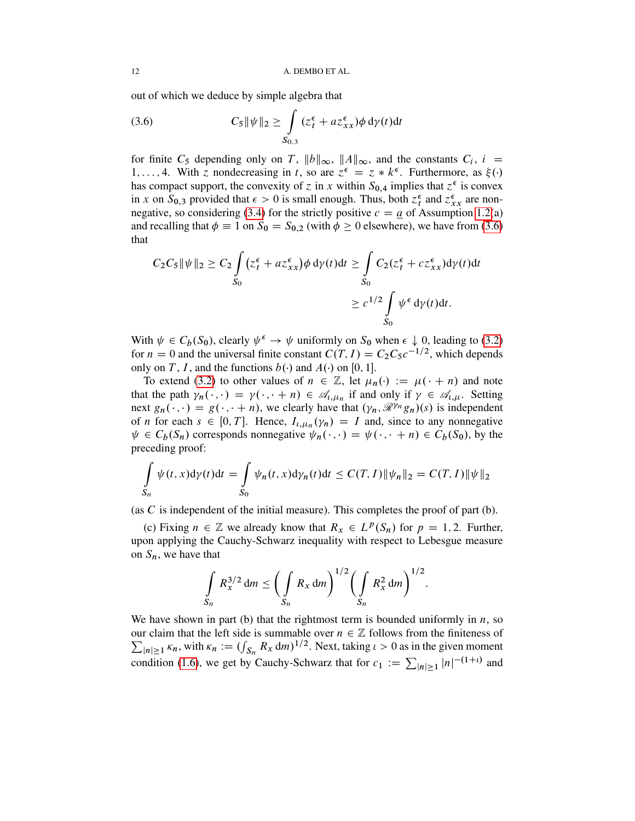out of which we deduce by simple algebra that

<span id="page-11-0"></span>(3.6) 
$$
C_5 \|\psi\|_2 \ge \int\limits_{S_{0,3}} (z_t^{\epsilon} + az_{xx}^{\epsilon}) \phi \, d\gamma(t) dt
$$

for finite C<sub>5</sub> depending only on T,  $||b||_{\infty}$ ,  $||A||_{\infty}$ , and the constants C<sub>i</sub>, i = 1,..., 4. With z nondecreasing in t, so are  $z^{\epsilon} = z * k^{\epsilon}$ . Furthermore, as  $\xi(\cdot)$ has compact support, the convexity of z in x within  $S_{0,4}$  implies that  $z^{\epsilon}$  is convex in x on  $S_{0,3}$  provided that  $\epsilon > 0$  is small enough. Thus, both  $z_t^{\epsilon}$  and  $z_{xx}^{\epsilon}$  are non-negative, so considering [\(3.4\)](#page-10-2) for the strictly positive  $c = a$  of Assumption [1.2\(](#page-2-0)a) and recalling that  $\phi \equiv 1$  on  $S_0 = S_{0,2}$  (with  $\phi \ge 0$  elsewhere), we have from [\(3.6\)](#page-11-0) that

$$
C_2 C_5 \|\psi\|_2 \ge C_2 \int_{S_0} (z_t^{\epsilon} + az_{xx}^{\epsilon}) \phi \, d\gamma(t) dt \ge \int_{S_0} C_2 (z_t^{\epsilon} + cz_{xx}^{\epsilon}) d\gamma(t) dt
$$

$$
\ge c^{1/2} \int_{S_0} \psi^{\epsilon} \, d\gamma(t) dt.
$$

With  $\psi \in C_b(S_0)$ , clearly  $\psi^{\epsilon} \to \psi$  uniformly on  $S_0$  when  $\epsilon \downarrow 0$ , leading to [\(3.2\)](#page-9-1) for  $n = 0$  and the universal finite constant  $C(T, I) = C_2 C_5 c^{-1/2}$ , which depends only on T, I, and the functions  $b(\cdot)$  and  $A(\cdot)$  on [0, 1].

To extend [\(3.2\)](#page-9-1) to other values of  $n \in \mathbb{Z}$ , let  $\mu_n(\cdot) := \mu(\cdot + n)$  and note that the path  $\gamma_n(\cdot, \cdot) = \gamma(\cdot, \cdot + n) \in \mathcal{A}_{\iota, \mu_n}$  if and only if  $\gamma \in \mathcal{A}_{\iota, \mu}$ . Setting next  $g_n(\cdot, \cdot) = g(\cdot, \cdot + n)$ , we clearly have that  $(\gamma_n, \mathcal{R}^{\gamma_n}, g_n)(s)$  is independent of *n* for each  $s \in [0, T]$ . Hence,  $I_{\iota, \mu_n}(\gamma_n) = I$  and, since to any nonnegative  $\psi \in C_b(S_n)$  corresponds nonnegative  $\psi_n(\cdot, \cdot) = \psi(\cdot, \cdot + n) \in C_b(S_0)$ , by the preceding proof:

$$
\int_{S_n} \psi(t, x) d\gamma(t) dt = \int_{S_0} \psi_n(t, x) d\gamma_n(t) dt \leq C(T, I) \|\psi_n\|_2 = C(T, I) \|\psi\|_2
$$

(as  $C$  is independent of the initial measure). This completes the proof of part (b).

(c) Fixing  $n \in \mathbb{Z}$  we already know that  $R_x \in L^p(S_n)$  for  $p = 1, 2$ . Further, upon applying the Cauchy-Schwarz inequality with respect to Lebesgue measure on  $S_n$ , we have that

$$
\int_{S_n} R_x^{3/2} \, dm \le \biggl( \int_{S_n} R_x \, dm \biggr)^{1/2} \biggl( \int_{S_n} R_x^2 \, dm \biggr)^{1/2}.
$$

We have shown in part (b) that the rightmost term is bounded uniformly in  $n$ , so our claim that the left side is summable over  $n \in \mathbb{Z}$  follows from the finiteness of  $\sum_{|n| \geq 1} \kappa_n$ , with  $\kappa_n := (\int_{S_n} R_x \, dm)^{1/2}$ . Next, taking  $\iota > 0$  as in the given moment condition [\(1.6\)](#page-3-6), we get by Cauchy-Schwarz that for  $c_1 := \sum_{|n| \ge 1} |n|^{-(1+t)}$  and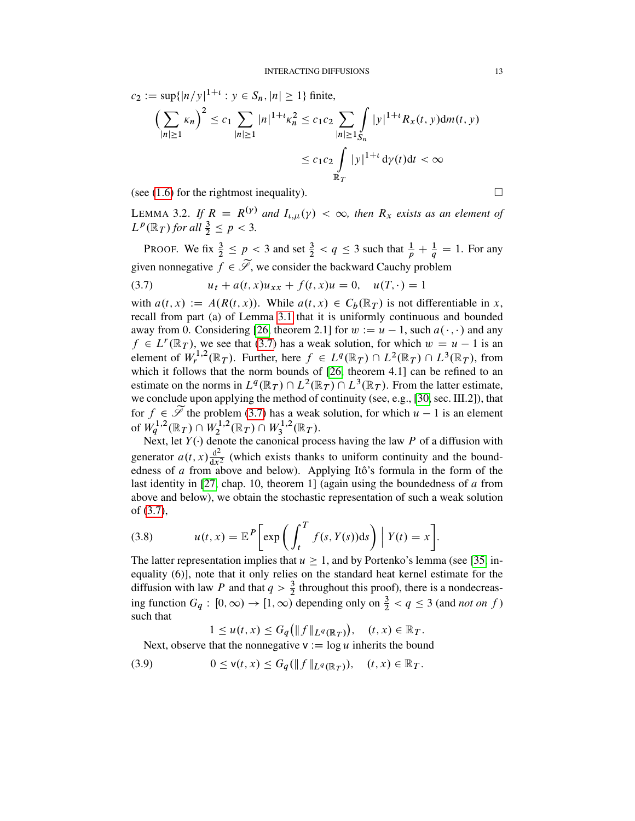$c_2 := \sup\{|n/y|^{1+t} : y \in S_n, |n| \ge 1\}$  finite,

$$
\left(\sum_{|n|\geq 1} \kappa_n\right)^2 \leq c_1 \sum_{|n|\geq 1} |n|^{1+t} \kappa_n^2 \leq c_1 c_2 \sum_{|n|\geq 1} \int_{S_n} |y|^{1+t} R_x(t, y) dm(t, y)
$$

$$
\leq c_1 c_2 \int_{\mathbb{R}_T} |y|^{1+t} \, \mathrm{d}y(t) \mathrm{d}t < \infty
$$

(see [\(1.6\)](#page-3-6) for the rightmost inequality).

<span id="page-12-0"></span>LEMMA 3.2. If  $R = R^{(\gamma)}$  and  $I_{\iota,\mu}(\gamma) < \infty$ , then  $R_x$  exists as an element of  $L^p(\mathbb{R}_T)$  for all  $\frac{3}{2} \leq p < 3$ .

PROOF. We fix  $\frac{3}{2} \le p < 3$  and set  $\frac{3}{2} < q \le 3$  such that  $\frac{1}{p} + \frac{1}{q} = 1$ . For any given nonnegative  $f \in \widetilde{\mathscr{S}}$ , we consider the backward Cauchy problem

<span id="page-12-1"></span>(3.7) 
$$
u_t + a(t, x)u_{xx} + f(t, x)u = 0, \quad u(T, \cdot) = 1
$$

with  $a(t, x) := A(R(t, x))$ . While  $a(t, x) \in C_b(\mathbb{R}_T)$  is not differentiable in x, recall from part (a) of Lemma [3.1](#page-9-0) that it is uniformly continuous and bounded away from 0. Considering [\[26,](#page-53-6) theorem 2.1] for  $w := u - 1$ , such  $a(\cdot, \cdot)$  and any  $f \in L^r(\mathbb{R}_T)$ , we see that [\(3.7\)](#page-12-1) has a weak solution, for which  $w = u - 1$  is an element of  $W_r^{1,2}(\mathbb{R}_T)$ . Further, here  $f \in L^q(\mathbb{R}_T) \cap L^2(\mathbb{R}_T) \cap L^3(\mathbb{R}_T)$ , from which it follows that the norm bounds of [\[26,](#page-53-6) theorem 4.1] can be refined to an estimate on the norms in  $L^q(\mathbb{R}_T) \cap L^2(\mathbb{R}_T) \cap L^3(\mathbb{R}_T)$ . From the latter estimate, we conclude upon applying the method of continuity (see, e.g., [\[30,](#page-53-8) sec. III.2]), that for  $f \in \widetilde{\mathcal{I}}$  the problem [\(3.7\)](#page-12-1) has a weak solution, for which  $u - 1$  is an element of  $W_q^{1,2}(\mathbb{R}_T) \cap W_2^{1,2}$  $\chi_2^{1,2}(\mathbb{R}_T) \cap W_3^{1,2}$  $J_3^{1,2}(\mathbb{R}_T).$ 

Next, let  $Y(\cdot)$  denote the canonical process having the law P of a diffusion with generator  $a(t, x) \frac{d^2}{dx^2}$  $\frac{d^2}{dx^2}$  (which exists thanks to uniform continuity and the boundedness of a from above and below). Applying Itô's formula in the form of the last identity in [\[27,](#page-53-9) chap. 10, theorem 1] (again using the boundedness of  $\alpha$  from above and below), we obtain the stochastic representation of such a weak solution of [\(3.7\)](#page-12-1),

(3.8) 
$$
u(t,x) = \mathbb{E}^{P} \bigg[ exp \bigg( \int_{t}^{T} f(s,Y(s)) ds \bigg) \bigg| Y(t) = x \bigg].
$$

The latter representation implies that  $u > 1$ , and by Portenko's lemma (see [\[35,](#page-53-10) inequality (6)], note that it only relies on the standard heat kernel estimate for the diffusion with law P and that  $q > \frac{3}{2}$  throughout this proof), there is a nondecreasing function  $G_q : [0, \infty) \to [1, \infty)$  depending only on  $\frac{3}{2} < q \leq 3$  (and *not on f*) such that

<span id="page-12-2"></span>
$$
1 \le u(t,x) \le G_q(\|f\|_{L^q(\mathbb{R}_T)}), \quad (t,x) \in \mathbb{R}_T.
$$

Next, observe that the nonnegative  $v := \log u$  inherits the bound

(3.9) 
$$
0 \le v(t, x) \le G_q(\|f\|_{L^q(\mathbb{R}_T)}), \quad (t, x) \in \mathbb{R}_T.
$$

$$
\Box
$$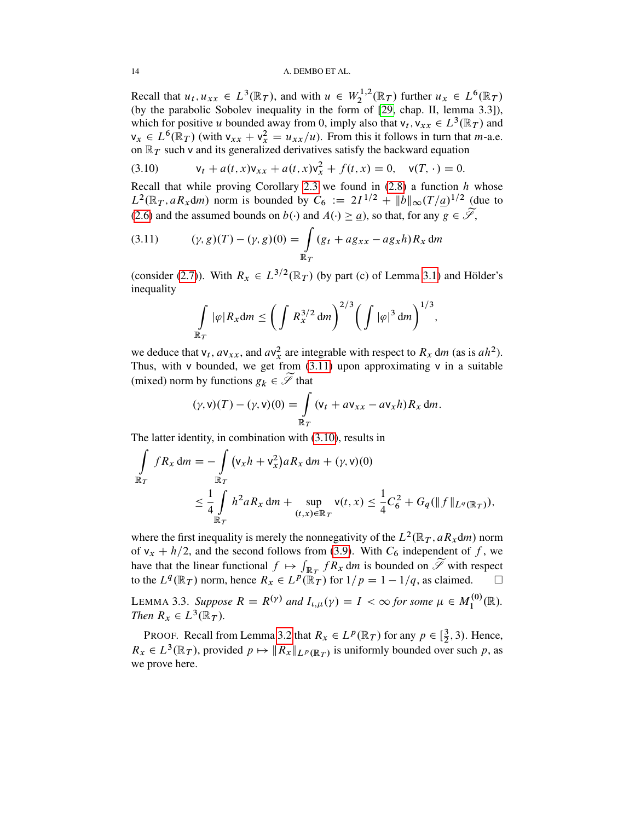#### 14 A. DEMBO ET AL.

Recall that  $u_t, u_{xx} \in L^3(\mathbb{R}_T)$ , and with  $u \in W_2^{1,2}$  $L_2^{1,2}(\mathbb{R}_T)$  further  $u_x \in L^6(\mathbb{R}_T)$ (by the parabolic Sobolev inequality in the form of [\[29,](#page-53-7) chap. II, lemma 3.3]), which for positive u bounded away from 0, imply also that  $v_t$ ,  $v_{xx} \in L^3(\mathbb{R}_T)$  and  $v_x \in L^6(\mathbb{R}_T)$  (with  $v_{xx} + v_x^2 = u_{xx}/u$ ). From this it follows in turn that *m*-a.e. on  $\mathbb{R}_T$  such v and its generalized derivatives satisfy the backward equation

<span id="page-13-2"></span>(3.10) 
$$
\mathsf{v}_t + a(t,x)\mathsf{v}_{xx} + a(t,x)\mathsf{v}_x^2 + f(t,x) = 0, \quad \mathsf{v}(T, \cdot) = 0.
$$

Recall that while proving Corollary [2.3](#page-6-0) we found in  $(2.8)$  a function h whose  $L^2(\mathbb{R}_T, aR_x \, dm)$  norm is bounded by  $C_6 := 2I^{1/2} + ||b||_{\infty} (T/\underline{a})^{1/2}$  (due to [\(2.6\)](#page-7-4) and the assumed bounds on  $b(\cdot)$  and  $A(\cdot) \ge a$ ), so that, for any  $g \in \widetilde{\mathscr{S}}$ ,

<span id="page-13-1"></span>(3.11) 
$$
(\gamma, g)(T) - (\gamma, g)(0) = \int_{\mathbb{R}_T} (g_t + ag_{xx} - ag_x h) R_x dm
$$

(consider [\(2.7\)](#page-7-1)). With  $R_x \in L^{3/2}(\mathbb{R}_T)$  (by part (c) of Lemma [3.1\)](#page-9-0) and Hölder's inequality

$$
\int\limits_{\mathbb{R}_T} |\varphi| R_x dm \leq \bigg( \int R_x^{3/2} dm \bigg)^{2/3} \bigg( \int |\varphi|^3 dm \bigg)^{1/3},
$$

we deduce that  $v_t$ ,  $av_{xx}$ , and  $av_x^2$  are integrable with respect to  $R_x$  dm (as is  $ah^2$ ). Thus, with v bounded, we get from  $(3.11)$  upon approximating v in a suitable (mixed) norm by functions  $g_k \in \widetilde{\mathscr{S}}$  that

$$
(\gamma, \mathsf{v})(T) - (\gamma, \mathsf{v})(0) = \int_{\mathbb{R}_T} (\mathsf{v}_t + a \mathsf{v}_{xx} - a \mathsf{v}_x h) R_x \, \mathrm{d}m.
$$

The latter identity, in combination with [\(3.10\)](#page-13-2), results in

$$
\int_{\mathbb{R}_T} f R_x \, dm = -\int_{\mathbb{R}_T} (v_x h + v_x^2) a R_x \, dm + (\gamma, v)(0)
$$
\n
$$
\leq \frac{1}{4} \int_{\mathbb{R}_T} h^2 a R_x \, dm + \sup_{(t,x) \in \mathbb{R}_T} v(t,x) \leq \frac{1}{4} C_6^2 + G_q(\|f\|_{L^q(\mathbb{R}_T)}),
$$

where the first inequality is merely the nonnegativity of the  $L^2(\mathbb{R}_T, aR_x \mathrm{d}m)$  norm of  $v_x + h/2$ , and the second follows from [\(3.9\)](#page-12-2). With  $C_6$  independent of f, we have that the linear functional  $f \mapsto \int_{\mathbb{R}^T} fR_x \, dm$  is bounded on  $\widetilde{\mathscr{S}}$  with respect to the  $L^q(\mathbb{R}_T)$  norm, hence  $R_x \in L^p(\mathbb{R}_T)$  for  $1/p = 1 - 1/q$ , as claimed.  $\square$ 

<span id="page-13-0"></span>LEMMA 3.3. Suppose  $R = R^{(\gamma)}$  and  $I_{\iota,\mu}(\gamma) = I < \infty$  for some  $\mu \in M_1^{(0)}$  $I_1^{(0)}(\mathbb{R}).$ *Then*  $R_x \in L^3(\mathbb{R}_T)$ *.* 

PROOF. Recall from Lemma [3.2](#page-12-0) that  $R_x \in L^p(\mathbb{R}_T)$  for any  $p \in [\frac{3}{2}]$  $\frac{3}{2}$ , 3). Hence,  $R_x \in L^3(\mathbb{R}_T)$ , provided  $p \mapsto ||R_x||_{L^p(\mathbb{R}_T)}$  is uniformly bounded over such p, as we prove here.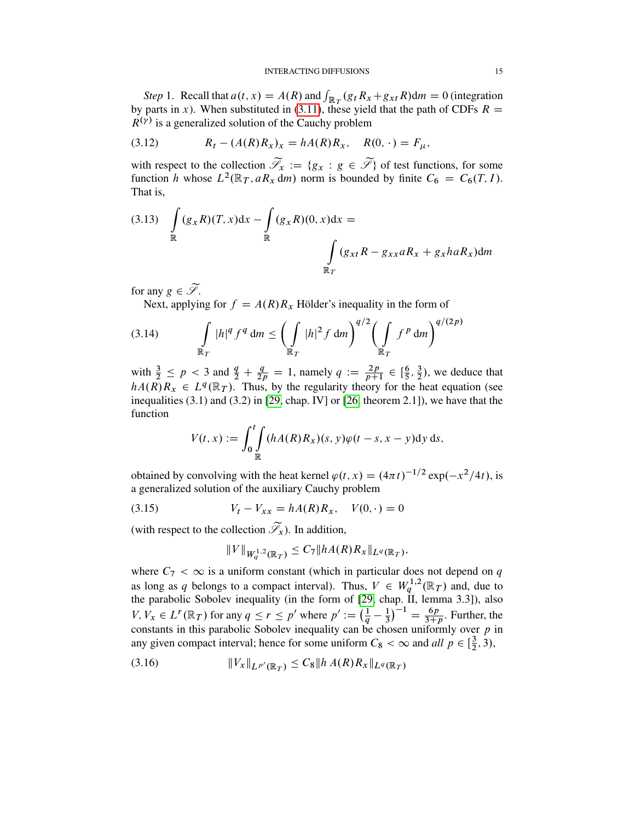#### INTERACTING DIFFUSIONS 15

Step 1. Recall that  $a(t, x) = A(R)$  and  $\int_{\mathbb{R}_T} (g_t R_x + g_{xt} R) dm = 0$  (integration by parts in x). When substituted in [\(3.11\)](#page-13-1), these yield that the path of CDFs  $R =$  $R^{(\gamma)}$  is a generalized solution of the Cauchy problem

<span id="page-14-0"></span>(3.12) 
$$
R_t - (A(R)R_x)_x = hA(R)R_x, \quad R(0, \cdot) = F_\mu,
$$

with respect to the collection  $\mathcal{T}_x := \{g_x : g \in \mathcal{F}\}\$  of test functions, for some function h whose  $L^2(\mathbb{R}_T, aR_x \, dm)$  norm is bounded by finite  $C_6 = C_6(T, I)$ . That is,

<span id="page-14-2"></span>
$$
(3.13) \quad \int\limits_{\mathbb{R}} (g_x R)(T, x) dx - \int\limits_{\mathbb{R}} (g_x R)(0, x) dx =
$$
\n
$$
\int\limits_{\mathbb{R}_T} (g_{xt} R - g_{xx} aR_x + g_x h aR_x) dm
$$

for any  $g \in \widetilde{\mathscr{S}}$ .

<span id="page-14-4"></span>Next, applying for  $f = A(R)R_x$  Hölder's inequality in the form of

(3.14) 
$$
\int_{\mathbb{R}_T} |h|^q f^q dm \le \left( \int_{\mathbb{R}_T} |h|^2 f dm \right)^{q/2} \left( \int_{\mathbb{R}_T} f^p dm \right)^{q/(2p)}
$$

with  $\frac{3}{2} \leq p < 3$  and  $\frac{q}{2} + \frac{q}{2p} = 1$ , namely  $q := \frac{2p}{p+1} \in [\frac{6}{5}]$  $\frac{6}{5}, \frac{3}{2}$  $\frac{3}{2}$ ), we deduce that  $hA(R)R_x \in L^q(\mathbb{R}_T)$ . Thus, by the regularity theory for the heat equation (see inequalities (3.1) and (3.2) in [\[29,](#page-53-7) chap. IV] or [\[26,](#page-53-6) theorem 2.1]), we have that the function

$$
V(t,x) := \int_0^t \int_{\mathbb{R}} (hA(R)R_x)(s, y)\varphi(t-s, x-y) \, \mathrm{d}y \, \mathrm{d}s,
$$

obtained by convolving with the heat kernel  $\varphi(t, x) = (4\pi t)^{-1/2} \exp(-x^2/4t)$ , is a generalized solution of the auxiliary Cauchy problem

(3.15) 
$$
V_t - V_{xx} = hA(R)R_x, \quad V(0, \cdot) = 0
$$

(with respect to the collection  $\widetilde{\mathscr{S}}_x$ ). In addition,

<span id="page-14-1"></span>
$$
||V||_{W_q^{1,2}(\mathbb{R}_T)} \leq C_7 ||hA(R)R_x||_{L^q(\mathbb{R}_T)},
$$

where  $C_7 < \infty$  is a uniform constant (which in particular does not depend on q as long as q belongs to a compact interval). Thus,  $V \in W_q^{1,2}(\mathbb{R}_T)$  and, due to the parabolic Sobolev inequality (in the form of [\[29,](#page-53-7) chap. II, lemma 3.3]), also  $V, V_x \in L^r(\mathbb{R}_T)$  for any  $q \le r \le p'$  where  $p' := \left(\frac{1}{q} - \frac{1}{3}\right)$  $\left(\frac{1}{3}\right)^{-1} = \frac{6p}{3+p}$ . Further, the constants in this parabolic Sobolev inequality can be chosen uniformly over  $p$  in any given compact interval; hence for some uniform  $C_8 < \infty$  and *all*  $p \in \left[\frac{3}{2}\right]$  $(\frac{3}{2}, 3),$ 

<span id="page-14-3"></span>(3.16) <sup>k</sup>VxkLp<sup>0</sup> .R<sup>T</sup> / <sup>C</sup>8kh A.R/RxkLq.R<sup>T</sup> /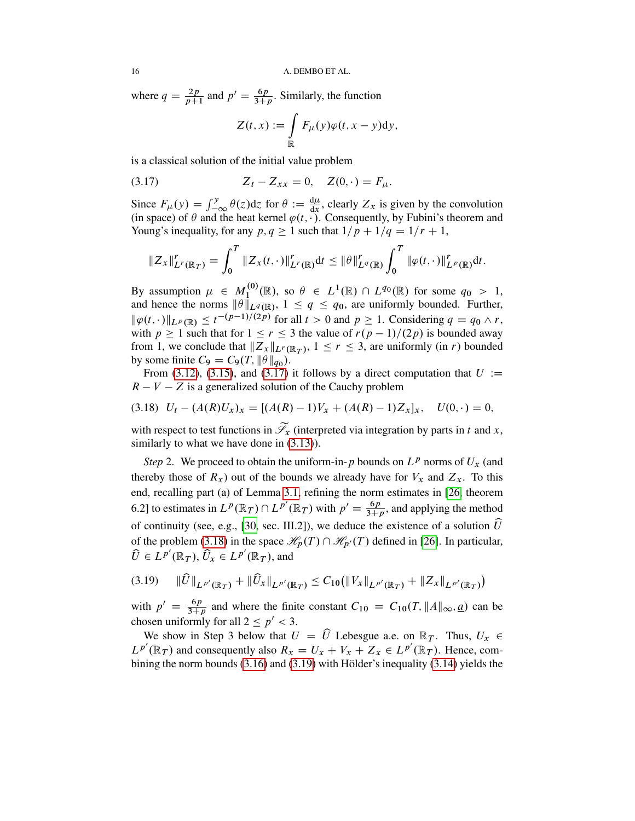where  $q = \frac{2p}{p+1}$  and  $p' = \frac{6p}{3+p}$ . Similarly, the function

<span id="page-15-0"></span>
$$
Z(t,x) := \int_{\mathbb{R}} F_{\mu}(y)\varphi(t,x-y)dy,
$$

is a classical solution of the initial value problem

(3.17) 
$$
Z_t - Z_{xx} = 0, \quad Z(0, \cdot) = F_{\mu}.
$$

Since  $F_{\mu}(y) = \int_{-\infty}^{y} \theta(z) dz$  for  $\theta := \frac{d\mu}{dx}$ , clearly  $Z_x$  is given by the convolution (in space) of  $\theta$  and the heat kernel  $\varphi(t, \cdot)$ . Consequently, by Fubini's theorem and Young's inequality, for any  $p, q \ge 1$  such that  $1/p + 1/q = 1/r + 1$ ,

$$
\|Z_x\|_{L^r(\mathbb{R}_T)}^r = \int_0^T \|Z_x(t,\cdot)\|_{L^r(\mathbb{R})}^r dt \leq \|\theta\|_{L^q(\mathbb{R})}^r \int_0^T \|\varphi(t,\cdot)\|_{L^p(\mathbb{R})}^r dt.
$$

By assumption  $\mu \in M_1^{(0)}$  $\mathcal{L}_1^{(0)}(\mathbb{R})$ , so  $\theta \in L^1(\mathbb{R}) \cap L^{q_0}(\mathbb{R})$  for some  $q_0 > 1$ , and hence the norms  $\|\theta\|_{L^q(\mathbb{R})}$ ,  $1 \le q \le q_0$ , are uniformly bounded. Further,  $\|\varphi(t,\cdot)\|_{L^p(\mathbb{R})} \leq t^{-(p-1)/(2p)}$  for all  $t > 0$  and  $p \geq 1$ . Considering  $q = q_0 \wedge r$ , with  $p \ge 1$  such that for  $1 \le r \le 3$  the value of  $r(p-1)/(2p)$  is bounded away from 1, we conclude that  $||Z_x||_{L^r(\mathbb{R}_T)}$ ,  $1 \leq r \leq 3$ , are uniformly (in r) bounded by some finite  $C_9 = C_9(T, ||\theta||_{q_0}).$ 

From [\(3.12\)](#page-14-0), [\(3.15\)](#page-14-1), and [\(3.17\)](#page-15-0) it follows by a direct computation that  $U :=$  $R - V - Z$  is a generalized solution of the Cauchy problem

<span id="page-15-1"></span>
$$
(3.18) \quad U_t - (A(R)U_x)_x = [(A(R) - 1)V_x + (A(R) - 1)Z_x]_x, \quad U(0, \cdot) = 0,
$$

with respect to test functions in  $\widetilde{\mathscr{S}}_x$  (interpreted via integration by parts in t and x, similarly to what we have done in  $(3.13)$ ).

*Step* 2. We proceed to obtain the uniform-in-p bounds on  $L^p$  norms of  $U_x$  (and thereby those of  $R_x$ ) out of the bounds we already have for  $V_x$  and  $Z_x$ . To this end, recalling part (a) of Lemma [3.1,](#page-9-0) refining the norm estimates in [\[26,](#page-53-6) theorem 6.2] to estimates in  $L^p(\mathbb{R}_T) \cap L^{p'}(\mathbb{R}_T)$  with  $p' = \frac{6p}{3+p}$ , and applying the method of continuity (see, e.g., [\[30,](#page-53-8) sec. III.2]), we deduce the existence of a solution  $\hat{U}$ of the problem [\(3.18\)](#page-15-1) in the space  $\mathcal{H}_p(T) \cap \mathcal{H}_{p'}(T)$  defined in [\[26\]](#page-53-6). In particular,  $\widehat{U} \in L^{p'}(\mathbb{R}_T), \widehat{U}_x \in L^{p'}(\mathbb{R}_T)$ , and

<span id="page-15-2"></span>
$$
(3.19) \qquad \|\widehat{U}\|_{L^{p'}(\mathbb{R}_T)} + \|\widehat{U}_x\|_{L^{p'}(\mathbb{R}_T)} \leq C_{10}(\|V_x\|_{L^{p'}(\mathbb{R}_T)} + \|Z_x\|_{L^{p'}(\mathbb{R}_T)})
$$

with  $p' = \frac{6p}{3+p}$  and where the finite constant  $C_{10} = C_{10}(T, ||A||_{\infty}, \underline{a})$  can be chosen uniformly for all  $2 \le p' < 3$ .

We show in Step 3 below that  $U = \widehat{U}$  Lebesgue a.e. on  $\mathbb{R}_T$ . Thus,  $U_x \in$  $L^{p'}(\mathbb{R}_T)$  and consequently also  $R_x = U_x + V_x + Z_x \in L^{p'}(\mathbb{R}_T)$ . Hence, combining the norm bounds [\(3.16\)](#page-14-3) and [\(3.19\)](#page-15-2) with Hölder's inequality [\(3.14\)](#page-14-4) yields the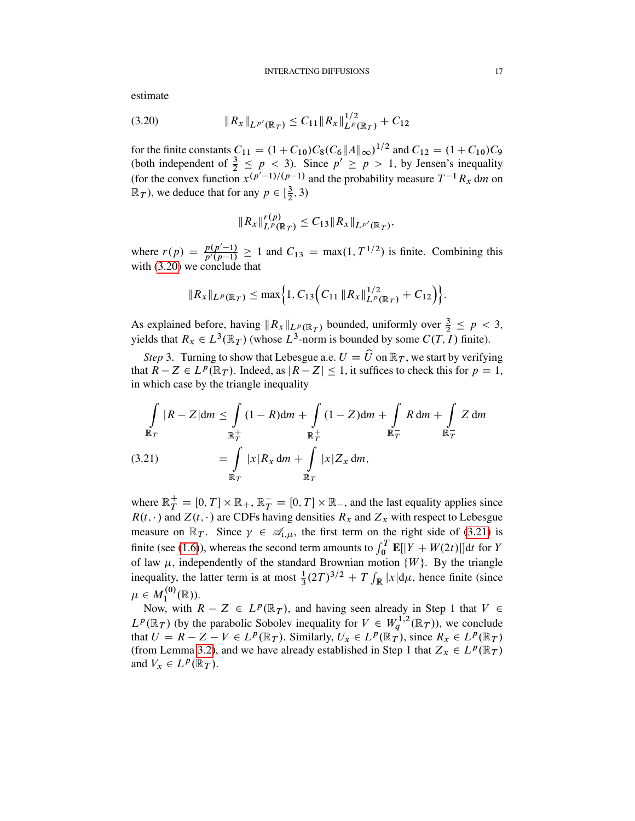estimate

<span id="page-16-0"></span>
$$
(3.20) \t\t\t ||R_x||_{L^{p'}(\mathbb{R}_T)} \leq C_{11} ||R_x||_{L^p(\mathbb{R}_T)}^{1/2} + C_{12}
$$

for the finite constants  $C_{11} = (1 + C_{10})C_8(C_6||A||_{\infty})^{1/2}$  and  $C_{12} = (1 + C_{10})C_9$ (both independent of  $\frac{3}{2} \leq p < 3$ ). Since  $p' \geq p > 1$ , by Jensen's inequality (for the convex function  $x^{(p'-1)/(p-1)}$  and the probability measure  $T^{-1}R_x$  dm on  $\mathbb{R}_T$ ), we deduce that for any  $p \in [\frac{3}{2}]$  $(\frac{3}{2}, 3)$ 

$$
||R_x||_{L^p(\mathbb{R}_T)}^{r(p)} \leq C_{13}||R_x||_{L^{p'}(\mathbb{R}_T)},
$$

where  $r(p) = \frac{p(p'-1)}{p'(p-1)} \ge 1$  and  $C_{13} = \max(1, T^{1/2})$  is finite. Combining this with  $(3.20)$  we conclude that

$$
||R_x||_{L^p(\mathbb{R}_T)} \leq \max\Big\{1, C_{13}\Big(C_{11} ||R_x||_{L^p(\mathbb{R}_T)}^{1/2} + C_{12}\Big)\Big\}.
$$

As explained before, having  $||R_x||_{L^p(\mathbb{R}_T)}$  bounded, uniformly over  $\frac{3}{2} \leq p < 3$ , yields that  $R_x \in L^3(\mathbb{R}_T)$  (whose  $L^3$ -norm is bounded by some  $C(T, I)$  finite).

*Step* 3. Turning to show that Lebesgue a.e.  $U = \hat{U}$  on  $\mathbb{R}_T$ , we start by verifying that  $R - Z \in L^p(\mathbb{R}_T)$ . Indeed, as  $|R - Z| \leq 1$ , it suffices to check this for  $p = 1$ , in which case by the triangle inequality

<span id="page-16-1"></span>
$$
\int_{\mathbb{R}_T} |R - Z| dm \le \int_{\mathbb{R}_T^+} (1 - R) dm + \int_{\mathbb{R}_T^+} (1 - Z) dm + \int_{\mathbb{R}_T^-} R dm + \int_{\mathbb{R}_T^-} Z dm
$$
\n(3.21)\n
$$
= \int_{\mathbb{R}_T} |x| R_x dm + \int_{\mathbb{R}_T} |x| Z_x dm,
$$

where  $\mathbb{R}_T^+ = [0, T] \times \mathbb{R}_+$ ,  $\mathbb{R}_T^- = [0, T] \times \mathbb{R}_-$ , and the last equality applies since  $R(t, \cdot)$  and  $Z(t, \cdot)$  are CDFs having densities  $R_x$  and  $Z_x$  with respect to Lebesgue measure on  $\mathbb{R}_T$ . Since  $\gamma \in \mathcal{A}_{t,\mu}$ , the first term on the right side of [\(3.21\)](#page-16-1) is finite (see [\(1.6\)](#page-3-6)), whereas the second term amounts to  $\int_0^T \mathbf{E}[|Y + W(2t)|]dt$  for Y of law  $\mu$ , independently of the standard Brownian motion  $\{W\}$ . By the triangle inequality, the latter term is at most  $\frac{1}{3}(2T)^{3/2} + T \int_{\mathbb{R}} |x| d\mu$ , hence finite (since  $\mu\in M_1^{(0)}$  $I_1^{(0)}(\mathbb{R})$ ).

Now, with  $R - Z \in L^p(\mathbb{R}_T)$ , and having seen already in Step 1 that  $V \in$  $L^p(\mathbb{R}_T)$  (by the parabolic Sobolev inequality for  $V \in W_q^{1,2}(\mathbb{R}_T)$ ), we conclude that  $U = R - Z - V \in L^p(\mathbb{R}_T)$ . Similarly,  $U_x \in L^p(\mathbb{R}_T)$ , since  $R_x \in L^p(\mathbb{R}_T)$ (from Lemma [3.2\)](#page-12-0), and we have already established in Step 1 that  $Z_x \in L^p(\mathbb{R}_T)$ and  $V_x \in L^p(\mathbb{R}_T)$ .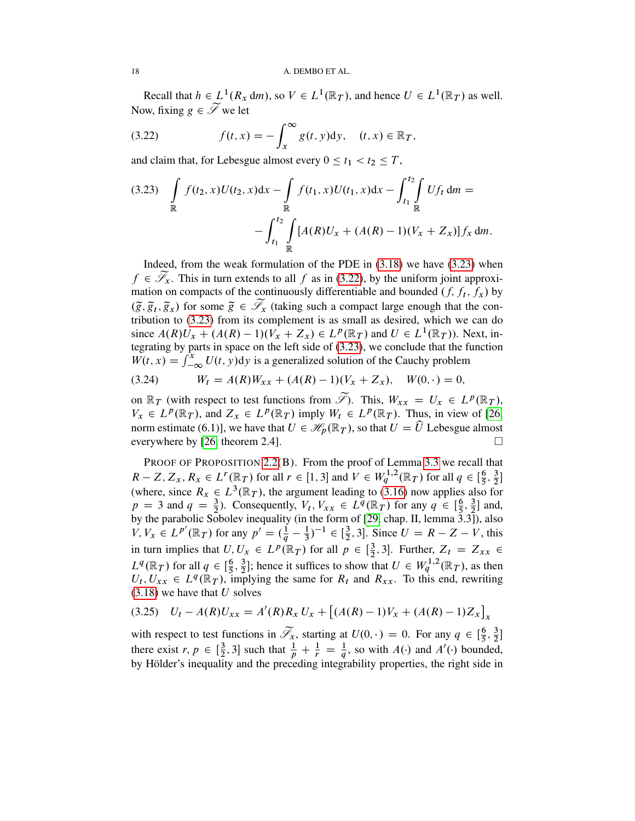Recall that  $h \in L^1(R_x \, dm)$ , so  $V \in L^1(\mathbb{R}_T)$ , and hence  $U \in L^1(\mathbb{R}_T)$  as well. Now, fixing  $g \in \widetilde{\mathscr{S}}$  we let

<span id="page-17-1"></span>(3.22) 
$$
f(t,x) = -\int_x^{\infty} g(t,y) dy, \quad (t,x) \in \mathbb{R}_T,
$$

and claim that, for Lebesgue almost every  $0 \le t_1 < t_2 \le T$ ,

<span id="page-17-0"></span>
$$
(3.23) \int_{\mathbb{R}} f(t_2, x)U(t_2, x)dx - \int_{\mathbb{R}} f(t_1, x)U(t_1, x)dx - \int_{t_1}^{t_2} \int_{\mathbb{R}} Uf_t dm = -\int_{t_1}^{t_2} \int_{\mathbb{R}} [A(R)U_x + (A(R) - 1)(V_x + Z_x)]f_x dm.
$$

Indeed, from the weak formulation of the PDE in  $(3.18)$  we have  $(3.23)$  when  $f \in \mathscr{S}_x$ . This in turn extends to all f as in [\(3.22\)](#page-17-1), by the uniform joint approximation on compacts of the continuously differentiable and bounded  $(f, f_t, f_x)$  by  $(\tilde{g}, \tilde{g}_t, \tilde{g}_x)$  for some  $\tilde{g} \in \tilde{\mathscr{S}}_x$  (taking such a compact large enough that the contribution to [\(3.23\)](#page-17-0) from its complement is as small as desired, which we can do since  $A(R)U_x + (A(R) - 1)(V_x + Z_x) \in L^p(\mathbb{R}_T)$  and  $U \in L^1(\mathbb{R}_T)$ ). Next, integrating by parts in space on the left side of [\(3.23\)](#page-17-0), we conclude that the function  $W(t, x) = \int_{-\infty}^{x} U(t, y) dy$  is a generalized solution of the Cauchy problem

(3.24) 
$$
W_t = A(R)W_{xx} + (A(R) - 1)(V_x + Z_x), \quad W(0, \cdot) = 0,
$$

on  $\mathbb{R}_T$  (with respect to test functions from  $\widetilde{\mathscr{S}}$ ). This,  $W_{xx} = U_x \in L^p(\mathbb{R}_T)$ ,  $V_x \in L^p(\mathbb{R}_T)$ , and  $Z_x \in L^p(\mathbb{R}_T)$  imply  $W_t \in L^p(\mathbb{R}_T)$ . Thus, in view of [\[26,](#page-53-6) norm estimate (6.1)], we have that  $U \in \mathcal{H}_{n}(\mathbb{R}_{T})$ , so that  $U = \widehat{U}$  Lebesgue almost everywhere by [\[26,](#page-53-6) theorem 2.4].

PROOF OF PROPOSITION [2.2\(](#page-5-0)B). From the proof of Lemma [3.3](#page-13-0) we recall that  $R-Z, Z_x, R_x \in L^r(\mathbb{R}_T)$  for all  $r \in [1,3]$  and  $V \in W_q^{1,2}(\mathbb{R}_T)$  for all  $q \in [\frac{6}{5}]$  $\frac{6}{5}, \frac{3}{2}$  $rac{3}{2}$ ] (where, since  $R_x \in L^3(\mathbb{R}_T)$ , the argument leading to [\(3.16\)](#page-14-3) now applies also for  $p = 3$  and  $q = \frac{3}{2}$ . Consequently,  $V_t$ ,  $V_{xx} \in L^q(\mathbb{R}_T)$  for any  $q \in [\frac{6}{5}]$  $\frac{6}{5}, \frac{3}{2}$  $\frac{3}{2}$  and, by the parabolic Sobolev inequality (in the form of [\[29,](#page-53-7) chap. II, lemma 3.3]), also  $V, V_x \in L^{p'}(\mathbb{R}_T)$  for any  $p' = (\frac{1}{q} - \frac{1}{3})$  $(\frac{1}{3})^{-1} \in [\frac{3}{2}]$  $\frac{3}{2}$ , 3]. Since  $U = R - Z - V$ , this in turn implies that  $U, U_x \in L^p(\mathbb{R}_T)$  for all  $p \in [\frac{3}{2}]$  $(\frac{3}{2}, 3]$ . Further,  $Z_t = Z_{xx} \in$  $L^q(\mathbb{R}_T)$  for all  $q \in \left[\frac{6}{5}\right]$  $\frac{6}{5}, \frac{3}{2}$  $\frac{3}{2}$ ; hence it suffices to show that  $U \in W_q^{1,2}(\mathbb{R}_T)$ , as then  $U_t, U_{xx} \in L^q(\mathbb{R}_T)$ , implying the same for  $R_t$  and  $R_{xx}$ . To this end, rewriting  $(3.18)$  we have that U solves

<span id="page-17-2"></span>
$$
(3.25) \quad U_t - A(R)U_{xx} = A'(R)R_x U_x + [(A(R) - 1)U_x + (A(R) - 1)Z_x]_x
$$

with respect to test functions in  $\widetilde{\mathscr{S}}_x$ , starting at  $U(0, \cdot) = 0$ . For any  $q \in \left[\frac{6}{5}\right]$  $\frac{6}{5}, \frac{3}{2}$  $rac{3}{2}$ ] there exist  $r, p \in \left[\frac{3}{2}\right]$  $\frac{3}{2}$ , 3] such that  $\frac{1}{p} + \frac{1}{r} = \frac{1}{q}$ , so with  $A(\cdot)$  and  $A'(\cdot)$  bounded, by Hölder's inequality and the preceding integrability properties, the right side in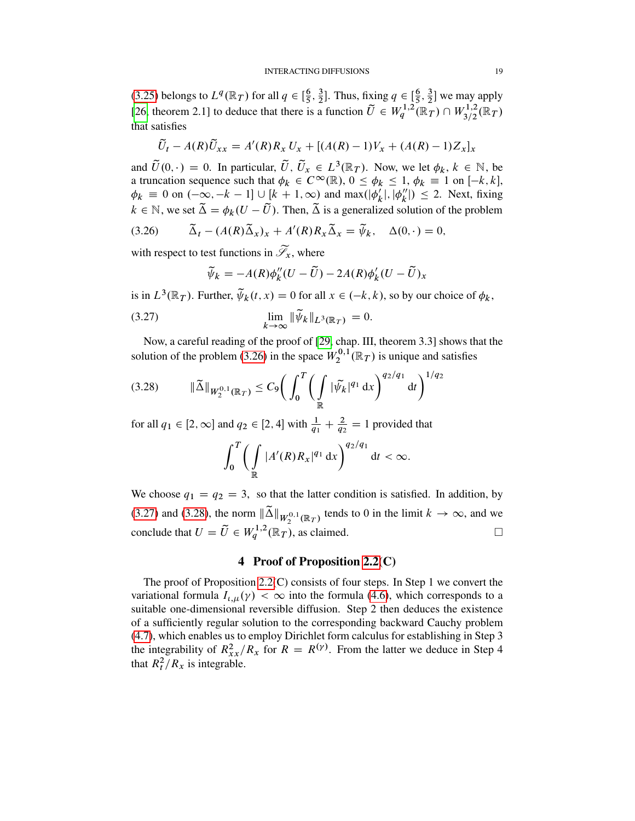[\(3.25\)](#page-17-2) belongs to  $L^q(\mathbb{R}_T)$  for all  $q \in [\frac{6}{5}]$  $\frac{6}{5}$ ,  $\frac{3}{2}$  $\frac{3}{2}$ ]. Thus, fixing  $q \in \left[\frac{6}{5}\right]$  $\frac{6}{5}$ ,  $\frac{3}{2}$  $\frac{3}{2}$  we may apply [\[26,](#page-53-6) theorem 2.1] to deduce that there is a function  $\tilde{U} \in W_q^{1,2}(\mathbb{R}_T) \cap W_{3/2}^{1,2}(\mathbb{R}_T)$ that satisfies

$$
\widetilde{U}_t - A(R)\widetilde{U}_{xx} = A'(R)R_x U_x + [(A(R) - 1)V_x + (A(R) - 1)Z_x]_x
$$

and  $\tilde{U}(0, \cdot) = 0$ . In particular,  $\tilde{U}, \tilde{U}_x \in L^3(\mathbb{R}_T)$ . Now, we let  $\phi_k, k \in \mathbb{N}$ , be a truncation sequence such that  $\phi_k \in C^\infty(\mathbb{R})$ ,  $0 \le \phi_k \le 1$ ,  $\phi_k \equiv 1$  on  $[-k, k]$ ,  $\phi_k \equiv 0$  on  $(-\infty, -k-1] \cup [k+1, \infty)$  and max $(\phi'_k)$  $\int_k'$ ,  $\phi_k''$  $\binom{n}{k} \leq 2$ . Next, fixing  $k \in \mathbb{N}$ , we set  $\tilde{\Delta} = \phi_k(U - \tilde{U})$ . Then,  $\tilde{\Delta}$  is a generalized solution of the problem

(3.26) 
$$
\tilde{\Delta}_t - (A(R)\tilde{\Delta}_x)_x + A'(R)R_x\tilde{\Delta}_x = \tilde{\psi}_k, \quad \Delta(0,\cdot) = 0,
$$

with respect to test functions in  $\widetilde{\mathscr{S}}_x$ , where

<span id="page-18-1"></span><span id="page-18-0"></span>
$$
\widetilde{\psi}_k = -A(R)\phi_k''(U - \widetilde{U}) - 2A(R)\phi_k'(U - \widetilde{U})_x
$$

is in  $L^3(\mathbb{R}_T)$ . Further,  $\widetilde{\psi}_k(t,x) = 0$  for all  $x \in (-k, k)$ , so by our choice of  $\phi_k$ ,

$$
\lim_{k \to \infty} \|\widetilde{\psi}_k\|_{L^3(\mathbb{R}_T)} = 0.
$$

Now, a careful reading of the proof of [\[29,](#page-53-7) chap. III, theorem 3.3] shows that the solution of the problem [\(3.26\)](#page-18-0) in the space  $W_2^{0,1}$  $\mathbb{R}^{0,1}(\mathbb{R}_T)$  is unique and satisfies

<span id="page-18-2"></span>
$$
(3.28) \t\t ||\widetilde{\Delta}||_{W_2^{0,1}(\mathbb{R}_T)} \leq C_9 \bigg( \int_0^T \bigg( \int_{\mathbb{R}} |\widetilde{\psi}_k|^{q_1} dx \bigg)^{q_2/q_1} dt \bigg)^{1/q_2}
$$

for all  $q_1 \in [2, \infty]$  and  $q_2 \in [2, 4]$  with  $\frac{1}{q_1} + \frac{2}{q_2} = 1$  provided that

$$
\int_0^T \biggl(\int\limits_{\mathbb R} |A'(R)R_x|^{q_1} \,\mathrm{d} x\biggr)^{q_2/q_1} \,\mathrm{d} t < \infty.
$$

We choose  $q_1 = q_2 = 3$ , so that the latter condition is satisfied. In addition, by [\(3.27\)](#page-18-1) and [\(3.28\)](#page-18-2), the norm  $\|\tilde{\Delta}\|_{W_2^{0,1}(\mathbb{R}_T)}$  tends to 0 in the limit  $k \to \infty$ , and we conclude that  $U = \tilde{U} \in W_q^{1,2}(\mathbb{R}_T)$ , as claimed.

# 4 Proof of Proposition [2.2\(](#page-5-0)C)

The proof of Proposition [2.2\(](#page-5-0)C) consists of four steps. In Step 1 we convert the variational formula  $I_{\iota,\mu}(\gamma) < \infty$  into the formula [\(4.6\)](#page-20-0), which corresponds to a suitable one-dimensional reversible diffusion. Step 2 then deduces the existence of a sufficiently regular solution to the corresponding backward Cauchy problem [\(4.7\)](#page-20-1), which enables us to employ Dirichlet form calculus for establishing in Step 3 the integrability of  $R_{xx}^2/R_x$  for  $R = R^{(\gamma)}$ . From the latter we deduce in Step 4 that  $R_t^2/R_x$  is integrable.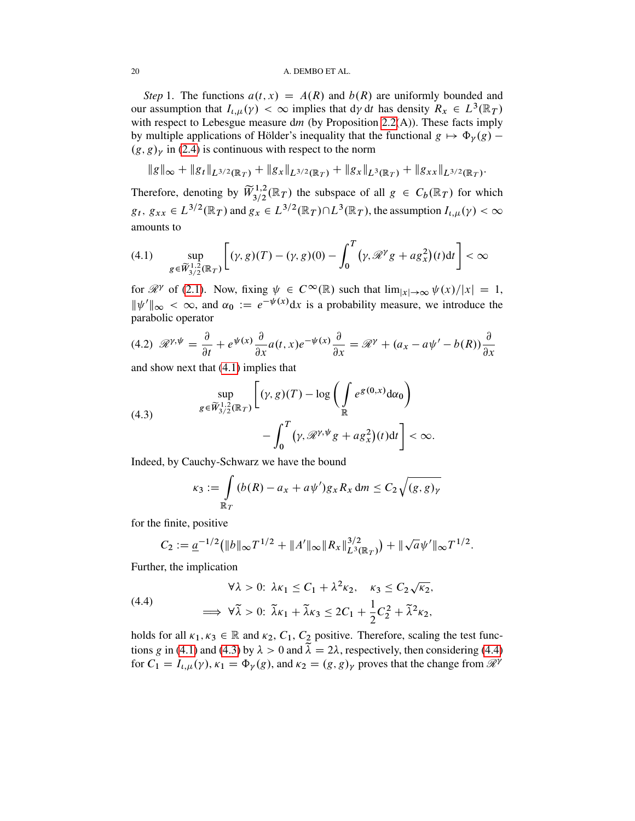#### 20 A. DEMBO ET AL.

*Step* 1. The functions  $a(t, x) = A(R)$  and  $b(R)$  are uniformly bounded and our assumption that  $I_{\iota,\mu}(\gamma) < \infty$  implies that  $d\gamma dt$  has density  $R_x \in L^3(\mathbb{R}^2)$ with respect to Lebesgue measure  $dm$  (by Proposition [2.2\(](#page-5-0)A)). These facts imply by multiple applications of Hölder's inequality that the functional  $g \mapsto \Phi_{\gamma}(g)$  –  $(g, g)$ <sub>y</sub> in [\(2.4\)](#page-5-4) is continuous with respect to the norm

$$
\|g\|_{\infty} + \|g_t\|_{L^{3/2}(\mathbb{R}_T)} + \|g_x\|_{L^{3/2}(\mathbb{R}_T)} + \|g_x\|_{L^3(\mathbb{R}_T)} + \|g_{xx}\|_{L^{3/2}(\mathbb{R}_T)}.
$$

Therefore, denoting by  $\widetilde{W}^{1,2}_{3/2}(\mathbb{R}_T)$  the subspace of all  $g \in C_b(\mathbb{R}_T)$  for which  $g_t, g_{xx} \in L^{3/2}(\mathbb{R}_T)$  and  $g_x \in L^{3/2}(\mathbb{R}_T) \cap L^3(\mathbb{R}_T)$ , the assumption  $I_{t,\mu}(\gamma) < \infty$ amounts to

<span id="page-19-0"></span>
$$
(4.1) \qquad \sup_{g\in \widetilde{W}_{3/2}^{1,2}(\mathbb{R}_T)} \left[ (\gamma, g)(T) - (\gamma, g)(0) - \int_0^T (\gamma, \mathcal{R}^\gamma g + a g_x^2)(t) \mathrm{d}t \right] < \infty
$$

for  $\mathcal{R}^{\gamma}$  of [\(2.1\)](#page-5-3). Now, fixing  $\psi \in C^{\infty}(\mathbb{R})$  such that  $\lim_{|x| \to \infty} \psi(x)/|x| = 1$ ,  $\|\psi'\|_{\infty} < \infty$ , and  $\alpha_0 := e^{-\psi(x)}dx$  is a probability measure, we introduce the parabolic operator

<span id="page-19-3"></span>
$$
(4.2) \ \mathscr{R}^{\gamma,\psi} = \frac{\partial}{\partial t} + e^{\psi(x)} \frac{\partial}{\partial x} a(t,x) e^{-\psi(x)} \frac{\partial}{\partial x} = \mathscr{R}^{\gamma} + (a_x - a\psi' - b(R)) \frac{\partial}{\partial x}
$$

and show next that [\(4.1\)](#page-19-0) implies that

<span id="page-19-1"></span>(4.3)  

$$
\sup_{g \in \widetilde{W}_{3/2}^{1,2}(\mathbb{R}_T)} \left[ (\gamma, g)(T) - \log \left( \int_{\mathbb{R}} e^{g(0,x)} d\alpha_0 \right) - \int_0^T (\gamma, \mathcal{R}^{\gamma, \psi} g + a g_x^2)(t) dt \right] < \infty.
$$

Indeed, by Cauchy-Schwarz we have the bound

$$
\kappa_3 := \int\limits_{\mathbb{R}_T} (b(R) - a_x + a\psi') g_x R_x \, \mathrm{d}m \le C_2 \sqrt{(g, g)_\gamma}
$$

for the finite, positive

$$
C_2 := \underline{a}^{-1/2} \big( \|b\|_{\infty} T^{1/2} + \|A'\|_{\infty} \|R_x\|_{L^3(\mathbb{R}_T)}^{3/2} \big) + \|\sqrt{a} \psi'\|_{\infty} T^{1/2}.
$$

Further, the implication

<span id="page-19-2"></span>(4.4)  
\n
$$
\forall \lambda > 0: \ \lambda \kappa_1 \leq C_1 + \lambda^2 \kappa_2, \quad \kappa_3 \leq C_2 \sqrt{\kappa_2},
$$
\n
$$
\implies \forall \tilde{\lambda} > 0: \ \tilde{\lambda} \kappa_1 + \tilde{\lambda} \kappa_3 \leq 2C_1 + \frac{1}{2} C_2^2 + \tilde{\lambda}^2 \kappa_2,
$$

holds for all  $\kappa_1, \kappa_3 \in \mathbb{R}$  and  $\kappa_2, C_1, C_2$  positive. Therefore, scaling the test func-tions g in [\(4.1\)](#page-19-0) and [\(4.3\)](#page-19-1) by  $\lambda > 0$  and  $\tilde{\lambda} = 2\lambda$ , respectively, then considering [\(4.4\)](#page-19-2) for  $C_1 = I_{\iota,\mu}(\gamma)$ ,  $\kappa_1 = \Phi_{\gamma}(g)$ , and  $\kappa_2 = (g, g)_{\gamma}$  proves that the change from  $\mathcal{R}^{\gamma}$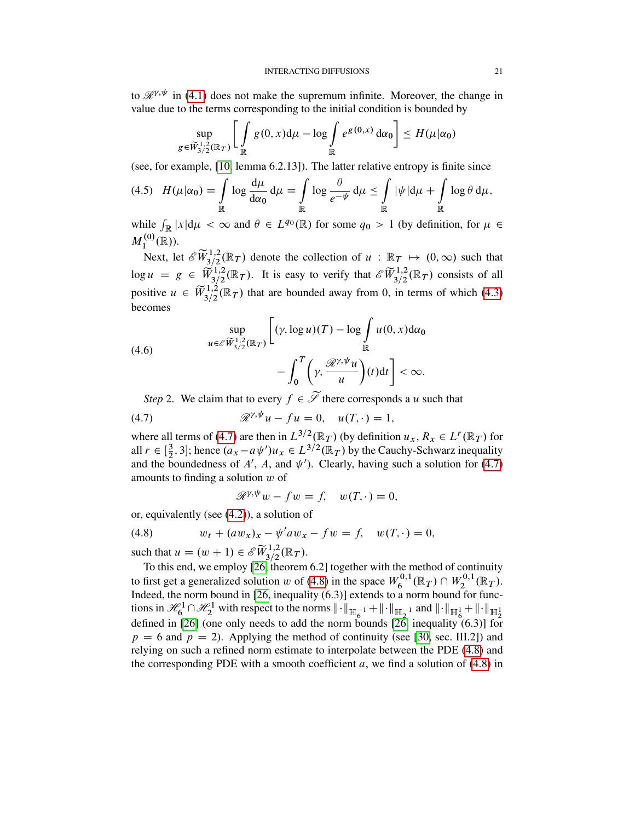to  $\mathcal{R}^{\gamma,\psi}$  in [\(4.1\)](#page-19-0) does not make the supremum infinite. Moreover, the change in value due to the terms corresponding to the initial condition is bounded by

$$
\sup_{g \in \widetilde{W}_{3/2}^{1,2}(\mathbb{R}_T)} \left[ \int_{\mathbb{R}} g(0, x) d\mu - \log \int_{\mathbb{R}} e^{g(0, x)} d\alpha_0 \right] \le H(\mu|\alpha_0)
$$

(see, for example, [\[10,](#page-52-11) lemma 6.2.13]). The latter relative entropy is finite since

$$
(4.5) \quad H(\mu|\alpha_0) = \int_{\mathbb{R}} \log \frac{d\mu}{d\alpha_0} d\mu = \int_{\mathbb{R}} \log \frac{\theta}{e^{-\psi}} d\mu \leq \int_{\mathbb{R}} |\psi| d\mu + \int_{\mathbb{R}} \log \theta d\mu,
$$

while  $\int_{\mathbb{R}} |x| d\mu < \infty$  and  $\theta \in L^{q_0}(\mathbb{R})$  for some  $q_0 > 1$  (by definition, for  $\mu \in$  $M_1^{(0)}$  $I_1^{(0)}(\mathbb{R})$ ).

Next, let  $\mathscr{E}\widetilde{W}_{3/2}^{1,2}(\mathbb{R}_T)$  denote the collection of  $u : \mathbb{R}_T \mapsto (0,\infty)$  such that  $\log u = g \in \widetilde{W}_{3/2}^{1,2}(\mathbb{R}_T)$ . It is easy to verify that  $\mathscr{E} \widetilde{W}_{3/2}^{1,2}(\mathbb{R}_T)$  consists of all positive  $u \in \widetilde{W}_{3/2}^{1,2}(\mathbb{R}_T)$  that are bounded away from 0, in terms of which [\(4.3\)](#page-19-1) becomes

<span id="page-20-0"></span>(4.6)  

$$
\sup_{u \in \mathcal{E} \widetilde{W}_{3/2}^{1,2}(\mathbb{R}_T)} \left[ (\gamma, \log u)(T) - \log \int_{\mathbb{R}} u(0, x) d\alpha_0 \right. \\ - \int_0^T \left( \gamma, \frac{\mathcal{R}^{\gamma, \psi} u}{u} \right) (t) dt \right] < \infty.
$$

*Step* 2. We claim that to every  $f \in \mathcal{S}$  there corresponds a u such that

(4.7) 
$$
\mathscr{R}^{\gamma,\psi}u - fu = 0, \quad u(T,\cdot) = 1,
$$

where all terms of [\(4.7\)](#page-20-1) are then in  $L^{3/2}(\mathbb{R}_T)$  (by definition  $u_x, R_x \in L^r(\mathbb{R}_T)$  for all  $r \in \left[\frac{3}{2}\right]$  $(\frac{3}{2}, 3]$ ; hence  $(a_x - a\psi')u_x \in L^{3/2}(\mathbb{R}_T)$  by the Cauchy-Schwarz inequality and the boundedness of A', A, and  $\psi'$ ). Clearly, having such a solution for [\(4.7\)](#page-20-1) amounts to finding a solution  $w$  of

<span id="page-20-2"></span><span id="page-20-1"></span>
$$
\mathscr{R}^{\gamma,\psi}w - fw = f, \quad w(T,\cdot) = 0,
$$

or, equivalently (see [\(4.2\)](#page-19-3)), a solution of

(4.8) 
$$
w_t + (aw_x)_x - \psi' a w_x - f w = f, \quad w(T, \cdot) = 0,
$$

such that  $u = (w + 1) \in \mathscr{E} \widetilde{W}^{1,2}_{3/2}(\mathbb{R}_T)$ .

To this end, we employ [\[26,](#page-53-6) theorem 6.2] together with the method of continuity to first get a generalized solution w of [\(4.8\)](#page-20-2) in the space  $W_6^{0,1}$  $W_6^{0,1}(\mathbb{R}_T) \cap W_2^{0,1}$  $L_2^{0,1}(\mathbb{R}_T).$ Indeed, the norm bound in [\[26,](#page-53-6) inequality  $(6.3)$ ] extends to a norm bound for functions in  $\mathcal{H}_6^1 \cap \mathcal{H}_2^1$  with respect to the norms  $\|\cdot\|_{\mathbb{H}_6^{-1}} + \|\cdot\|_{\mathbb{H}_2^{-1}}$  and  $\|\cdot\|_{\mathbb{H}_6^1} + \|\cdot\|_{\mathbb{H}_2^1}$ <br>defined in [\[26\]](#page-53-6) (one only needs to add the norm bounds [\[26,](#page-53-6) inequality (6.3)] for  $p = 6$  and  $p = 2$ ). Applying the method of continuity (see [\[30,](#page-53-8) sec. III.2]) and relying on such a refined norm estimate to interpolate between the PDE [\(4.8\)](#page-20-2) and the corresponding PDE with a smooth coefficient  $a$ , we find a solution of  $(4.8)$  in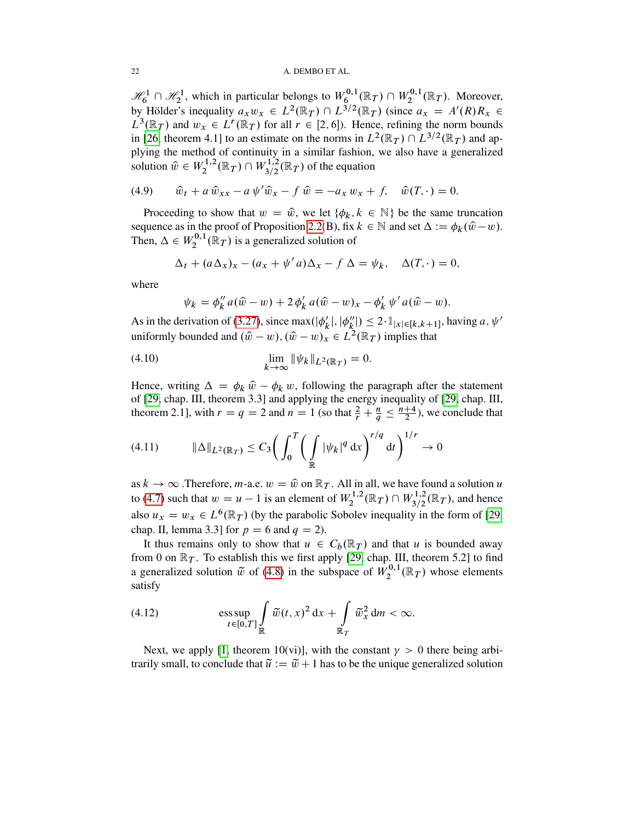$\mathcal{H}_6^1 \cap \mathcal{H}_2^1$ , which in particular belongs to  $W_6^{0,1}$  $W^{0,1}_{6}(\mathbb R_{T}) \cap W^{0,1}_{2}$  $\chi_2^{0,1}(\mathbb{R}_T)$ . Moreover, by Hölder's inequality  $a_x w_x \in L^2(\mathbb{R}_T) \cap L^{3/2}(\mathbb{R}_T)$  (since  $a_x = A'(R)R_x \in$  $L^3(\mathbb{R}_T)$  and  $w_x \in L^r(\mathbb{R}_T)$  for all  $r \in [2, 6]$ ). Hence, refining the norm bounds in [\[26,](#page-53-6) theorem 4.1] to an estimate on the norms in  $L^2(\mathbb{R}_T) \cap L^{3/2}(\mathbb{R}_T)$  and applying the method of continuity in a similar fashion, we also have a generalized solution  $\hat{w} \in W_2^{1,2}$  $W_2^{1,2}(\mathbb{R}_T) \cap W_{3/2}^{1,2}(\mathbb{R}_T)$  of the equation

(4.9) 
$$
\hat{w}_t + a \hat{w}_{xx} - a \psi' \hat{w}_x - f \hat{w} = -a_x w_x + f, \hat{w}(T, \cdot) = 0.
$$

Proceeding to show that  $w = \hat{w}$ , we let  $\{\phi_k, k \in \mathbb{N}\}\$  be the same truncation sequence as in the proof of Proposition [2.2\(](#page-5-0)B), fix  $k \in \mathbb{N}$  and set  $\Delta := \phi_k(\hat{w} - w)$ . Then,  $\Delta \in W_2^{0,1}$  $\mathcal{L}_2^{0,1}(\mathbb{R}_T)$  is a generalized solution of

$$
\Delta_t + (a\Delta_x)_x - (a_x + \psi' a)\Delta_x - f \Delta = \psi_k, \quad \Delta(T, \cdot) = 0,
$$

where

<span id="page-21-0"></span>
$$
\psi_k = \phi_k'' a(\hat{w} - w) + 2 \phi_k' a(\hat{w} - w)_x - \phi_k' \psi' a(\hat{w} - w).
$$

As in the derivation of [\(3.27\)](#page-18-1), since max( $|\phi'_k\rangle$  $\mathcal{U}'_k$ ,  $|\phi''_k|$  $\binom{n}{k} \leq 2 \cdot \mathbb{1}_{|x| \in [k,k+1]},$  having  $a, \psi'$ uniformly bounded and  $(\hat{w} - w)$ ,  $(\hat{w} - w)_x \in L^2(\mathbb{R}_T)$  implies that

(4.10) 
$$
\lim_{k \to \infty} \|\psi_k\|_{L^2(\mathbb{R}_T)} = 0.
$$

Hence, writing  $\Delta = \phi_k \hat{w} - \phi_k w$ , following the paragraph after the statement of [\[29,](#page-53-7) chap. III, theorem 3.3] and applying the energy inequality of [\[29,](#page-53-7) chap. III, theorem 2.1], with  $r = q = 2$  and  $n = 1$  (so that  $\frac{2}{r} + \frac{n}{q} \le \frac{n+4}{2}$  $\frac{+4}{2}$ ), we conclude that

<span id="page-21-1"></span>
$$
(4.11) \t\t\t ||\Delta||_{L^{2}(\mathbb{R}_{T})} \leq C_{3} \bigg( \int_{0}^{T} \bigg( \int_{\mathbb{R}} |\psi_{k}|^{q} dx \bigg)^{r/q} dt \bigg)^{1/r} \to 0
$$

as  $k \to \infty$  . Therefore, *m*-a.e.  $w = \hat{w}$  on  $\mathbb{R}_T$ . All in all, we have found a solution u to [\(4.7\)](#page-20-1) such that  $w = u - 1$  is an element of  $W_2^{1,2}$  $W_2^{1,2}(\mathbb{R}_T) \cap W_{3/2}^{1,2}(\mathbb{R}_T)$ , and hence also  $u_x = w_x \in L^6(\mathbb{R}_T)$  (by the parabolic Sobolev inequality in the form of [\[29,](#page-53-7) chap. II, lemma 3.3] for  $p = 6$  and  $q = 2$ ).

It thus remains only to show that  $u \in C_b(\mathbb{R}_T)$  and that u is bounded away from 0 on  $\mathbb{R}_T$ . To establish this we first apply [\[29,](#page-53-7) chap. III, theorem 5.2] to find a generalized solution  $\tilde{w}$  of [\(4.8\)](#page-20-2) in the subspace of  $W_2^{0,1}$  $\chi_2^{0,1}(\mathbb{R}_T)$  whose elements satisfy

(4.12) 
$$
\underset{t\in[0,T]}{\text{ess sup}}\int\limits_{\mathbb{R}}\widetilde{w}(t,x)^2\,\mathrm{d}x+\int\limits_{\mathbb{R}_T}\widetilde{w}_x^2\,\mathrm{d}m<\infty.
$$

Next, we apply [\[1,](#page-51-0) theorem 10(vi)], with the constant  $\gamma > 0$  there being arbitrarily small, to conclude that  $\tilde{u} := \tilde{w} + 1$  has to be the unique generalized solution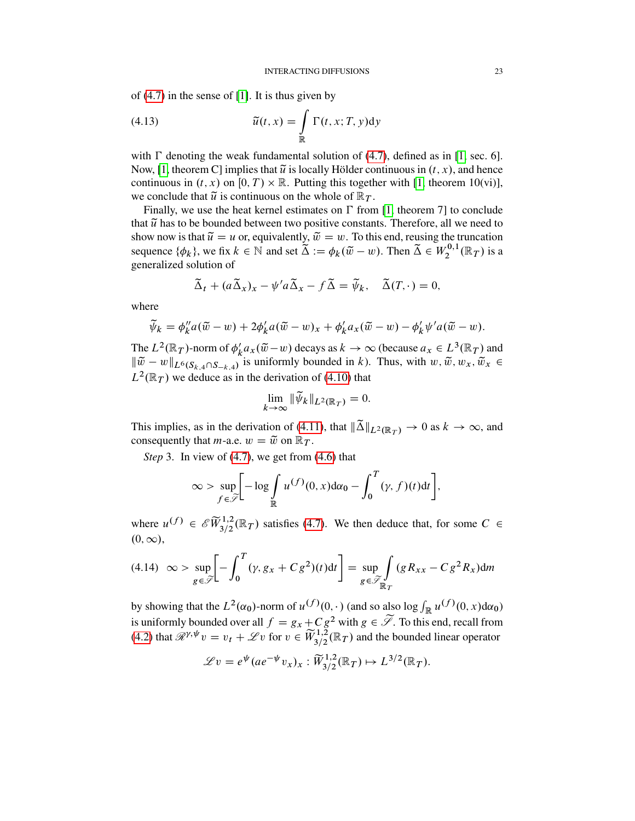of  $(4.7)$  in the sense of  $[1]$ . It is thus given by

(4.13) 
$$
\widetilde{u}(t,x) = \int_{\mathbb{R}} \Gamma(t,x;T,y) dy
$$

with  $\Gamma$  denoting the weak fundamental solution of [\(4.7\)](#page-20-1), defined as in [\[1,](#page-51-0) sec. 6]. Now, [\[1,](#page-51-0) theorem C] implies that  $\tilde{u}$  is locally Hölder continuous in  $(t, x)$ , and hence continuous in  $(t, x)$  on  $[0, T) \times \mathbb{R}$ . Putting this together with [\[1,](#page-51-0) theorem 10(vi)], we conclude that  $\tilde{u}$  is continuous on the whole of  $\mathbb{R}_T$ .

Finally, we use the heat kernel estimates on  $\Gamma$  from [\[1,](#page-51-0) theorem 7] to conclude that  $\tilde{u}$  has to be bounded between two positive constants. Therefore, all we need to show now is that  $\tilde{u} = u$  or, equivalently,  $\tilde{w} = w$ . To this end, reusing the truncation sequence  $\{\phi_k\}$ , we fix  $k \in \mathbb{N}$  and set  $\tilde{\Delta} := \phi_k(\tilde{w} - w)$ . Then  $\tilde{\Delta} \in W_2^{0,1}$  $L_2^{0,1}(\mathbb{R}_T)$  is a generalized solution of

$$
\widetilde{\Delta}_t + (a \widetilde{\Delta}_x)_x - \psi' a \widetilde{\Delta}_x - f \widetilde{\Delta} = \widetilde{\psi}_k, \quad \widetilde{\Delta}(T, \cdot) = 0,
$$

where

$$
\widetilde{\psi}_k = \phi_k'' a(\widetilde{w} - w) + 2\phi_k' a(\widetilde{w} - w)_x + \phi_k' a_x(\widetilde{w} - w) - \phi_k' \psi' a(\widetilde{w} - w).
$$

The  $L^2(\mathbb{R}_T)$ -norm of  $\phi'_k$  $k'_{k}a_{x}(\tilde{w}-w)$  decays as  $k \to \infty$  (because  $a_{x} \in L^{3}(\mathbb{R}_{T})$  and  $\|\tilde{w} - w\|_{L^6(S_{k,4}\cap S_{-k,4})}$  is uniformly bounded in k). Thus, with  $w, \tilde{w}, w_x, \tilde{w}_x \in$  $L^2(\mathbb{R}_T)$  we deduce as in the derivation of [\(4.10\)](#page-21-0) that

$$
\lim_{k \to \infty} \|\widetilde{\psi}_k\|_{L^2(\mathbb{R}_T)} = 0.
$$

This implies, as in the derivation of [\(4.11\)](#page-21-1), that  $\|\tilde{\Delta}\|_{L^2(\mathbb{R}_T)} \to 0$  as  $k \to \infty$ , and consequently that *m*-a.e.  $w = \tilde{w}$  on  $\mathbb{R}_T$ .

*Step* 3. In view of [\(4.7\)](#page-20-1), we get from [\(4.6\)](#page-20-0) that

$$
\infty > \sup_{f \in \widetilde{\mathscr{S}}} \Biggl[ -\log \int_{\mathbb{R}} u^{(f)}(0, x) d\alpha_0 - \int_0^T (\gamma, f)(t) dt \Biggr],
$$

where  $u^{(f)} \in \mathscr{E}(\widetilde{W}^{1,2}_{3/2}(\mathbb{R}_T))$  satisfies [\(4.7\)](#page-20-1). We then deduce that, for some  $C \in$  $(0,\infty),$ 

<span id="page-22-0"></span>
$$
(4.14) \quad \infty > \sup_{g \in \widetilde{\mathcal{S}}} \left[ -\int_0^T (\gamma, g_x + C g^2)(t) \, \mathrm{d}t \right] = \sup_{g \in \widetilde{\mathcal{S}}_{\mathbb{R}_T}} \int \left( g \, R_{xx} - C g^2 R_x \right) \, \mathrm{d}m
$$

by showing that the  $L^2(\alpha_0)$ -norm of  $u^{(f)}(0, \cdot)$  (and so also log  $\int_{\mathbb{R}} u^{(f)}(0, x) d\alpha_0$ ) is uniformly bounded over all  $f = g_x + C g^2$  with  $g \in \widetilde{\mathcal{S}}$ . To this end, recall from [\(4.2\)](#page-19-3) that  $\mathcal{R}^{\gamma,\psi}v = v_t + \mathcal{L}v$  for  $v \in \widetilde{W}_{3/2}^{1,2}(\mathbb{R}_T)$  and the bounded linear operator

$$
\mathscr{L}v = e^{\psi}(ae^{-\psi}v_x)_x : \widetilde{W}^{1,2}_{3/2}(\mathbb{R}_T) \mapsto L^{3/2}(\mathbb{R}_T).
$$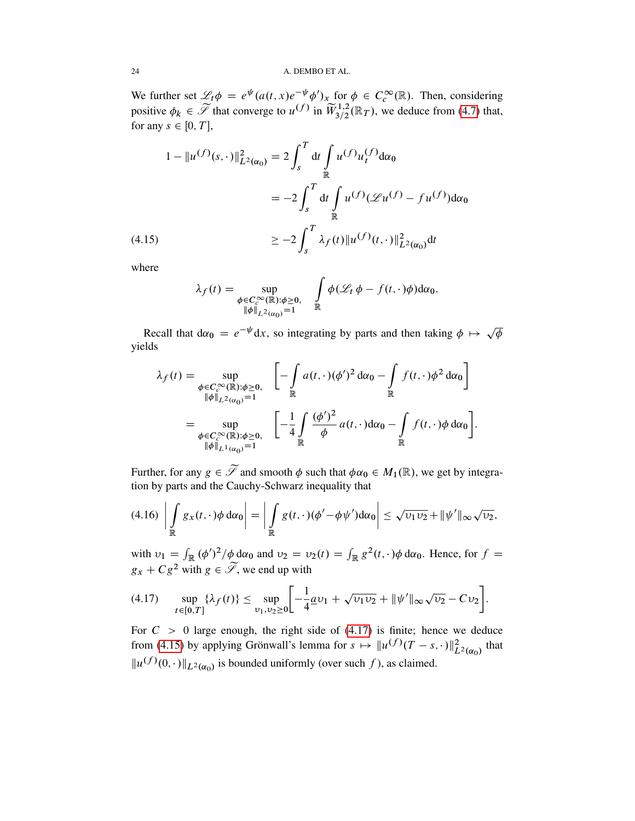We further set  $\mathscr{L}_t \phi = e^{\psi} (a(t, x)e^{-\psi} \phi')_x$  for  $\phi \in C_c^{\infty}(\mathbb{R})$ . Then, considering positive  $\phi_k \in \widetilde{\mathscr{I}}$  that converge to  $u^{(f)}$  in  $\widetilde{W}^{1,2}_{3/2}(\mathbb{R}_T)$ , we deduce from [\(4.7\)](#page-20-1) that, for any  $s \in [0, T]$ ,

$$
1 - \|u^{(f)}(s, \cdot)\|_{L^2(\alpha_0)}^2 = 2 \int_s^T dt \int_{\mathbb{R}} u^{(f)} u_t^{(f)} d\alpha_0
$$
  

$$
= -2 \int_s^T dt \int_{\mathbb{R}} u^{(f)} (\mathcal{L}u^{(f)} - fu^{(f)}) d\alpha_0
$$
  

$$
\geq -2 \int_s^T \lambda_f(t) \|u^{(f)}(t, \cdot)\|_{L^2(\alpha_0)}^2 dt
$$

<span id="page-23-1"></span>where

$$
\lambda_f(t) = \sup_{\substack{\phi \in C_c^{\infty}(\mathbb{R}): \phi \ge 0, \\ \|\phi\|_{L^2(\alpha_0)} = 1}} \int_{\mathbb{R}} \phi(\mathcal{L}_t \phi - f(t, \cdot) \phi) d\alpha_0.
$$

Recall that  $d\alpha_0 = e^{-\psi} dx$ , so integrating by parts and then taking  $\phi \mapsto \sqrt{\frac{d\psi}{d\eta}}$  $\overline{\phi}$ yields

$$
\lambda_f(t) = \sup_{\substack{\phi \in C_c^\infty(\mathbb{R}): \phi \ge 0, \\ \|\phi\|_{L^2(\alpha_0)} = 1}} \left[ -\int_{\mathbb{R}} a(t, \cdot) (\phi')^2 d\alpha_0 - \int_{\mathbb{R}} f(t, \cdot) \phi^2 d\alpha_0 \right]
$$

$$
= \sup_{\substack{\phi \in C_c^\infty(\mathbb{R}): \phi \ge 0, \\ \|\phi\|_{L^1(\alpha_0)} = 1}} \left[ -\frac{1}{4} \int_{\mathbb{R}} \frac{(\phi')^2}{\phi} a(t, \cdot) d\alpha_0 - \int_{\mathbb{R}} f(t, \cdot) \phi d\alpha_0 \right].
$$

Further, for any  $g \in \widetilde{\mathscr{S}}$  and smooth  $\phi$  such that  $\phi \alpha_0 \in M_1(\mathbb{R})$ , we get by integration by parts and the Cauchy-Schwarz inequality that

$$
(4.16)\left|\int\limits_{\mathbb{R}} g_x(t,\cdot)\phi\,d\alpha_0\right| = \left|\int\limits_{\mathbb{R}} g(t,\cdot)(\phi'-\phi\psi')d\alpha_0\right| \leq \sqrt{\nu_1\nu_2} + \|\psi'\|_{\infty}\sqrt{\nu_2},
$$

with  $v_1 = \int_{\mathbb{R}} (\phi')^2 / \phi \, d\alpha_0$  and  $v_2 = v_2(t) = \int_{\mathbb{R}} g^2(t, \cdot) \phi \, d\alpha_0$ . Hence, for  $f =$  $g_x + C g^2$  with  $g \in \widetilde{\mathscr{S}}$ , we end up with

<span id="page-23-0"></span>
$$
(4.17) \quad \sup_{t\in[0,T]} \{\lambda_f(t)\} \leq \sup_{\nu_1,\nu_2\geq 0} \bigg[ -\frac{1}{4} \underline{a} \nu_1 + \sqrt{\nu_1 \nu_2} + \|\psi'\|_{\infty} \sqrt{\nu_2} - C \nu_2 \bigg].
$$

For  $C > 0$  large enough, the right side of [\(4.17\)](#page-23-0) is finite; hence we deduce from [\(4.15\)](#page-23-1) by applying Grönwall's lemma for  $s \mapsto ||u^{(f)}(T-s,\cdot)||_{L^2(\alpha_0)}^2$  that  $||u^{(f)}(0, \cdot)||_{L^2(\alpha_0)}$  is bounded uniformly (over such f), as claimed.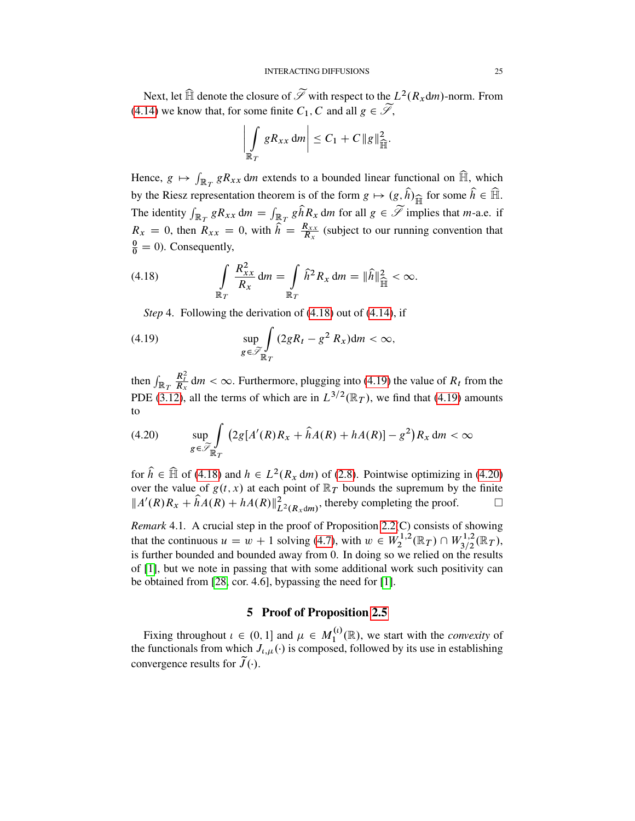Next, let  $\widehat{\mathbb{H}}$  denote the closure of  $\widetilde{\mathscr{I}}$  with respect to the  $L^2(R_x \text{d}m)$ -norm. From [\(4.14\)](#page-22-0) we know that, for some finite  $C_1$ , C and all  $g \in \widetilde{\mathscr{S}}$ ,

$$
\left|\int\limits_{\mathbb{R}_T} gR_{xx} \, \mathrm{d}m\right| \leq C_1 + C \, \|g\|_{\widehat{\mathbb{H}}}^2.
$$

Hence,  $g \mapsto \int_{\mathbb{R}_T} gR_{xx} dm$  extends to a bounded linear functional on  $\widehat{\mathbb{H}}$ , which by the Riesz representation theorem is of the form  $g \mapsto (g, \hat{h})_{\widehat{\mathbb{H}}}$  for some  $\hat{h} \in \widehat{\mathbb{H}}$ . The identity  $\int_{\mathbb{R}_T} gR_{xx} dm = \int_{\mathbb{R}_T} g\hat{h}R_x dm$  for all  $g \in \widetilde{\mathcal{I}}$  implies that *m*-a.e. if  $R_x = 0$ , then  $R_{xx} = 0$ , with  $\hat{h} = \frac{R_{xx}}{R_x}$  $\frac{R_{XX}}{R_X}$  (subject to our running convention that  $\frac{0}{0} = 0$ ). Consequently,

(4.18) 
$$
\int_{\mathbb{R}_T} \frac{R_{xx}^2}{R_x} dm = \int_{\mathbb{R}_T} \hat{h}^2 R_x dm = \|\hat{h}\|_{\widehat{H}}^2 < \infty.
$$

<span id="page-24-1"></span><span id="page-24-0"></span>*Step* 4. Following the derivation of [\(4.18\)](#page-24-0) out of [\(4.14\)](#page-22-0), if

(4.19) 
$$
\sup_{g \in \widetilde{\mathscr{S}}_{\mathbb{R}_T}} \int (2gR_t - g^2 R_x) dm < \infty,
$$

then  $\int_{\mathbb{R}_T}$  $\frac{R_t^2}{R_x}$  dm <  $\infty$ . Furthermore, plugging into [\(4.19\)](#page-24-1) the value of  $R_t$  from the PDE [\(3.12\)](#page-14-0), all the terms of which are in  $L^{3/2}(\mathbb{R}_T)$ , we find that [\(4.19\)](#page-24-1) amounts to

<span id="page-24-2"></span>
$$
(4.20) \qquad \sup_{g \in \widetilde{\mathcal{S}}_{\mathbb{R}T}} \int_{\mathbb{R}^T} \left( 2g[A'(R)R_x + \widehat{h}A(R) + hA(R)] - g^2 \right) R_x \, \mathrm{d}m < \infty
$$

for  $\hat{h} \in \hat{\mathbb{H}}$  of [\(4.18\)](#page-24-0) and  $h \in L^2(R_x \, dm)$  of [\(2.8\)](#page-7-3). Pointwise optimizing in [\(4.20\)](#page-24-2) over the value of  $g(t, x)$  at each point of  $\mathbb{R}_T$  bounds the supremum by the finite  $||A'(R)R_x + \hat{h}A(R) + hA(R)||_{L^2(R_x \text{d}m)}^2$ , thereby completing the proof.

*Remark* 4.1*.* A crucial step in the proof of Proposition [2.2\(](#page-5-0)C) consists of showing that the continuous  $u = w + 1$  solving [\(4.7\)](#page-20-1), with  $w \in W_2^{1,2}$  $W_2^{1,2}(\mathbb{R}_T) \cap W_{3/2}^{1,2}(\mathbb{R}_T),$ is further bounded and bounded away from 0. In doing so we relied on the results of [\[1\]](#page-51-0), but we note in passing that with some additional work such positivity can be obtained from [\[28,](#page-53-11) cor. 4.6], bypassing the need for [\[1\]](#page-51-0).

# 5 Proof of Proposition [2.5](#page-7-0)

Fixing throughout  $\iota \in (0, 1]$  and  $\mu \in M_1^{(\iota)}$  $\mathcal{L}_1^{(l)}(\mathbb{R})$ , we start with the *convexity* of the functionals from which  $J_{i,\mu}(\cdot)$  is composed, followed by its use in establishing convergence results for  $\tilde{J}(\cdot)$ .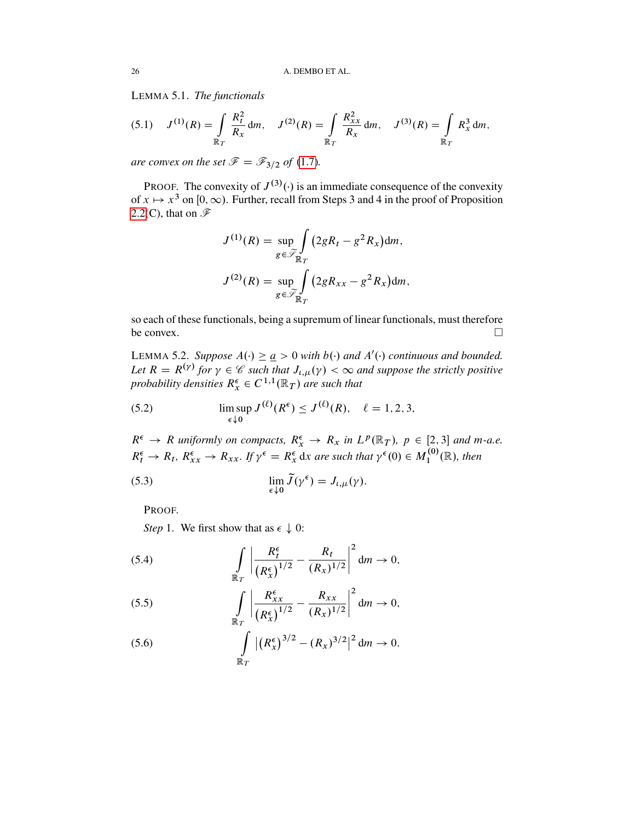<span id="page-25-6"></span>LEMMA 5.1. *The functionals*

$$
(5.1) \quad J^{(1)}(R) = \int\limits_{\mathbb{R}_T} \frac{R_t^2}{R_x} \, \mathrm{d}m, \quad J^{(2)}(R) = \int\limits_{\mathbb{R}_T} \frac{R_{xx}^2}{R_x} \, \mathrm{d}m, \quad J^{(3)}(R) = \int\limits_{\mathbb{R}_T} R_x^3 \, \mathrm{d}m,
$$

*are convex on the set*  $\mathcal{F} = \mathcal{F}_{3/2}$  *of* [\(1.7\)](#page-3-7)*.* 

PROOF. The convexity of  $J^{(3)}(\cdot)$  is an immediate consequence of the convexity of  $x \mapsto x^3$  on  $[0, \infty)$ . Further, recall from Steps 3 and 4 in the proof of Proposition [2.2\(](#page-5-0)C), that on  $\mathscr{F}$ 

$$
J^{(1)}(R) = \sup_{g \in \widetilde{\mathscr{S}}_{\mathbb{R}_T}} \int (2gR_t - g^2 R_x) dm,
$$
  

$$
J^{(2)}(R) = \sup_{g \in \widetilde{\mathscr{S}}_{\mathbb{R}_T}} \int (2gR_{xx} - g^2 R_x) dm,
$$

so each of these functionals, being a supremum of linear functionals, must therefore be convex.  $\Box$ 

<span id="page-25-5"></span>LEMMA 5.2. *Suppose*  $A(\cdot) \geq a > 0$  *with*  $b(\cdot)$  *and*  $A'(\cdot)$  *continuous and bounded.* Let  $R = R^{(\gamma)}$  for  $\gamma \in \mathcal{C}$  such that  $J_{\iota,\mu}(\gamma) < \infty$  and suppose the strictly positive probability densities  $R_x^{\epsilon} \in C^{1,1}(\mathbb{R}_T)$  are such that

<span id="page-25-0"></span>(5.2) 
$$
\limsup_{\epsilon \downarrow 0} J^{(\ell)}(R^{\epsilon}) \leq J^{(\ell)}(R), \quad \ell = 1, 2, 3,
$$

 $R^{\epsilon} \to R$  uniformly on compacts,  $R^{\epsilon}_x \to R_x$  in  $L^p(\mathbb{R}_T)$ ,  $p \in [2,3]$  and m-a.e.  $R_t^{\epsilon} \to R_t$ ,  $R_{xx}^{\epsilon} \to R_{xx}$ . If  $\gamma^{\epsilon} = R_x^{\epsilon}$  dx are such that  $\gamma^{\epsilon}(0) \in M_1^{(0)}$  $\mathcal{L}_1^{(0)}(\mathbb{R})$ , then

(5.3) 
$$
\lim_{\epsilon \downarrow 0} \widetilde{J}(\gamma^{\epsilon}) = J_{\iota,\mu}(\gamma).
$$

<span id="page-25-4"></span>PROOF.

*Step* 1. We first show that as  $\epsilon \downarrow 0$ :

<span id="page-25-2"></span>(5.4) 
$$
\int_{\mathbb{R}_T} \left| \frac{R_t^{\epsilon}}{(R_x^{\epsilon})^{1/2}} - \frac{R_t}{(R_x)^{1/2}} \right|^2 dm \to 0,
$$

<span id="page-25-3"></span>(5.5) 
$$
\int_{\mathbb{R}_T} \left| \frac{R_{xx}^{\epsilon}}{(R_x^{\epsilon})^{1/2}} - \frac{R_{xx}}{(R_x)^{1/2}} \right|^2 dm \to 0,
$$

<span id="page-25-1"></span>(5.6) 
$$
\int_{\mathbb{R}_T} |(R_x^{\epsilon})^{3/2} - (R_x)^{3/2}|^2 dm \to 0.
$$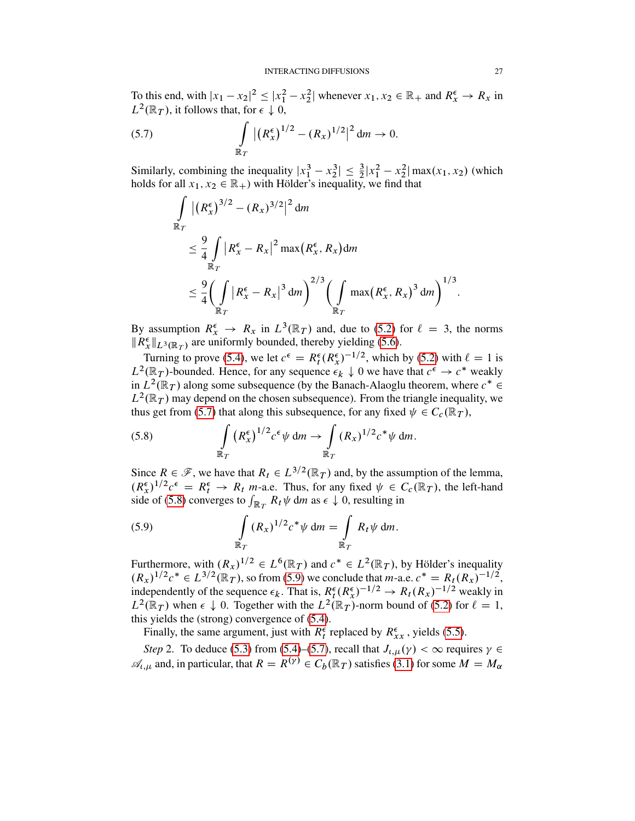To this end, with  $|x_1 - x_2|^2 \le |x_1^2 - x_2^2|$  whenever  $x_1, x_2 \in \mathbb{R}_+$  and  $R_x^{\epsilon} \to R_x$  in  $L^2(\mathbb{R}_T)$ , it follows that, for  $\epsilon \downarrow 0$ ,

(5.7) 
$$
\int_{\mathbb{R}_T} |(R_x^{\epsilon})^{1/2} - (R_x)^{1/2}|^2 dm \to 0.
$$

Similarly, combining the inequality  $|x_1^3 - x_2^3| \le \frac{3}{2}|x_1^2 - x_2^2| \max(x_1, x_2)$  (which holds for all  $x_1, x_2 \in \mathbb{R}_+$ ) with Hölder's inequality, we find that

<span id="page-26-0"></span>
$$
\int_{\mathbb{R}_T} |(R_x^{\epsilon})^{3/2} - (R_x)^{3/2}|^2 dm
$$
\n
$$
\leq \frac{9}{4} \int_{\mathbb{R}_T} |R_x^{\epsilon} - R_x|^2 \max(R_x^{\epsilon}, R_x) dm
$$
\n
$$
\leq \frac{9}{4} \left( \int_{\mathbb{R}_T} |R_x^{\epsilon} - R_x|^3 dm \right)^{2/3} \left( \int_{\mathbb{R}_T} \max(R_x^{\epsilon}, R_x)^3 dm \right)^{1/3}.
$$

By assumption  $R_x^{\epsilon} \to R_x$  in  $L^3(\mathbb{R}_T)$  and, due to [\(5.2\)](#page-25-0) for  $\ell = 3$ , the norms  $||R_{x}^{\epsilon}||_{L^{3}(\mathbb{R}_{T})}$  are uniformly bounded, thereby yielding [\(5.6\)](#page-25-1).

Turning to prove [\(5.4\)](#page-25-2), we let  $c^{\epsilon} = R_t^{\epsilon} (R_x^{\epsilon})^{-1/2}$ , which by [\(5.2\)](#page-25-0) with  $\ell = 1$  is  $L^2(\mathbb{R}_T)$ -bounded. Hence, for any sequence  $\epsilon_k \downarrow 0$  we have that  $c^{\epsilon} \rightarrow c^*$  weakly in  $L^2(\mathbb{R}_T)$  along some subsequence (by the Banach-Alaoglu theorem, where  $c^* \in$  $L^2(\mathbb{R}_T)$  may depend on the chosen subsequence). From the triangle inequality, we thus get from [\(5.7\)](#page-26-0) that along this subsequence, for any fixed  $\psi \in C_c(\mathbb{R}_T)$ ,

<span id="page-26-1"></span>(5.8) 
$$
\int_{\mathbb{R}_T} (R_x^{\epsilon})^{1/2} c^{\epsilon} \psi \, dm \to \int_{\mathbb{R}_T} (R_x)^{1/2} c^* \psi \, dm.
$$

Since  $R \in \mathcal{F}$ , we have that  $R_t \in L^{3/2}(\mathbb{R}_T)$  and, by the assumption of the lemma,  $(R_x^{\epsilon})^{1/2}c^{\epsilon} = R_t^{\epsilon} \to R_t$  *m*-a.e. Thus, for any fixed  $\psi \in C_c(\mathbb{R}_T)$ , the left-hand side of [\(5.8\)](#page-26-1) converges to  $\int_{\mathbb{R}_T} R_t \psi$  dm as  $\epsilon \downarrow 0$ , resulting in

<span id="page-26-2"></span>(5.9) 
$$
\int_{\mathbb{R}_T} (R_x)^{1/2} c^* \psi \, dm = \int_{\mathbb{R}_T} R_t \psi \, dm.
$$

Furthermore, with  $(R_x)^{1/2} \in L^6(\mathbb{R}_T)$  and  $c^* \in L^2(\mathbb{R}_T)$ , by Hölder's inequality  $(R_x)^{1/2}c^* \in L^{3/2}(\mathbb{R}_T)$ , so from [\(5.9\)](#page-26-2) we conclude that *m*-a.e.  $c^* = R_t(R_x)^{-1/2}$ , independently of the sequence  $\epsilon_k$ . That is,  $R_t^{\epsilon} (R_x^{\epsilon})^{-1/2} \to R_t (R_x)^{-1/2}$  weakly in  $L^2(\mathbb{R}_T)$  when  $\epsilon \downarrow 0$ . Together with the  $L^2(\mathbb{R}_T)$ -norm bound of [\(5.2\)](#page-25-0) for  $\ell = 1$ , this yields the (strong) convergence of [\(5.4\)](#page-25-2).

Finally, the same argument, just with  $R_t^{\epsilon}$  replaced by  $R_{xx}^{\epsilon}$ , yields [\(5.5\)](#page-25-3).

*Step* 2. To deduce [\(5.3\)](#page-25-4) from [\(5.4\)](#page-25-2)–[\(5.7\)](#page-26-0), recall that  $J_{i,\mu}(\gamma) < \infty$  requires  $\gamma \in$  $\mathscr{A}_{L,\mu}$  and, in particular, that  $R = R^{(\gamma)} \in C_b(\mathbb{R}_T)$  satisfies [\(3.1\)](#page-9-2) for some  $M = M_\alpha$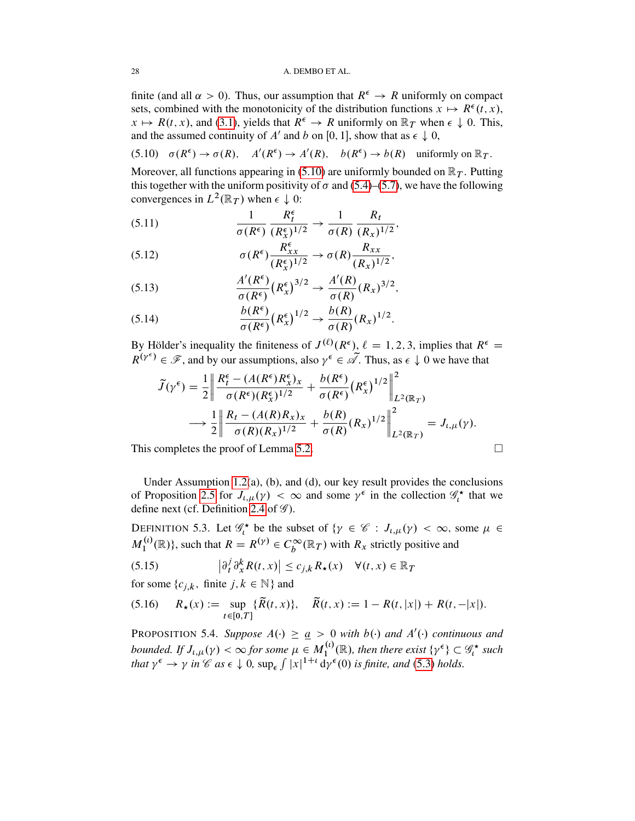finite (and all  $\alpha > 0$ ). Thus, our assumption that  $R^{\epsilon} \to R$  uniformly on compact sets, combined with the monotonicity of the distribution functions  $x \mapsto R^{\epsilon}(t, x)$ ,  $x \mapsto R(t, x)$ , and [\(3.1\)](#page-9-2), yields that  $R^{\epsilon} \to R$  uniformly on  $\mathbb{R}_T$  when  $\epsilon \downarrow 0$ . This, and the assumed continuity of A' and b on [0, 1], show that as  $\epsilon \downarrow 0$ ,

<span id="page-27-0"></span>(5.10) 
$$
\sigma(R^{\epsilon}) \to \sigma(R)
$$
,  $A'(R^{\epsilon}) \to A'(R)$ ,  $b(R^{\epsilon}) \to b(R)$  uniformly on  $\mathbb{R}_T$ .

Moreover, all functions appearing in [\(5.10\)](#page-27-0) are uniformly bounded on  $\mathbb{R}_T$ . Putting this together with the uniform positivity of  $\sigma$  and [\(5.4\)](#page-25-2)–[\(5.7\)](#page-26-0), we have the following convergences in  $L^2(\mathbb{R}_T)$  when  $\epsilon \downarrow 0$ :

(5.11) 
$$
\frac{1}{\sigma(R^{\epsilon})} \frac{R_t^{\epsilon}}{(R_x^{\epsilon})^{1/2}} \to \frac{1}{\sigma(R)} \frac{R_t}{(R_x)^{1/2}},
$$

(5.12) 
$$
\sigma(R^{\epsilon}) \frac{R_{xx}^{\epsilon}}{(R_x^{\epsilon})^{1/2}} \rightarrow \sigma(R) \frac{R_{xx}}{(R_x)^{1/2}},
$$

(5.13) 
$$
\frac{A'(R^{\epsilon})}{\sigma(R^{\epsilon})} (R_x^{\epsilon})^{3/2} \rightarrow \frac{A'(R)}{\sigma(R)} (R_x)^{3/2},
$$

(5.14) 
$$
\frac{b(R^{\epsilon})}{\sigma(R^{\epsilon})}(R_x^{\epsilon})^{1/2} \rightarrow \frac{b(R)}{\sigma(R)}(R_x)^{1/2}.
$$

By Hölder's inequality the finiteness of  $J^{(\ell)}(R^{\epsilon})$ ,  $\ell = 1, 2, 3$ , implies that  $R^{\epsilon} =$  $R^{(\gamma^{\epsilon})} \in \mathscr{F}$ , and by our assumptions, also  $\gamma^{\epsilon} \in \mathscr{A}$ . Thus, as  $\epsilon \downarrow 0$  we have that

$$
\tilde{J}(\gamma^{\epsilon}) = \frac{1}{2} \left\| \frac{R_{t}^{\epsilon} - (A(R^{\epsilon})R_{x}^{\epsilon})_{x}}{\sigma(R^{\epsilon})(R_{x}^{\epsilon})^{1/2}} + \frac{b(R^{\epsilon})}{\sigma(R^{\epsilon})}(R_{x}^{\epsilon})^{1/2} \right\|_{L^{2}(\mathbb{R}_{T})}^{2}
$$
\n
$$
\longrightarrow \frac{1}{2} \left\| \frac{R_{t} - (A(R)R_{x})_{x}}{\sigma(R)(R_{x})^{1/2}} + \frac{b(R)}{\sigma(R)}(R_{x})^{1/2} \right\|_{L^{2}(\mathbb{R}_{T})}^{2} = J_{t,\mu}(\gamma).
$$

This completes the proof of Lemma [5.2.](#page-25-5)

Under Assumption [1.2\(](#page-2-0)a), (b), and (d), our key result provides the conclusions of Proposition [2.5](#page-7-0) for  $J_{\iota,\mu}(\gamma) < \infty$  and some  $\gamma^{\epsilon}$  in the collection  $\mathscr{G}_{\iota}^{\star}$  that we define next (cf. Definition [2.4](#page-7-5) of  $\mathscr G$ ).

DEFINITION 5.3. Let  $\mathscr{G}_t^*$  be the subset of  $\{\gamma \in \mathscr{C} : J_{t,\mu}(\gamma) < \infty$ , some  $\mu \in$  $M_1^{(t)}$  $L_1^{(l)}(\mathbb{R})$ , such that  $R = R^{(\gamma)} \in C_b^{\infty}(\mathbb{R}_T)$  with  $R_x$  strictly positive and

<span id="page-27-1"></span>(5.15) 
$$
\left|\partial_t^j \partial_x^k R(t,x)\right| \leq c_{j,k} R_\star(x) \quad \forall (t,x) \in \mathbb{R}_T
$$

for some  $\{c_{i,k}, \text{ finite } j, k \in \mathbb{N}\}\$ and

<span id="page-27-2"></span>
$$
(5.16) \quad R_{\star}(x) := \sup_{t \in [0,T]} \{ \widetilde{R}(t,x) \}, \quad \widetilde{R}(t,x) := 1 - R(t,|x|) + R(t,-|x|).
$$

<span id="page-27-3"></span>**PROPOSITION 5.4.** *Suppose*  $A(\cdot) \geq a > 0$  *with*  $b(\cdot)$  *and*  $A'(\cdot)$  *continuous and* bounded. If  $J_{t,\mu}(\gamma) < \infty$  for some  $\mu \in M_1^{(t)}$  $\mathcal{L}_1^{(t)}(\mathbb{R})$ , then there exist  $\{\gamma^{\epsilon}\}\subset \mathscr{G}_t^{\star}$  such *that*  $\gamma^{\epsilon} \to \gamma$  *in*  $\mathscr{C}$  *as*  $\epsilon \downarrow 0$ *,* sup<sub> $\epsilon$ </sub>  $\int |x|^{1+t} \, dy^{\epsilon}(0)$  *is finite, and* [\(5.3\)](#page-25-4) *holds.* 

$$
\qquad \qquad \Box
$$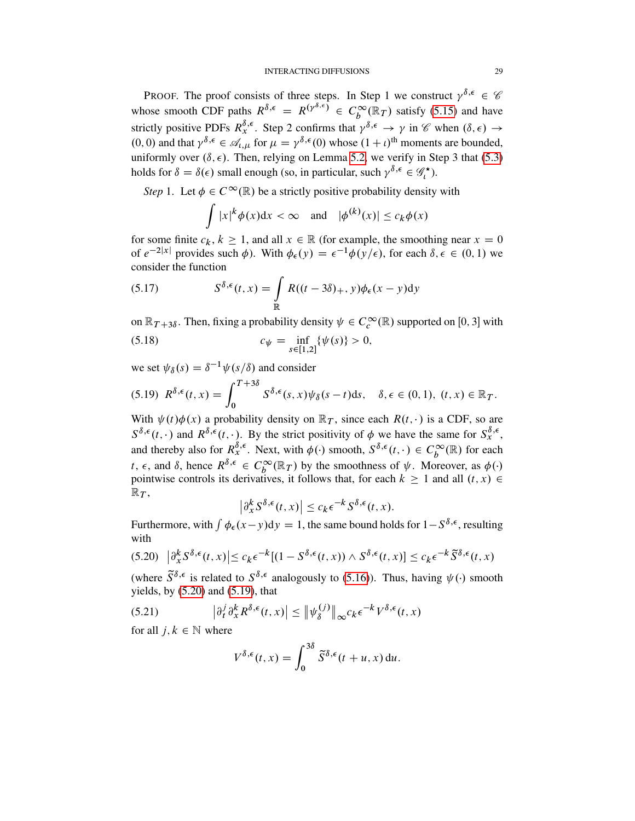PROOF. The proof consists of three steps. In Step 1 we construct  $\gamma^{\delta,\epsilon} \in \mathscr{C}$ whose smooth CDF paths  $R^{\delta,\epsilon} = R^{(\gamma^{\delta,\epsilon})} \in C_b^{\infty}(\mathbb{R}_T)$  satisfy [\(5.15\)](#page-27-1) and have strictly positive PDFs  $R_x^{\delta,\epsilon}$ . Step 2 confirms that  $\gamma^{\delta,\epsilon} \to \gamma$  in  $\mathscr{C}$  when  $(\delta,\epsilon) \to$  $(0, 0)$  and that  $\gamma^{\delta, \epsilon} \in \mathcal{A}_{t, \mu}$  for  $\mu = \gamma^{\delta, \epsilon}(0)$  whose  $(1 + \iota)^{\text{th}}$  moments are bounded, uniformly over  $(\delta, \epsilon)$ . Then, relying on Lemma [5.2,](#page-25-5) we verify in Step 3 that [\(5.3\)](#page-25-4) holds for  $\delta = \delta(\epsilon)$  small enough (so, in particular, such  $\gamma^{\delta,\epsilon} \in \mathscr{G}_t^{\star}$ ).

*Step* 1. Let  $\phi \in C^{\infty}(\mathbb{R})$  be a strictly positive probability density with

<span id="page-28-3"></span>
$$
\int |x|^k \phi(x) dx < \infty \quad \text{and} \quad |\phi^{(k)}(x)| \leq c_k \phi(x)
$$

for some finite  $c_k, k \ge 1$ , and all  $x \in \mathbb{R}$  (for example, the smoothing near  $x = 0$ of  $e^{-2|x|}$  provides such  $\phi$ ). With  $\phi_{\epsilon}(y) = \epsilon^{-1}\phi(y/\epsilon)$ , for each  $\delta, \epsilon \in (0, 1)$  we consider the function

(5.17) 
$$
S^{\delta,\epsilon}(t,x) = \int_{\mathbb{R}} R((t-3\delta)_{+}, y)\phi_{\epsilon}(x-y)dy
$$

<span id="page-28-4"></span>on  $\mathbb{R}_{T+3\delta}$ . Then, fixing a probability density  $\psi \in C_c^{\infty}(\mathbb{R})$  supported on [0, 3] with (5.18)  $c_{\psi} = \inf_{s \in [1,2]} {\psi(s)} > 0,$ 

we set  $\psi_{\delta}(s) = \delta^{-1} \psi(s/\delta)$  and consider

<span id="page-28-1"></span>
$$
(5.19) \ \ R^{\delta,\epsilon}(t,x)=\int_0^{T+3\delta} S^{\delta,\epsilon}(s,x)\psi_{\delta}(s-t)ds, \quad \delta,\epsilon\in(0,1), \ (t,x)\in\mathbb{R}_T.
$$

With  $\psi(t)\phi(x)$  a probability density on  $\mathbb{R}_T$ , since each  $R(t, \cdot)$  is a CDF, so are  $S^{\delta,\epsilon}(t,\cdot)$  and  $R^{\delta,\epsilon}(t,\cdot)$ . By the strict positivity of  $\phi$  we have the same for  $S^{\delta,\epsilon}_x$ , and thereby also for  $R_x^{\delta,\epsilon}$ . Next, with  $\phi(\cdot)$  smooth,  $S^{\delta,\epsilon}(t,\cdot) \in C_b^{\infty}(\mathbb{R})$  for each t,  $\epsilon$ , and  $\delta$ , hence  $R^{\delta,\epsilon} \in C_b^{\infty}(\mathbb{R}_T)$  by the smoothness of  $\psi$ . Moreover, as  $\phi(\cdot)$ pointwise controls its derivatives, it follows that, for each  $k \ge 1$  and all  $(t, x) \in$  $\mathbb{R}_T$ ,

$$
\left|\partial_x^k S^{\delta,\epsilon}(t,x)\right| \leq c_k \epsilon^{-k} S^{\delta,\epsilon}(t,x).
$$

Furthermore, with  $\int \phi_{\epsilon}(x-y) dy = 1$ , the same bound holds for  $1-S^{\delta,\epsilon}$ , resulting with

<span id="page-28-0"></span>
$$
(5.20) \quad \left| \partial_x^k S^{\delta,\epsilon}(t,x) \right| \le c_k \epsilon^{-k} [(1 - S^{\delta,\epsilon}(t,x)) \wedge S^{\delta,\epsilon}(t,x)] \le c_k \epsilon^{-k} \widetilde{S}^{\delta,\epsilon}(t,x)
$$

(where  $\tilde{S}^{\delta,\epsilon}$  is related to  $S^{\delta,\epsilon}$  analogously to [\(5.16\)](#page-27-2)). Thus, having  $\psi(\cdot)$  smooth yields, by  $(5.20)$  and  $(5.19)$ , that

(5.21) 
$$
\left|\partial_t^j \partial_x^k R^{\delta,\epsilon}(t,x)\right| \leq \left\|\psi_{\delta}^{(j)}\right\|_{\infty} c_k \epsilon^{-k} V^{\delta,\epsilon}(t,x)
$$

for all  $j, k \in \mathbb{N}$  where

<span id="page-28-2"></span>
$$
V^{\delta,\epsilon}(t,x) = \int_0^{3\delta} \tilde{S}^{\delta,\epsilon}(t+u,x) \, \mathrm{d}u.
$$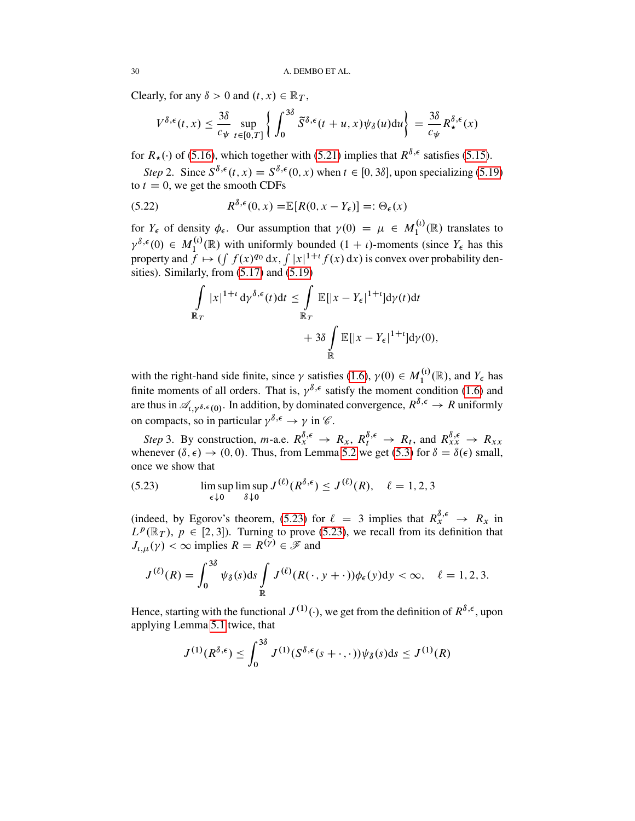Clearly, for any  $\delta > 0$  and  $(t, x) \in \mathbb{R}_T$ ,

$$
V^{\delta,\epsilon}(t,x) \leq \frac{3\delta}{c_{\psi}} \sup_{t \in [0,T]} \left\{ \int_0^{3\delta} \widetilde{S}^{\delta,\epsilon}(t+u,x) \psi_{\delta}(u) \mathrm{d}u \right\} = \frac{3\delta}{c_{\psi}} R_{\star}^{\delta,\epsilon}(x)
$$

for  $R_{\star}(\cdot)$  of [\(5.16\)](#page-27-2), which together with [\(5.21\)](#page-28-2) implies that  $R^{\delta,\epsilon}$  satisfies [\(5.15\)](#page-27-1).

*Step* 2. Since  $S^{\delta,\epsilon}(t, x) = S^{\delta,\epsilon}(0, x)$  when  $t \in [0, 3\delta]$ , upon specializing [\(5.19\)](#page-28-1) to  $t = 0$ , we get the smooth CDFs

(5.22) 
$$
R^{\delta,\epsilon}(0,x) = \mathbb{E}[R(0,x-Y_{\epsilon})] =: \Theta_{\epsilon}(x)
$$

for  $Y_{\epsilon}$  of density  $\phi_{\epsilon}$ . Our assumption that  $\gamma(0) = \mu \in M_1^{(l)}$  $I_1^{(l)}(\mathbb{R})$  translates to  $\gamma^{\delta,\epsilon}(0) \in M_1^{(\iota)}$  $1^{(\iota)}_{1}(\mathbb{R})$  with uniformly bounded  $(1 + \iota)$ -moments (since  $Y_{\epsilon}$  has this property and  $\hat{f} \mapsto (\int f(x)^{q_0} dx, \int |x|^{1+t} f(x) dx)$  is convex over probability densities). Similarly, from [\(5.17\)](#page-28-3) and [\(5.19\)](#page-28-1)

$$
\int_{\mathbb{R}_T} |x|^{1+t} \, \mathrm{d} \gamma^{\delta,\epsilon}(t) \mathrm{d} t \leq \int_{\mathbb{R}_T} \mathbb{E}[|x - Y_{\epsilon}|^{1+t}] \mathrm{d} \gamma(t) \mathrm{d} t \n+ 3\delta \int_{\mathbb{R}} \mathbb{E}[|x - Y_{\epsilon}|^{1+t}] \mathrm{d} \gamma(0),
$$

with the right-hand side finite, since  $\gamma$  satisfies [\(1.6\)](#page-3-6),  $\gamma(0) \in M_1^{(i)}$  $I_1^{(\iota)}(\mathbb{R})$ , and  $Y_{\epsilon}$  has finite moments of all orders. That is,  $\gamma^{\delta,\epsilon}$  satisfy the moment condition [\(1.6\)](#page-3-6) and are thus in  $\mathscr{A}_{\mu\nu\delta,\epsilon(0)}$ . In addition, by dominated convergence,  $R^{\delta,\epsilon} \to R$  uniformly on compacts, so in particular  $\gamma^{\delta,\epsilon} \to \gamma$  in  $\mathscr{C}$ .

*Step* 3. By construction, *m*-a.e.  $R_x^{\delta,\epsilon} \to R_x$ ,  $R_t^{\delta,\epsilon} \to R_t$ , and  $R_{xx}^{\delta,\epsilon} \to R_{xx}$ whenever  $(\delta, \epsilon) \rightarrow (0, 0)$ . Thus, from Lemma [5.2](#page-25-5) we get [\(5.3\)](#page-25-4) for  $\delta = \delta(\epsilon)$  small, once we show that

<span id="page-29-0"></span>(5.23) 
$$
\limsup_{\epsilon \downarrow 0} \limsup_{\delta \downarrow 0} J^{(\ell)}(R^{\delta,\epsilon}) \leq J^{(\ell)}(R), \quad \ell = 1, 2, 3
$$

(indeed, by Egorov's theorem, [\(5.23\)](#page-29-0) for  $\ell = 3$  implies that  $R_x^{\delta, \epsilon} \to R_x$  in  $L^p(\mathbb{R}_T)$ ,  $p \in [2, 3]$ . Turning to prove [\(5.23\)](#page-29-0), we recall from its definition that  $J_{\iota,\mu}(\gamma) < \infty$  implies  $R = R^{(\gamma)} \in \mathcal{F}$  and

$$
J^{(\ell)}(R) = \int_0^{3\delta} \psi_\delta(s) \mathrm{d}s \int\limits_{\mathbb{R}} J^{(\ell)}(R(\cdot, y + \cdot))\phi_\epsilon(y) \mathrm{d}y < \infty, \quad \ell = 1, 2, 3.
$$

Hence, starting with the functional  $J^{(1)}(\cdot)$ , we get from the definition of  $R^{\delta,\epsilon}$ , upon applying Lemma [5.1](#page-25-6) twice, that

$$
J^{(1)}(R^{\delta,\epsilon}) \leq \int_0^{3\delta} J^{(1)}(S^{\delta,\epsilon}(s+\cdot,\cdot))\psi_{\delta}(s)ds \leq J^{(1)}(R)
$$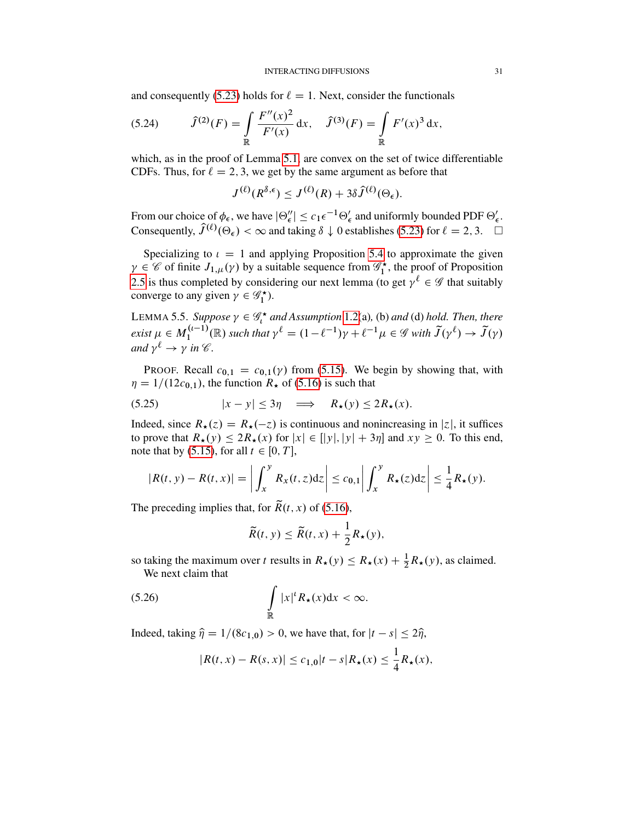and consequently [\(5.23\)](#page-29-0) holds for  $\ell = 1$ . Next, consider the functionals

<span id="page-30-2"></span>(5.24) 
$$
\hat{J}^{(2)}(F) = \int_{\mathbb{R}} \frac{F''(x)^2}{F'(x)} dx, \quad \hat{J}^{(3)}(F) = \int_{\mathbb{R}} F'(x)^3 dx,
$$

which, as in the proof of Lemma [5.1,](#page-25-6) are convex on the set of twice differentiable CDFs. Thus, for  $\ell = 2, 3$ , we get by the same argument as before that

$$
J^{(\ell)}(R^{\delta,\epsilon}) \leq J^{(\ell)}(R) + 3\delta \hat{J}^{(\ell)}(\Theta_{\epsilon}).
$$

From our choice of  $\phi_{\epsilon}$ , we have  $|\Theta''_{\epsilon}| \leq c_1 \epsilon^{-1} \Theta'_{\epsilon}$  and uniformly bounded PDF  $\Theta'_{\epsilon}$ . Consequently,  $\hat{J}^{(\ell)}(\Theta_{\epsilon}) < \infty$  and taking  $\delta \downarrow 0$  establishes [\(5.23\)](#page-29-0) for  $\ell = 2, 3$ .  $\Box$ 

Specializing to  $\iota = 1$  and applying Proposition [5.4](#page-27-3) to approximate the given  $\gamma \in \mathscr{C}$  of finite  $J_{1,\mu}(\gamma)$  by a suitable sequence from  $\mathscr{G}_1^{\star}$ , the proof of Proposition [2.5](#page-7-0) is thus completed by considering our next lemma (to get  $\gamma^{\ell} \in \mathscr{G}$  that suitably converge to any given  $\gamma \in \mathscr{G}_1^{\star}$ ).

LEMMA 5.5. *Suppose*  $\gamma \in \mathscr{G}_t^{\star}$  and Assumption [1.2\(](#page-2-0)a), (b) and (d) hold. Then, there  $exist \mu \in M_1^{(\iota-1)}$  $I_1^{(\iota-1)}(\mathbb{R})$  such that  $\gamma^{\ell} = (1 - \ell^{-1})\gamma + \ell^{-1}\mu \in \mathscr{G}$  with  $\tilde{J}(\gamma^{\ell}) \to \tilde{J}(\gamma)$ and  $\gamma^{\ell} \to \gamma$  in  $\mathscr{C}$ .

PROOF. Recall  $c_{0,1} = c_{0,1}(\gamma)$  from [\(5.15\)](#page-27-1). We begin by showing that, with  $\eta = 1/(12c_{0,1})$ , the function  $R_{\star}$  of [\(5.16\)](#page-27-2) is such that

<span id="page-30-1"></span>
$$
(5.25) \t\t |x - y| \le 3\eta \implies R_{\star}(y) \le 2R_{\star}(x).
$$

Indeed, since  $R_{\star}(z) = R_{\star}(-z)$  is continuous and nonincreasing in |z|, it suffices to prove that  $R_{\star}(y) \leq 2R_{\star}(x)$  for  $|x| \in [|y|, |y| + 3\eta]$  and  $xy \geq 0$ . To this end, note that by [\(5.15\)](#page-27-1), for all  $t \in [0, T]$ ,

$$
|R(t, y) - R(t, x)| = \left| \int_x^y R_x(t, z) dz \right| \leq c_{0,1} \left| \int_x^y R_{\star}(z) dz \right| \leq \frac{1}{4} R_{\star}(y).
$$

The preceding implies that, for  $\widetilde{R}(t, x)$  of [\(5.16\)](#page-27-2),

<span id="page-30-0"></span>
$$
\widetilde{R}(t, y) \leq \widetilde{R}(t, x) + \frac{1}{2} R_{\star}(y),
$$

so taking the maximum over t results in  $R_\star(y) \le R_\star(x) + \frac{1}{2}R_\star(y)$ , as claimed. We next claim that

$$
\int_{\mathbb{R}} |x|^{\iota} R_{\star}(x) \mathrm{d}x < \infty.
$$

Indeed, taking  $\hat{\eta} = 1/(8c_{1,0}) > 0$ , we have that, for  $|t - s| \leq 2\hat{\eta}$ ,

$$
|R(t,x)-R(s,x)|\leq c_{1,0}|t-s|R_{\star}(x)\leq \frac{1}{4}R_{\star}(x),
$$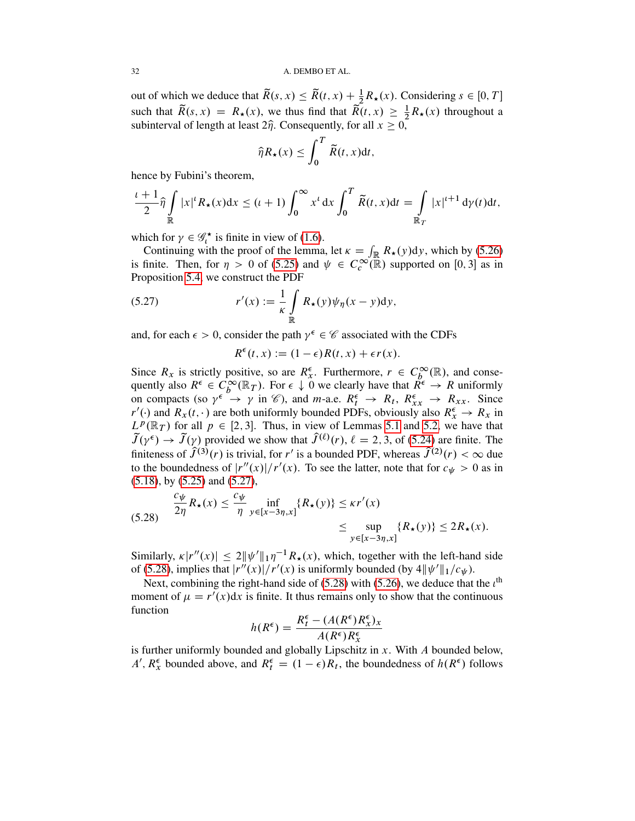out of which we deduce that  $\widetilde{R}(s, x) \leq \widetilde{R}(t, x) + \frac{1}{2}R_{\star}(x)$ . Considering  $s \in [0, T]$ such that  $\widetilde{R}(s, x) = R_{\star}(x)$ , we thus find that  $\widetilde{R}(t, x) \geq \frac{1}{2}R_{\star}(x)$  throughout a subinterval of length at least  $2\hat{\eta}$ . Consequently, for all  $x \geq 0$ ,

$$
\widehat{\eta} R_{\star}(x) \leq \int_0^T \widetilde{R}(t,x) \mathrm{d}t,
$$

hence by Fubini's theorem,

$$
\frac{\iota+1}{2}\widehat{\eta}\int\limits_{\mathbb{R}}|x|^{\iota}R_{\star}(x)dx\leq (\iota+1)\int_{0}^{\infty}x^{\iota}dx\int_{0}^{T}\widetilde{R}(t,x)dt=\int\limits_{\mathbb{R}_{T}}|x|^{\iota+1}d\gamma(t)dt,
$$

which for  $\gamma \in \mathscr{G}_t^*$  is finite in view of [\(1.6\)](#page-3-6).

Continuing with the proof of the lemma, let  $\kappa = \int_{\mathbb{R}} R_{\star}(y) dy$ , which by [\(5.26\)](#page-30-0) is finite. Then, for  $\eta > 0$  of [\(5.25\)](#page-30-1) and  $\psi \in C_c^{\infty}(\mathbb{R})$  supported on [0,3] as in Proposition [5.4,](#page-27-3) we construct the PDF

(5.27) 
$$
r'(x) := \frac{1}{\kappa} \int_{\mathbb{R}} R_{\star}(y) \psi_{\eta}(x - y) dy,
$$

and, for each  $\epsilon > 0$ , consider the path  $\gamma^{\epsilon} \in \mathscr{C}$  associated with the CDFs

<span id="page-31-0"></span>
$$
R^{\epsilon}(t,x) := (1-\epsilon)R(t,x) + \epsilon r(x).
$$

Since  $R_x$  is strictly positive, so are  $R_x^{\epsilon}$ . Furthermore,  $r \in C_b^{\infty}(\mathbb{R})$ , and consequently also  $R^{\epsilon} \in C_b^{\infty}(\mathbb{R}_T)$ . For  $\epsilon \downarrow 0$  we clearly have that  $R^{\epsilon} \to R$  uniformly on compacts (so  $\gamma^{\epsilon} \to \gamma$  in  $\mathcal{C}$ ), and *m*-a.e.  $R_t^{\epsilon} \to R_t$ ,  $R_{xx}^{\epsilon} \to R_{xx}$ . Since  $r'(\cdot)$  and  $R_x(t, \cdot)$  are both uniformly bounded PDFs, obviously also  $R_x^{\epsilon} \to R_x$  in  $L^p(\mathbb{R}_T)$  for all  $p \in [2, 3]$ . Thus, in view of Lemmas [5.1](#page-25-6) and [5.2,](#page-25-5) we have that  $\tilde{J}(\gamma^{\epsilon}) \to \tilde{J}(\gamma)$  provided we show that  $\hat{J}^{(\ell)}(r)$ ,  $\ell = 2, 3$ , of [\(5.24\)](#page-30-2) are finite. The finiteness of  $\hat{J}^{(3)}(r)$  is trivial, for r' is a bounded PDF, whereas  $\hat{J}^{(2)}(r) < \infty$  due to the boundedness of  $|r''(x)|/r'(x)$ . To see the latter, note that for  $c_{\psi} > 0$  as in [\(5.18\)](#page-28-4), by [\(5.25\)](#page-30-1) and [\(5.27\)](#page-31-0),

<span id="page-31-1"></span>
$$
(5.28) \quad \frac{c_{\psi}}{2\eta} R_{\star}(x) \le \frac{c_{\psi}}{\eta} \inf_{y \in [x-3\eta,x]} \{R_{\star}(y)\} \le \kappa r'(x)
$$
  

$$
\le \sup_{y \in [x-3\eta,x]} \{R_{\star}(y)\} \le 2R_{\star}(x).
$$

Similarly,  $\kappa |r''(x)| \leq 2 ||\psi'||_1 \eta^{-1} R_{\star}(x)$ , which, together with the left-hand side of [\(5.28\)](#page-31-1), implies that  $|r''(x)|/r'(x)$  is uniformly bounded (by  $4||\psi'||_1/c_{\psi}$ ).

Next, combining the right-hand side of [\(5.28\)](#page-31-1) with [\(5.26\)](#page-30-0), we deduce that the  $\iota^{\text{th}}$ moment of  $\mu = r'(x)dx$  is finite. It thus remains only to show that the continuous function

$$
h(R^{\epsilon}) = \frac{R_t^{\epsilon} - (A(R^{\epsilon})R_x^{\epsilon})_x}{A(R^{\epsilon})R_x^{\epsilon}}
$$

is further uniformly bounded and globally Lipschitz in  $x$ . With  $A$  bounded below, A',  $R_x^{\epsilon}$  bounded above, and  $R_t^{\epsilon} = (1 - \epsilon)R_t$ , the boundedness of  $h(R^{\epsilon})$  follows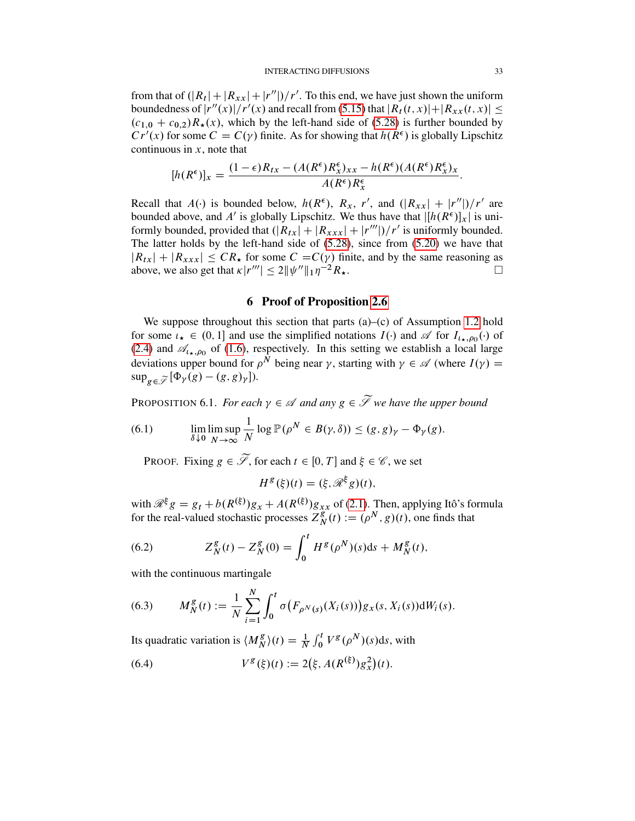from that of  $\left(\frac{|R_t| + |R_{xx}| + |r''|}{r'}\right)$ . To this end, we have just shown the uniform boundedness of  $|r''(x)|/r'(x)$  and recall from [\(5.15\)](#page-27-1) that  $|R_t(t, x)| + |R_{xx}(t, x)| \le$  $(c_{1,0} + c_{0,2})R_{\star}(x)$ , which by the left-hand side of [\(5.28\)](#page-31-1) is further bounded by  $Cr'(x)$  for some  $C = C(y)$  finite. As for showing that  $h(R^{\epsilon})$  is globally Lipschitz continuous in  $x$ , note that

$$
[h(R^{\epsilon})]_x = \frac{(1-\epsilon)R_{tx} - (A(R^{\epsilon})R^{\epsilon}_x)_{xx} - h(R^{\epsilon})(A(R^{\epsilon})R^{\epsilon}_x)_x}{A(R^{\epsilon})R^{\epsilon}_x}.
$$

Recall that  $A(\cdot)$  is bounded below,  $h(R^{\epsilon})$ ,  $R_x$ , r', and  $(|R_{xx}| + |r''|)/r'$  are bounded above, and A' is globally Lipschitz. We thus have that  $\left| [h(R^{\epsilon})]_x \right|$  is uniformly bounded, provided that  $\left(\frac{R_{tx}}{r} + \frac{R_{xxx}}{r} + \frac{r''}{r''}\right)/r'$  is uniformly bounded. The latter holds by the left-hand side of [\(5.28\)](#page-31-1), since from [\(5.20\)](#page-28-0) we have that  $|R_{tx}| + |R_{xxx}| \leq CR_{\star}$  for some  $C = C(\gamma)$  finite, and by the same reasoning as above, we also get that  $\kappa |r'''| \le 2 ||\psi''||_1 \eta^{-2} R_{\star}$ .

# 6 Proof of Proposition [2.6](#page-8-0)

We suppose throughout this section that parts (a)–(c) of Assumption [1.2](#page-2-0) hold for some  $i_{\star} \in (0, 1]$  and use the simplified notations  $I(\cdot)$  and  $\mathscr A$  for  $I_{i_{\star},\rho_0}(\cdot)$  of [\(2.4\)](#page-5-4) and  $\mathscr{A}_{l\star,\rho_0}$  of [\(1.6\)](#page-3-6), respectively. In this setting we establish a local large deviations upper bound for  $\rho^N$  being near  $\gamma$ , starting with  $\gamma \in \mathcal{A}$  (where  $I(\gamma) =$  $\sup_{g \in \widetilde{\mathscr{S}}} [\Phi_{\gamma}(g) - (g, g)_{\gamma}].$ 

<span id="page-32-3"></span>PROPOSITION 6.1. *For each*  $\gamma \in \mathcal{A}$  *and any*  $g \in \widetilde{\mathcal{I}}$  *we have the upper bound* 

(6.1) 
$$
\lim_{\delta \downarrow 0} \limsup_{N \to \infty} \frac{1}{N} \log \mathbb{P}(\rho^N \in B(\gamma, \delta)) \le (g, g)_{\gamma} - \Phi_{\gamma}(g).
$$

PROOF. Fixing  $g \in \widetilde{\mathscr{S}}$ , for each  $t \in [0, T]$  and  $\xi \in \mathscr{C}$ , we set

$$
H^g(\xi)(t) = (\xi, \mathcal{R}^{\xi}g)(t),
$$

with  $\mathcal{R}^{\xi} g = g_t + b(R^{(\xi)})g_x + A(R^{(\xi)})g_{xx}$  of [\(2.1\)](#page-5-3). Then, applying Itô's formula for the real-valued stochastic processes  $Z_{\Lambda}^{g}$  $_N^g(t) := (\rho^N, g)(t)$ , one finds that

<span id="page-32-0"></span>(6.2) 
$$
Z_N^g(t) - Z_N^g(0) = \int_0^t H^g(\rho^N)(s)ds + M_N^g(t),
$$

with the continuous martingale

<span id="page-32-1"></span>(6.3) 
$$
M_N^g(t) := \frac{1}{N} \sum_{i=1}^N \int_0^t \sigma(F_{\rho^N(s)}(X_i(s))) g_X(s, X_i(s)) dW_i(s).
$$

Its quadratic variation is  $\langle M_N^g \rangle$  $\binom{g}{N}(t) = \frac{1}{N} \int_0^t V^g(\rho^N)(s) ds$ , with

<span id="page-32-2"></span>(6.4) 
$$
V^g(\xi)(t) := 2(\xi, A(R^{(\xi)})g_x^2)(t).
$$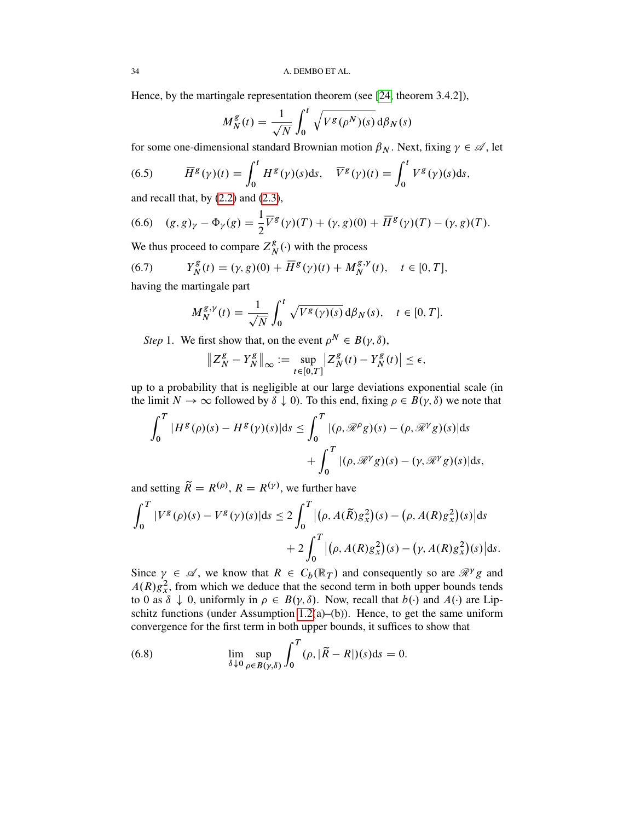Hence, by the martingale representation theorem (see [\[24,](#page-53-12) theorem 3.4.2]),

$$
M_N^g(t) = \frac{1}{\sqrt{N}} \int_0^t \sqrt{V^g(\rho^N)(s)} \, d\beta_N(s)
$$

for some one-dimensional standard Brownian motion  $\beta_N$ . Next, fixing  $\gamma \in \mathcal{A}$ , let

(6.5) 
$$
\overline{H}^{g}(\gamma)(t) = \int_0^t H^g(\gamma)(s)ds, \quad \overline{V}^{g}(\gamma)(t) = \int_0^t V^g(\gamma)(s)ds,
$$

and recall that, by  $(2.2)$  and  $(2.3)$ ,

<span id="page-33-2"></span>(6.6) 
$$
(g, g)_{\gamma} - \Phi_{\gamma}(g) = \frac{1}{2} \overline{V}^{g}(\gamma)(T) + (\gamma, g)(0) + \overline{H}^{g}(\gamma)(T) - (\gamma, g)(T).
$$

We thus proceed to compare  $Z_N^g$  $_N^g(\cdot)$  with the process

(6.7) 
$$
Y_N^g(t) = (\gamma, g)(0) + \overline{H}^g(\gamma)(t) + M_N^{g, \gamma}(t), \quad t \in [0, T],
$$

having the martingale part

<span id="page-33-1"></span>
$$
M_N^{g,\gamma}(t) = \frac{1}{\sqrt{N}} \int_0^t \sqrt{V^g(\gamma)(s)} \, d\beta_N(s), \quad t \in [0, T].
$$

*Step* 1. We first show that, on the event  $\rho^N \in B(\gamma, \delta)$ ,

$$
\|Z_N^g - Y_N^g\|_{\infty} := \sup_{t \in [0,T]} |Z_N^g(t) - Y_N^g(t)| \le \epsilon,
$$

up to a probability that is negligible at our large deviations exponential scale (in the limit  $N \to \infty$  followed by  $\delta \downarrow 0$ ). To this end, fixing  $\rho \in B(\gamma, \delta)$  we note that

$$
\int_0^T |H^g(\rho)(s) - H^g(\gamma)(s)|ds \le \int_0^T |(\rho, \mathcal{R}^\rho g)(s) - (\rho, \mathcal{R}^\gamma g)(s)|ds
$$
  
+ 
$$
\int_0^T |(\rho, \mathcal{R}^\gamma g)(s) - (\gamma, \mathcal{R}^\gamma g)(s)|ds,
$$

and setting  $\widetilde{R} = R^{(\rho)}$ ,  $R = R^{(\gamma)}$ , we further have

$$
\int_0^T |V^g(\rho)(s) - V^g(\gamma)(s)| ds \le 2 \int_0^T |(\rho, A(\tilde{R})g_x^2)(s) - (\rho, A(R)g_x^2)(s)| ds
$$
  
+  $2 \int_0^T |(\rho, A(R)g_x^2)(s) - (\gamma, A(R)g_x^2)(s)| ds.$ 

Since  $\gamma \in \mathcal{A}$ , we know that  $R \in C_b(\mathbb{R}_T)$  and consequently so are  $\mathcal{R}^{\gamma}g$  and  $A(R)g_x^2$ , from which we deduce that the second term in both upper bounds tends to 0 as  $\delta \downarrow 0$ , uniformly in  $\rho \in B(\gamma, \delta)$ . Now, recall that  $b(\cdot)$  and  $A(\cdot)$  are Lip-schitz functions (under Assumption [1.2\(](#page-2-0)a)–(b)). Hence, to get the same uniform convergence for the first term in both upper bounds, it suffices to show that

<span id="page-33-0"></span>(6.8) 
$$
\lim_{\delta \downarrow 0} \sup_{\rho \in B(\gamma,\delta)} \int_0^T (\rho, |\tilde{R} - R|)(s) ds = 0.
$$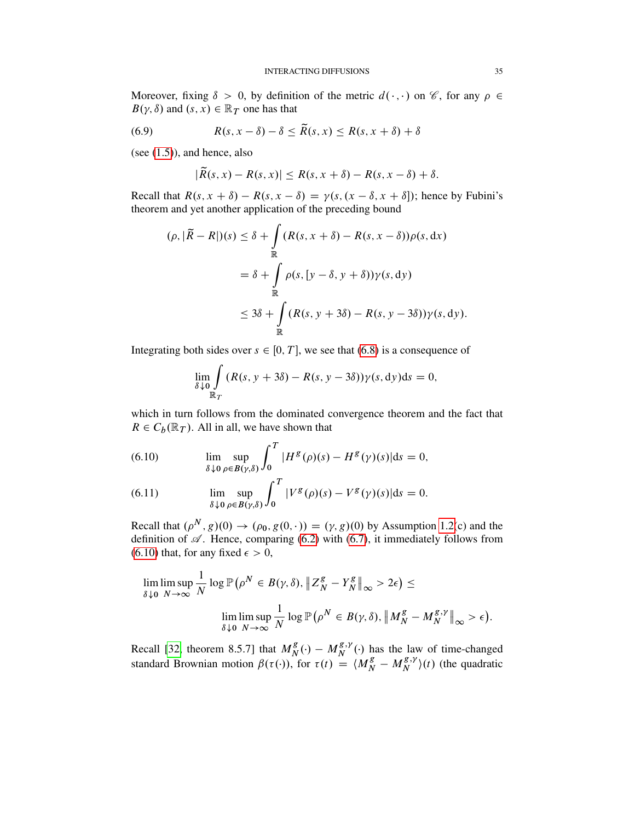Moreover, fixing  $\delta > 0$ , by definition of the metric  $d(\cdot, \cdot)$  on  $\mathscr{C}$ , for any  $\rho \in$  $B(\gamma, \delta)$  and  $(s, x) \in \mathbb{R}_T$  one has that

(6.9) 
$$
R(s, x - \delta) - \delta \le \widetilde{R}(s, x) \le R(s, x + \delta) + \delta
$$

(see [\(1.5\)](#page-2-1)), and hence, also

<span id="page-34-2"></span>
$$
|\widetilde{R}(s,x)-R(s,x)|\leq R(s,x+\delta)-R(s,x-\delta)+\delta.
$$

Recall that  $R(s, x + \delta) - R(s, x - \delta) = \gamma(s, (x - \delta, x + \delta))$ ; hence by Fubini's theorem and yet another application of the preceding bound

$$
(\rho, |\tilde{R} - R|)(s) \le \delta + \int_{\mathbb{R}} (R(s, x + \delta) - R(s, x - \delta)) \rho(s, dx)
$$
  

$$
= \delta + \int_{\mathbb{R}} \rho(s, [y - \delta, y + \delta]) \gamma(s, dy)
$$
  

$$
\le 3\delta + \int_{\mathbb{R}} (R(s, y + 3\delta) - R(s, y - 3\delta)) \gamma(s, dy).
$$

Integrating both sides over  $s \in [0, T]$ , we see that [\(6.8\)](#page-33-0) is a consequence of

$$
\lim_{\delta \downarrow 0} \int_{\mathbb{R}_T} (R(s, y + 3\delta) - R(s, y - 3\delta)) \gamma(s, dy) \mathrm{d}s = 0,
$$

which in turn follows from the dominated convergence theorem and the fact that  $R \in C_b(\mathbb{R}_T)$ . All in all, we have shown that

<span id="page-34-0"></span>(6.10) 
$$
\lim_{\delta \downarrow 0} \sup_{\rho \in B(\gamma,\delta)} \int_0^T |H^g(\rho)(s) - H^g(\gamma)(s)| ds = 0,
$$

<span id="page-34-1"></span>(6.11) 
$$
\lim_{\delta \downarrow 0} \sup_{\rho \in B(\gamma,\delta)} \int_0^T |V^g(\rho)(s) - V^g(\gamma)(s)| ds = 0.
$$

Recall that  $(\rho^N, g)(0) \to (\rho_0, g(0, \cdot)) = (\gamma, g)(0)$  by Assumption [1.2\(](#page-2-0)c) and the definition of  $\mathscr A$ . Hence, comparing [\(6.2\)](#page-32-0) with [\(6.7\)](#page-33-1), it immediately follows from [\(6.10\)](#page-34-0) that, for any fixed  $\epsilon > 0$ ,

$$
\lim_{\delta \downarrow 0} \limsup_{N \to \infty} \frac{1}{N} \log \mathbb{P} \left( \rho^N \in B(\gamma, \delta), \|Z_N^g - Y_N^g\|_{\infty} > 2\epsilon \right) \le
$$
  

$$
\lim_{\delta \downarrow 0} \limsup_{N \to \infty} \frac{1}{N} \log \mathbb{P} \left( \rho^N \in B(\gamma, \delta), \|M_N^g - M_N^{g, \gamma}\|_{\infty} > \epsilon \right).
$$

Recall [\[32,](#page-53-13) theorem 8.5.7] that  $M_N^g$  $\frac{g}{N}(\cdot) - M_N^{g,\gamma}$  $N^{g,\gamma}(\cdot)$  has the law of time-changed standard Brownian motion  $\beta(\tau(\cdot))$ , for  $\tau(t) = \langle M_N^g - M_N^{g,y} \rangle$  $\binom{g,\gamma}{N}(t)$  (the quadratic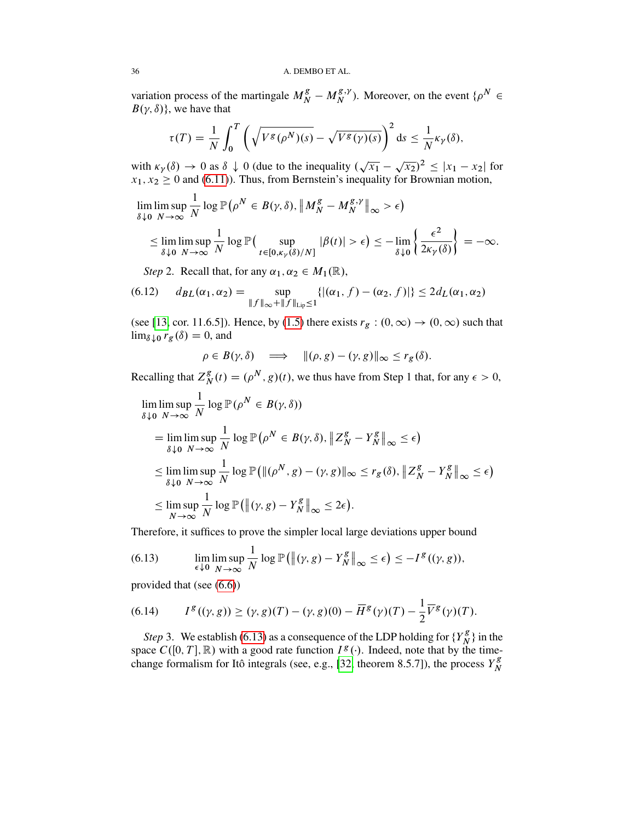variation process of the martingale  $M_N^g - M_N^{g,y}$  $N^{g,\gamma}$ ). Moreover, on the event  $\{\rho^N \in$  $B(\gamma, \delta)$ , we have that

$$
\tau(T) = \frac{1}{N} \int_0^T \left( \sqrt{V^g(\rho^N)(s)} - \sqrt{V^g(\gamma)(s)} \right)^2 ds \le \frac{1}{N} \kappa_\gamma(\delta),
$$

with  $\kappa_{\gamma}(\delta) \to 0$  as  $\delta \downarrow 0$  (due to the inequality  $(\sqrt{x_1} - \sqrt{x_2})^2 \le |x_1 - x_2|$  for  $x_1, x_2 \ge 0$  and [\(6.11\)](#page-34-1)). Thus, from Bernstein's inequality for Brownian motion,

lim  $\delta \downarrow 0$ lim sup  $N \rightarrow \infty$ 1  $\frac{1}{N} \log \mathbb{P}(\rho^N \in B(\gamma, \delta), \|M_N^g - M_N^{g, \gamma})$  $\begin{aligned} \begin{bmatrix} g, \gamma \\ N \end{bmatrix}_{\infty} > \epsilon \end{aligned}$ 

$$
\leq \lim_{\delta \downarrow 0} \limsup_{N \to \infty} \frac{1}{N} \log \mathbb{P} \big( \sup_{t \in [0,\kappa_\gamma(\delta)/N]} |\beta(t)| > \epsilon \big) \leq - \lim_{\delta \downarrow 0} \left\{ \frac{\epsilon^2}{2\kappa_\gamma(\delta)} \right\} = -\infty.
$$

<span id="page-35-2"></span>*Step* 2. Recall that, for any  $\alpha_1, \alpha_2 \in M_1(\mathbb{R})$ ,

(6.12) 
$$
d_{BL}(\alpha_1, \alpha_2) = \sup_{\|f\|_{\infty} + \|f\|_{\text{Lip}} \le 1} \{ |(\alpha_1, f) - (\alpha_2, f)| \} \le 2d_L(\alpha_1, \alpha_2)
$$

(see [\[13,](#page-52-12) cor. 11.6.5]). Hence, by [\(1.5\)](#page-2-1) there exists  $r_g$  :  $(0, \infty) \rightarrow (0, \infty)$  such that  $\lim_{\delta \downarrow 0} r_g(\delta) = 0$ , and

$$
\rho \in B(\gamma, \delta) \quad \Longrightarrow \quad \|(\rho, g) - (\gamma, g)\|_{\infty} \leq r_g(\delta).
$$

Recalling that  $Z_N^g$  $_N^g(t) = (\rho^N, g)(t)$ , we thus have from Step 1 that, for any  $\epsilon > 0$ ,

$$
\lim_{\delta \downarrow 0} \limsup_{N \to \infty} \frac{1}{N} \log \mathbb{P}(\rho^N \in B(\gamma, \delta))
$$
\n
$$
= \lim_{\delta \downarrow 0} \limsup_{N \to \infty} \frac{1}{N} \log \mathbb{P}(\rho^N \in B(\gamma, \delta), \|Z_N^g - Y_N^g\|_{\infty} \le \epsilon)
$$
\n
$$
\le \lim_{\delta \downarrow 0} \limsup_{N \to \infty} \frac{1}{N} \log \mathbb{P}(\|(\rho^N, g) - (\gamma, g)\|_{\infty} \le r_g(\delta), \|Z_N^g - Y_N^g\|_{\infty} \le \epsilon)
$$
\n
$$
\le \limsup_{N \to \infty} \frac{1}{N} \log \mathbb{P}(\|(\gamma, g) - Y_N^g\|_{\infty} \le 2\epsilon).
$$

Therefore, it suffices to prove the simpler local large deviations upper bound

<span id="page-35-0"></span>(6.13) 
$$
\lim_{\epsilon \downarrow 0} \limsup_{N \to \infty} \frac{1}{N} \log \mathbb{P} \big( \big\| (\gamma, g) - Y_N^g \big\|_{\infty} \leq \epsilon \big) \leq -I^g((\gamma, g)),
$$

provided that (see [\(6.6\)](#page-33-2))

<span id="page-35-1"></span>(6.14) 
$$
I^{g}((\gamma, g)) \geq (\gamma, g)(T) - (\gamma, g)(0) - \overline{H}^{g}(\gamma)(T) - \frac{1}{2}\overline{V}^{g}(\gamma)(T).
$$

*Step* 3. We establish [\(6.13\)](#page-35-0) as a consequence of the LDP holding for  ${Y_N^g}$  $\binom{g}{N}$  in the space  $C([0, T], \mathbb{R})$  with a good rate function  $I^g(\cdot)$ . Indeed, note that by the time-change formalism for Itô integrals (see, e.g., [\[32,](#page-53-13) theorem 8.5.7]), the process  $Y_N^g$ N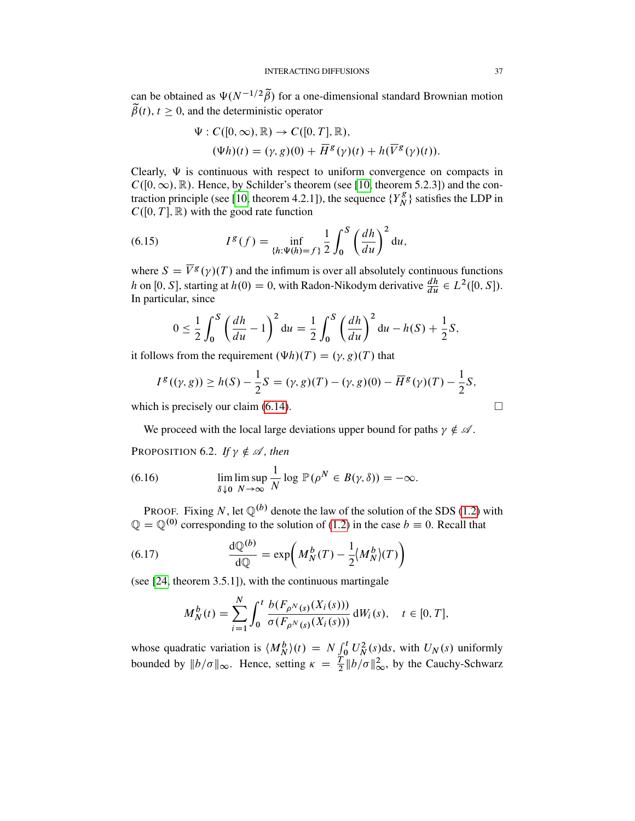can be obtained as  $\Psi(N^{-1/2}\tilde{\beta})$  for a one-dimensional standard Brownian motion  $\tilde{\beta}(t), t \geq 0$ , and the deterministic operator

$$
\Psi : C([0,\infty), \mathbb{R}) \to C([0,T], \mathbb{R}),
$$
  
\n
$$
(\Psi h)(t) = (\gamma, g)(0) + \overline{H}^{g}(\gamma)(t) + h(\overline{V}^{g}(\gamma)(t)).
$$

Clearly,  $\Psi$  is continuous with respect to uniform convergence on compacts in  $C([0,\infty),\mathbb{R})$ . Hence, by Schilder's theorem (see [\[10,](#page-52-11) theorem 5.2.3]) and the con-traction principle (see [\[10,](#page-52-11) theorem 4.2.1]), the sequence  ${Y_N^g}$  $\binom{g}{N}$  satisfies the LDP in  $C([0, T], \mathbb{R})$  with the good rate function

<span id="page-36-1"></span>(6.15) 
$$
I^{g}(f) = \inf_{\{h:\Psi(h)=f\}} \frac{1}{2} \int_{0}^{S} \left(\frac{dh}{du}\right)^{2} du,
$$

where  $S = \overline{V}^{g}(\gamma)(T)$  and the infimum is over all absolutely continuous functions h on [0, S], starting at  $h(0) = 0$ , with Radon-Nikodym derivative  $\frac{dh}{du} \in L^2([0, S])$ . In particular, since

$$
0 \leq \frac{1}{2} \int_0^S \left( \frac{dh}{du} - 1 \right)^2 du = \frac{1}{2} \int_0^S \left( \frac{dh}{du} \right)^2 du - h(S) + \frac{1}{2}S,
$$

it follows from the requirement  $(\Psi h)(T) = (\gamma, g)(T)$  that

$$
I^g((\gamma, g)) \ge h(S) - \frac{1}{2}S = (\gamma, g)(T) - (\gamma, g)(0) - \overline{H}^g(\gamma)(T) - \frac{1}{2}S,
$$

which is precisely our claim  $(6.14)$ .

We proceed with the local large deviations upper bound for paths  $\gamma \notin \mathcal{A}$ .

<span id="page-36-3"></span>PROPOSITION 6.2. If  $\gamma \notin \mathcal{A}$ , then

<span id="page-36-0"></span>(6.16) 
$$
\lim_{\delta \downarrow 0} \limsup_{N \to \infty} \frac{1}{N} \log \mathbb{P}(\rho^N \in B(\gamma, \delta)) = -\infty.
$$

PROOF. Fixing N, let  $\mathbb{Q}^{(b)}$  denote the law of the solution of the SDS [\(1.2\)](#page-1-0) with  $\mathbb{Q} = \mathbb{Q}^{(0)}$  corresponding to the solution of [\(1.2\)](#page-1-0) in the case  $b \equiv 0$ . Recall that

(6.17) 
$$
\frac{d\mathbb{Q}^{(b)}}{d\mathbb{Q}} = \exp\left(M_N^b(T) - \frac{1}{2}\langle M_N^b\rangle(T)\right)
$$

(see [\[24,](#page-53-12) theorem 3.5.1]), with the continuous martingale

<span id="page-36-2"></span>
$$
M_N^b(t) = \sum_{i=1}^N \int_0^t \frac{b(F_{\rho^N(s)}(X_i(s)))}{\sigma(F_{\rho^N(s)}(X_i(s)))} dW_i(s), \quad t \in [0, T],
$$

whose quadratic variation is  $\langle M_N^b \rangle(t) = N \int_0^t U_N^2(s) ds$ , with  $U_N(s)$  uniformly bounded by  $||b/\sigma||_{\infty}$ . Hence, setting  $\kappa = \frac{T}{2} ||b/\sigma||_{\infty}^2$ , by the Cauchy-Schwarz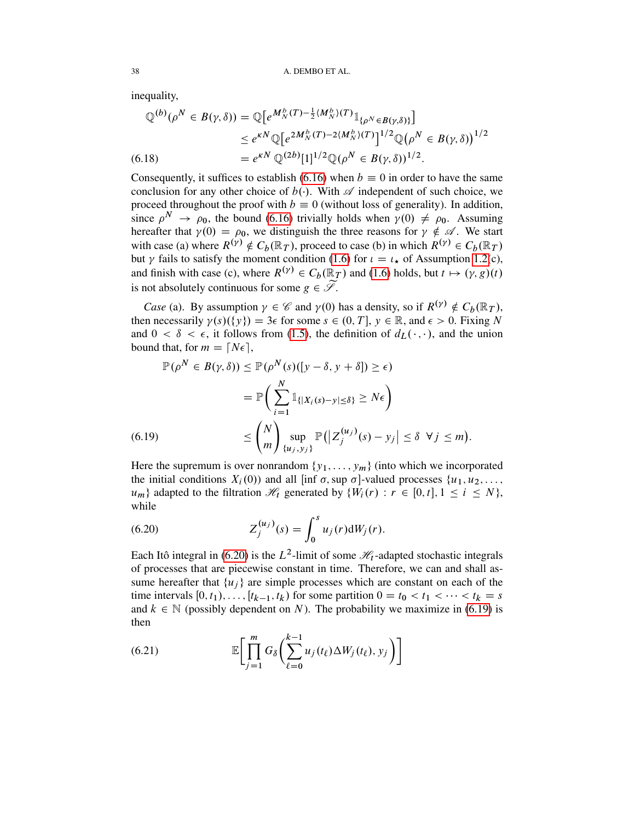inequality,

$$
\mathbb{Q}^{(b)}(\rho^N \in B(\gamma, \delta)) = \mathbb{Q}\big[e^{M_N^b(T) - \frac{1}{2}\langle M_N^b \rangle(T)} \mathbb{1}_{\{\rho^N \in B(\gamma, \delta)\}}\big] \n\le e^{\kappa N} \mathbb{Q}\big[e^{2M_N^b(T) - 2\langle M_N^b \rangle(T)}\big]^{1/2} \mathbb{Q}\big(\rho^N \in B(\gamma, \delta)\big)^{1/2} \n= e^{\kappa N} \mathbb{Q}^{(2b)}[1]^{1/2} \mathbb{Q}(\rho^N \in B(\gamma, \delta))^{1/2}.
$$

<span id="page-37-3"></span>Consequently, it suffices to establish [\(6.16\)](#page-36-0) when  $b \equiv 0$  in order to have the same conclusion for any other choice of  $b(.)$ . With  $\mathscr A$  independent of such choice, we proceed throughout the proof with  $b \equiv 0$  (without loss of generality). In addition, since  $\rho^N \to \rho_0$ , the bound [\(6.16\)](#page-36-0) trivially holds when  $\gamma(0) \neq \rho_0$ . Assuming hereafter that  $\gamma(0) = \rho_0$ , we distinguish the three reasons for  $\gamma \notin \mathcal{A}$ . We start with case (a) where  $R^{(\gamma)} \notin C_b(\mathbb{R}_T)$ , proceed to case (b) in which  $R^{(\gamma)} \in C_b(\mathbb{R}_T)$ but  $\gamma$  fails to satisfy the moment condition [\(1.6\)](#page-3-6) for  $\iota = \iota_{\star}$  of Assumption [1.2\(](#page-2-0)c), and finish with case (c), where  $R^{(\gamma)} \in C_b(\mathbb{R}_T)$  and [\(1.6\)](#page-3-6) holds, but  $t \mapsto (\gamma, g)(t)$ is not absolutely continuous for some  $g \in \widetilde{\mathscr{S}}$ .

*Case* (a). By assumption  $\gamma \in \mathcal{C}$  and  $\gamma(0)$  has a density, so if  $R^{(\gamma)} \notin C_b(\mathbb{R}_T)$ , then necessarily  $\gamma(s)(\{y\}) = 3\epsilon$  for some  $s \in (0, T]$ ,  $y \in \mathbb{R}$ , and  $\epsilon > 0$ . Fixing N and  $0 < \delta < \epsilon$ , it follows from [\(1.5\)](#page-2-1), the definition of  $d_L(\cdot, \cdot)$ , and the union bound that, for  $m = \lfloor N\epsilon \rfloor$ ,

$$
\mathbb{P}(\rho^N \in B(\gamma, \delta)) \le \mathbb{P}(\rho^N(s)([y - \delta, y + \delta]) \ge \epsilon)
$$
  
= 
$$
\mathbb{P}\left(\sum_{i=1}^N \mathbb{1}_{\{|X_i(s) - y| \le \delta\}} \ge N\epsilon\right)
$$
  
(6.19) 
$$
\le \binom{N}{m} \sup_{\{u_j, y_j\}} \mathbb{P}(|Z_j^{(u_j)}(s) - y_j| \le \delta \ \forall j \le m).
$$

<span id="page-37-1"></span>Here the supremum is over nonrandom  $\{y_1, \ldots, y_m\}$  (into which we incorporated the initial conditions  $X_i(0)$  and all [inf  $\sigma$ , sup  $\sigma$ ]-valued processes  $\{u_1, u_2, \ldots,$  $u_m$ } adapted to the filtration  $\mathcal{H}_t$  generated by  $\{W_i(r) : r \in [0, t], 1 \le i \le N\}$ , while

<span id="page-37-0"></span>(6.20) 
$$
Z_j^{(u_j)}(s) = \int_0^s u_j(r) dW_j(r).
$$

Each Itô integral in [\(6.20\)](#page-37-0) is the  $L^2$ -limit of some  $\mathcal{H}_t$ -adapted stochastic integrals of processes that are piecewise constant in time. Therefore, we can and shall assume hereafter that  $\{u_i\}$  are simple processes which are constant on each of the time intervals  $[0, t_1), \ldots, [t_{k-1}, t_k)$  for some partition  $0 = t_0 < t_1 < \cdots < t_k = s$ and  $k \in \mathbb{N}$  (possibly dependent on N). The probability we maximize in [\(6.19\)](#page-37-1) is then

<span id="page-37-2"></span>(6.21) 
$$
\mathbb{E}\bigg[\prod_{j=1}^m G_{\delta}\bigg(\sum_{\ell=0}^{k-1} u_j(t_{\ell}) \Delta W_j(t_{\ell}), y_j\bigg)\bigg]
$$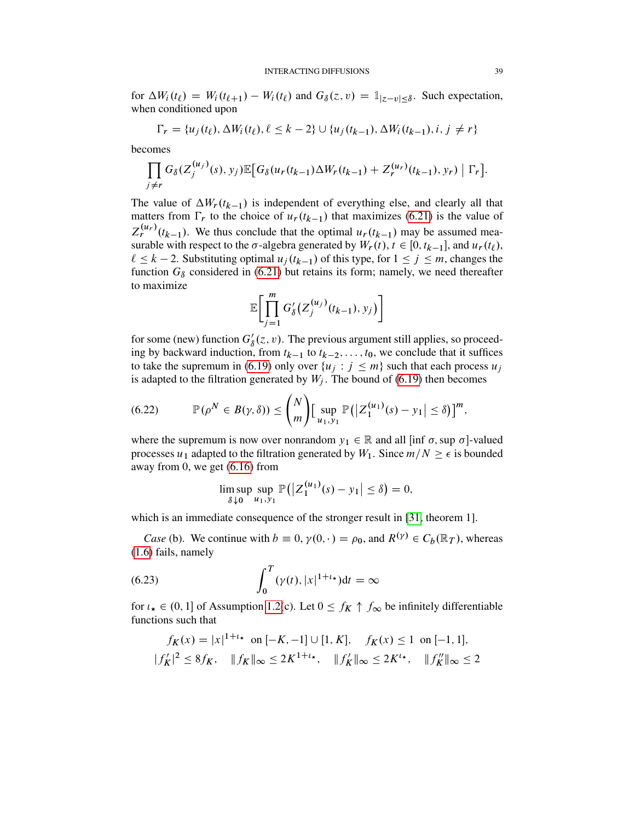for  $\Delta W_i(t_\ell) = W_i(t_{\ell+1}) - W_i(t_\ell)$  and  $G_\delta(z, v) = \mathbb{1}_{|z-v| \leq \delta}$ . Such expectation, when conditioned upon

$$
\Gamma_r = \{u_j(t_\ell), \Delta W_i(t_\ell), \ell \leq k - 2\} \cup \{u_j(t_{k-1}), \Delta W_i(t_{k-1}), i, j \neq r\}
$$

becomes

$$
\prod_{j \neq r} G_{\delta}(Z_j^{(u_j)}(s), y_j) \mathbb{E}\big[G_{\delta}(u_r(t_{k-1}) \Delta W_r(t_{k-1}) + Z_r^{(u_r)}(t_{k-1}), y_r) \mid \Gamma_r\big].
$$

The value of  $\Delta W_r(t_{k-1})$  is independent of everything else, and clearly all that matters from  $\Gamma_r$  to the choice of  $u_r(t_{k-1})$  that maximizes [\(6.21\)](#page-37-2) is the value of  $Z_r^{(u_r)}(t_{k-1})$ . We thus conclude that the optimal  $u_r(t_{k-1})$  may be assumed measurable with respect to the  $\sigma$ -algebra generated by  $W_r(t)$ ,  $t \in [0, t_{k-1}]$ , and  $u_r(t_\ell)$ ,  $\ell \leq k - 2$ . Substituting optimal  $u_i(t_{k-1})$  of this type, for  $1 \leq j \leq m$ , changes the function  $G_{\delta}$  considered in [\(6.21\)](#page-37-2) but retains its form; namely, we need thereafter to maximize

$$
\mathbb{E}\bigg[\prod_{j=1}^m G'_\delta\big(Z_j^{(u_j)}(t_{k-1}),y_j\big)\bigg]
$$

for some (new) function  $G'_{\delta}(z, v)$ . The previous argument still applies, so proceeding by backward induction, from  $t_{k-1}$  to  $t_{k-2}, \ldots, t_0$ , we conclude that it suffices to take the supremum in [\(6.19\)](#page-37-1) only over  $\{u_j : j \leq m\}$  such that each process  $u_j$ is adapted to the filtration generated by  $W_i$ . The bound of [\(6.19\)](#page-37-1) then becomes

<span id="page-38-1"></span>(6.22) 
$$
\mathbb{P}(\rho^N \in B(\gamma,\delta)) \leq {N \choose m} \Big[\sup_{u_1,v_1} \mathbb{P}(|Z_1^{(u_1)}(s) - y_1| \leq \delta)\Big]^m,
$$

where the supremum is now over nonrandom  $y_1 \in \mathbb{R}$  and all [inf  $\sigma$ , sup  $\sigma$ ]-valued processes  $u_1$  adapted to the filtration generated by  $W_1$ . Since  $m/N \geq \epsilon$  is bounded away from 0, we get [\(6.16\)](#page-36-0) from

<span id="page-38-0"></span>
$$
\limsup_{\delta \downarrow 0} \sup_{u_1, y_1} \mathbb{P}(|Z_1^{(u_1)}(s) - y_1| \le \delta) = 0,
$$

which is an immediate consequence of the stronger result in [\[31,](#page-53-14) theorem 1].

*Case* (b). We continue with  $b \equiv 0$ ,  $\gamma(0, \cdot) = \rho_0$ , and  $R^{(\gamma)} \in C_b(\mathbb{R}_T)$ , whereas [\(1.6\)](#page-3-6) fails, namely

(6.23) 
$$
\int_0^T (\gamma(t), |x|^{1+t}) dt = \infty
$$

for  $\iota_{\star} \in (0, 1]$  of Assumption [1.2\(](#page-2-0)c). Let  $0 \le f_K \uparrow f_\infty$  be infinitely differentiable functions such that

$$
f_K(x) = |x|^{1+t_\star} \text{ on } [-K, -1] \cup [1, K], \quad f_K(x) \le 1 \text{ on } [-1, 1],
$$
  

$$
|f_K'|^2 \le 8f_K, \quad ||f_K||_\infty \le 2K^{1+t_\star}, \quad ||f_K'||_\infty \le 2K^{t_\star}, \quad ||f_K''||_\infty \le 2
$$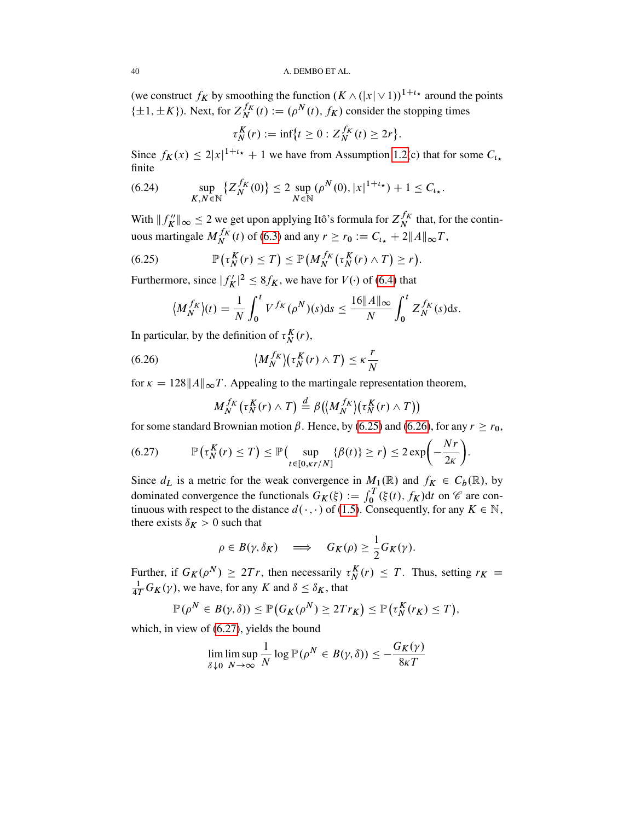(we construct  $f_K$  by smoothing the function  $(K \wedge (|x| \vee 1))^{1+t_{\star}}$  around the points  $\{\pm 1, \pm K\}$ ). Next, for  $Z_N^{f_K}$  $N^{f_K}(t) := (\rho^N(t), f_K)$  consider the stopping times

$$
\tau_N^K(r) := \inf \{ t \ge 0 : Z_N^{f_K}(t) \ge 2r \}.
$$

Since  $f_K(x) \le 2|x|^{1+t_*} + 1$  we have from Assumption [1.2\(](#page-2-0)c) that for some  $C_{t_*}$ finite

<span id="page-39-3"></span>(6.24) 
$$
\sup_{K,N \in \mathbb{N}} \{ Z_N^{f_K}(0) \} \le 2 \sup_{N \in \mathbb{N}} (\rho^N(0), |x|^{1+t_\star}) + 1 \le C_{t_\star}.
$$

With  $\Vert f''_{\mathbf{k}} \Vert$  $\|K\|_{\infty} \leq 2$  we get upon applying Itô's formula for  $Z_N^{f_K}$  $\frac{f}{N}$  that, for the continuous martingale  $M_N^{f_K}$  $N_f^{f_K}(t)$  of [\(6.3\)](#page-32-1) and any  $r \ge r_0 := C_{\iota_*} + 2||A||_{\infty}T$ ,

(6.25) 
$$
\mathbb{P}(\tau_N^K(r) \leq T) \leq \mathbb{P}(M_N^{f_K}(\tau_N^K(r) \wedge T) \geq r).
$$

Furthermore, since  $|f'_{\mathbf{k}}\rangle$  $|K_K|^2 \leq 8f_K$ , we have for  $V(\cdot)$  of [\(6.4\)](#page-32-2) that

<span id="page-39-0"></span>
$$
\langle M_N^{f_K}\rangle(t) = \frac{1}{N} \int_0^t V^{f_K}(\rho^N)(s)ds \le \frac{16||A||_{\infty}}{N} \int_0^t Z_N^{f_K}(s)ds.
$$

In particular, by the definition of  $\tau_N^K(r)$ ,

(6.26) 
$$
\langle M_N^{f_K} \rangle (\tau_N^K(r) \wedge T) \le \kappa \frac{r}{N}
$$

for  $\kappa = 128||A||_{\infty}T$ . Appealing to the martingale representation theorem,

<span id="page-39-2"></span><span id="page-39-1"></span>
$$
M_N^{f_K}(\tau_N^K(r) \wedge T) \stackrel{d}{=} \beta(\big\langle M_N^{f_K}\big\rangle(\tau_N^K(r) \wedge T)\big)
$$

for some standard Brownian motion  $\beta$ . Hence, by [\(6.25\)](#page-39-0) and [\(6.26\)](#page-39-1), for any  $r \ge r_0$ ,

$$
(6.27) \qquad \mathbb{P}\left(\tau_N^K(r) \leq T\right) \leq \mathbb{P}\left(\sup_{t \in [0,\kappa r/N]} \{\beta(t)\} \geq r\right) \leq 2\exp\left(-\frac{Nr}{2\kappa}\right).
$$

Since  $d_L$  is a metric for the weak convergence in  $M_1(\mathbb{R})$  and  $f_K \in C_b(\mathbb{R})$ , by dominated convergence the functionals  $G_K(\xi) := \int_0^T (\xi(t), f_K) dt$  on  $\mathscr C$  are continuous with respect to the distance  $d(\cdot, \cdot)$  of [\(1.5\)](#page-2-1). Consequently, for any  $K \in \mathbb{N}$ , there exists  $\delta_K > 0$  such that

$$
\rho \in B(\gamma, \delta_K) \quad \Longrightarrow \quad G_K(\rho) \geq \frac{1}{2} G_K(\gamma).
$$

Further, if  $G_K(\rho^N) \ge 2Tr$ , then necessarily  $\tau_N^K(r) \le T$ . Thus, setting  $r_K =$  $\frac{1}{4T}G_K(\gamma)$ , we have, for any K and  $\delta \leq \delta_K$ , that

$$
\mathbb{P}(\rho^N \in B(\gamma,\delta)) \leq \mathbb{P}\big(G_K(\rho^N) \geq 2Tr_K\big) \leq \mathbb{P}\big(\tau_N^K(r_K) \leq T\big),
$$

which, in view of  $(6.27)$ , yields the bound

$$
\lim_{\delta \downarrow 0} \limsup_{N \to \infty} \frac{1}{N} \log \mathbb{P}(\rho^N \in B(\gamma, \delta)) \leq -\frac{G_K(\gamma)}{8\kappa T}
$$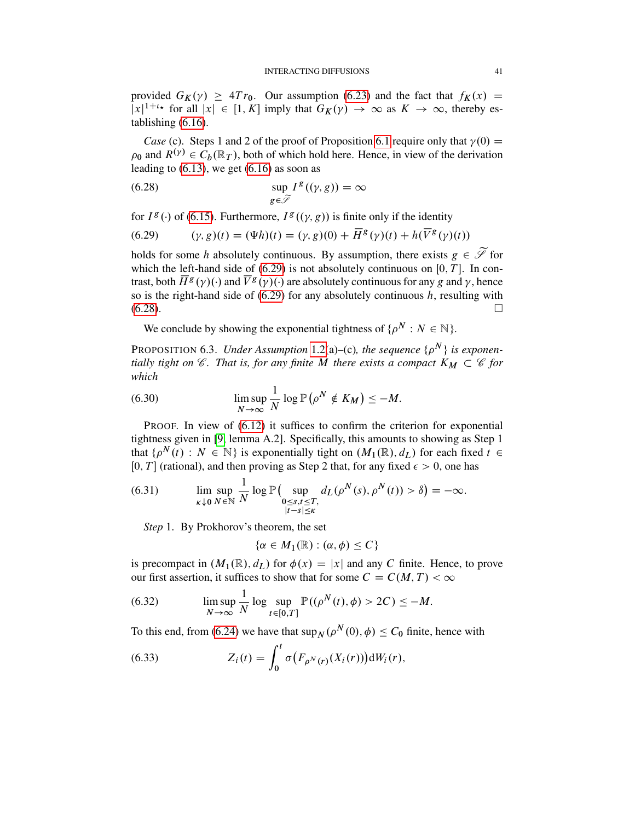provided  $G_K(y) \geq 4Tr_0$ . Our assumption [\(6.23\)](#page-38-0) and the fact that  $f_K(x) =$  $|x|^{1+t_{\star}}$  for all  $|x| \in [1, K]$  imply that  $G_K(y) \to \infty$  as  $K \to \infty$ , thereby establishing [\(6.16\)](#page-36-0).

*Case* (c). Steps 1 and 2 of the proof of Proposition [6.1](#page-32-3) require only that  $\gamma(0) =$  $\rho_0$  and  $R^{(\gamma)} \in C_b(\mathbb{R}_T)$ , both of which hold here. Hence, in view of the derivation leading to  $(6.13)$ , we get  $(6.16)$  as soon as

<span id="page-40-1"></span>(6.28) 
$$
\sup_{g \in \widetilde{\mathscr{I}}} I^g((\gamma, g)) = \infty
$$

for  $I^g(\cdot)$  of [\(6.15\)](#page-36-1). Furthermore,  $I^g((\gamma, g))$  is finite only if the identity

<span id="page-40-0"></span>(6.29) 
$$
(\gamma, g)(t) = (\Psi h)(t) = (\gamma, g)(0) + \overline{H}^{g}(\gamma)(t) + h(\overline{V}^{g}(\gamma)(t))
$$

holds for some h absolutely continuous. By assumption, there exists  $g \in \widetilde{\mathscr{S}}$  for which the left-hand side of  $(6.29)$  is not absolutely continuous on  $[0, T]$ . In contrast, both  $\overline{H}^{g}(\gamma)(\cdot)$  and  $\overline{V}^{g}(\gamma)(\cdot)$  are absolutely continuous for any g and  $\gamma$ , hence so is the right-hand side of  $(6.29)$  for any absolutely continuous h, resulting with  $(6.28)$ .

We conclude by showing the exponential tightness of  $\{ \rho^N : N \in \mathbb{N} \}$ .

<span id="page-40-5"></span>PROPOSITION 6.3. *Under Assumption* [1.2\(](#page-2-0)a)–(c), the sequence  $\{ \rho^N \}$  is exponen*tially tight on*  $\mathscr C$ *. That is, for any finite* M *there exists a compact*  $K_M \subset \mathscr C$  *for which*

(6.30) 
$$
\limsup_{N \to \infty} \frac{1}{N} \log \mathbb{P}(\rho^N \notin K_M) \leq -M.
$$

PROOF. In view of  $(6.12)$  it suffices to confirm the criterion for exponential tightness given in [\[9,](#page-52-13) lemma A.2]. Specifically, this amounts to showing as Step 1 that  $\{\rho^N(t) : N \in \mathbb{N}\}\$ is exponentially tight on  $(M_1(\mathbb{R}), d_L)$  for each fixed  $t \in$ [0, T] (rational), and then proving as Step 2 that, for any fixed  $\epsilon > 0$ , one has

<span id="page-40-4"></span>(6.31) 
$$
\lim_{\kappa \downarrow 0} \sup_{N \in \mathbb{N}} \frac{1}{N} \log \mathbb{P} \Big( \sup_{\substack{0 \le s,t \le T, \\ |t-s| \le \kappa}} d_L(\rho^N(s), \rho^N(t)) > \delta \Big) = -\infty.
$$

*Step* 1. By Prokhorov's theorem, the set

$$
\{\alpha \in M_1(\mathbb{R}) : (\alpha, \phi) \le C\}
$$

is precompact in  $(M_1(\mathbb{R}), d_L)$  for  $\phi(x) = |x|$  and any C finite. Hence, to prove our first assertion, it suffices to show that for some  $C = C(M, T) < \infty$ 

<span id="page-40-2"></span>(6.32) 
$$
\limsup_{N \to \infty} \frac{1}{N} \log \sup_{t \in [0,T]} \mathbb{P}((\rho^N(t), \phi) > 2C) \leq -M.
$$

To this end, from [\(6.24\)](#page-39-3) we have that  $\sup_{N} (\rho^{N}(0), \phi) \leq C_0$  finite, hence with

<span id="page-40-3"></span>(6.33) 
$$
Z_i(t) = \int_0^t \sigma(F_{\rho^N(r)}(X_i(r))) \, \mathrm{d}W_i(r),
$$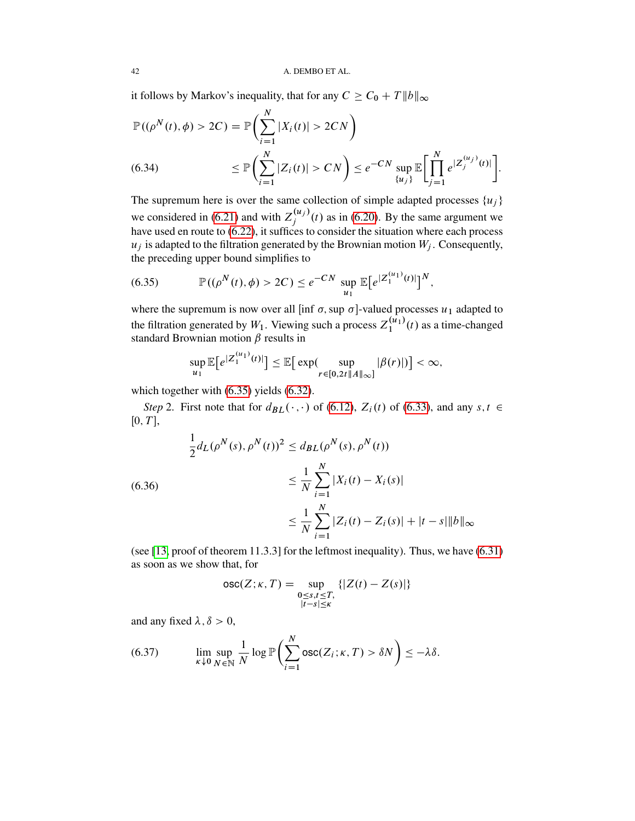it follows by Markov's inequality, that for any  $C \ge C_0 + T ||b||_{\infty}$ 

$$
\mathbb{P}((\rho^{N}(t), \phi) > 2C) = \mathbb{P}\left(\sum_{i=1}^{N} |X_{i}(t)| > 2CN\right)
$$
  
(6.34) 
$$
\leq \mathbb{P}\left(\sum_{i=1}^{N} |Z_{i}(t)| > CN\right) \leq e^{-CN} \sup_{\{u_{j}\}} \mathbb{E}\left[\prod_{j=1}^{N} e^{|Z_{j}^{(u_{j})}(t)|}\right].
$$

<span id="page-41-2"></span>The supremum here is over the same collection of simple adapted processes  $\{u_i\}$ we considered in [\(6.21\)](#page-37-2) and with  $Z_i^{(u_j)}$  $j_j^{(u_j)}(t)$  as in [\(6.20\)](#page-37-0). By the same argument we have used en route to [\(6.22\)](#page-38-1), it suffices to consider the situation where each process  $u_j$  is adapted to the filtration generated by the Brownian motion  $W_j$ . Consequently, the preceding upper bound simplifies to

<span id="page-41-0"></span>(6.35) 
$$
\mathbb{P}((\rho^{N}(t), \phi) > 2C) \leq e^{-CN} \sup_{u_1} \mathbb{E}[e^{|Z_1^{(u_1)}(t)|}]^{N},
$$

where the supremum is now over all [inf  $\sigma$ , sup  $\sigma$ ]-valued processes  $u_1$  adapted to the filtration generated by  $W_1$ . Viewing such a process  $Z_1^{(u_1)}$  $\binom{u_1}{1}(t)$  as a time-changed standard Brownian motion  $\beta$  results in

$$
\sup_{u_1} \mathbb{E}\big[e^{|Z_1^{(u_1)}(t)|}\big] \leq \mathbb{E}\big[\exp(\sup_{r \in [0,2t]}\sup_{\|A\|_{\infty}]}|\beta(r)|)\big] < \infty,
$$

which together with  $(6.35)$  yields  $(6.32)$ .

 $\mathcal{L}$ .

*Step* 2. First note that for  $d_{BL}(\cdot, \cdot)$  of [\(6.12\)](#page-35-2),  $Z_i(t)$  of [\(6.33\)](#page-40-3), and any  $s, t \in$  $[0, T]$ ,

<span id="page-41-3"></span>
$$
\frac{1}{2}d_L(\rho^N(s), \rho^N(t))^2 \le d_{BL}(\rho^N(s), \rho^N(t))
$$
\n
$$
\le \frac{1}{N} \sum_{i=1}^N |X_i(t) - X_i(s)|
$$
\n
$$
\le \frac{1}{N} \sum_{i=1}^N |Z_i(t) - Z_i(s)| + |t - s| \|b\|_{\infty}
$$

(see [\[13,](#page-52-12) proof of theorem 11.3.3] for the leftmost inequality). Thus, we have [\(6.31\)](#page-40-4) as soon as we show that, for

$$
\operatorname{osc}(Z; \kappa, T) = \sup_{\substack{0 \le s, t \le T, \\ |t-s| \le \kappa}} \{ |Z(t) - Z(s)| \}
$$

and any fixed  $\lambda$ ,  $\delta > 0$ ,

<span id="page-41-1"></span>(6.37) 
$$
\lim_{\kappa \downarrow 0} \sup_{N \in \mathbb{N}} \frac{1}{N} \log \mathbb{P} \left( \sum_{i=1}^{N} \text{osc}(Z_i; \kappa, T) > \delta N \right) \leq -\lambda \delta.
$$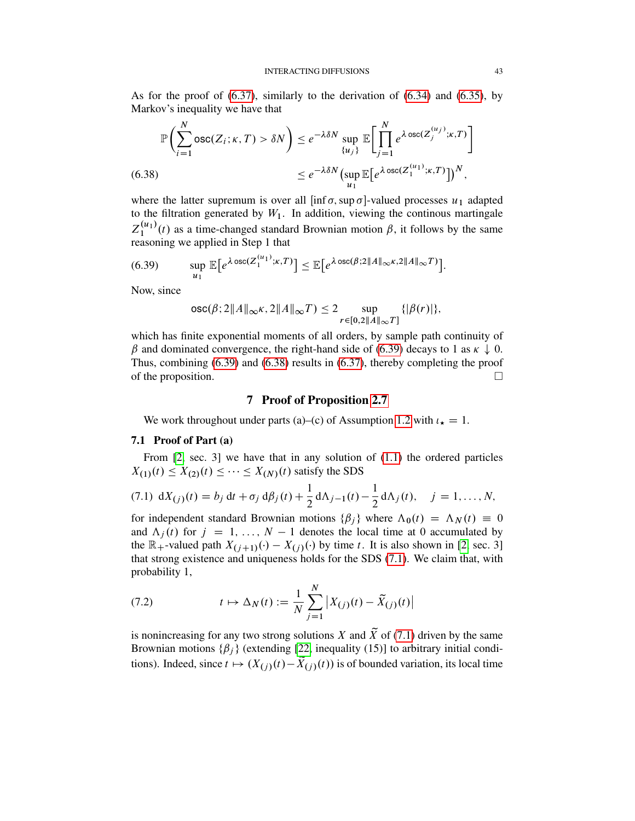As for the proof of [\(6.37\)](#page-41-1), similarly to the derivation of [\(6.34\)](#page-41-2) and [\(6.35\)](#page-41-0), by Markov's inequality we have that

$$
\mathbb{P}\left(\sum_{i=1}^{N} \text{osc}(Z_{i}; \kappa, T) > \delta N\right) \le e^{-\lambda \delta N} \sup_{\{u_{j}\}} \mathbb{E}\bigg[\prod_{j=1}^{N} e^{\lambda \text{osc}(Z_{j}^{(u_{j})}; \kappa, T)}\bigg]
$$
\n
$$
\le e^{-\lambda \delta N} \big(\sup_{u_{1}} \mathbb{E}\big[e^{\lambda \text{osc}(Z_{1}^{(u_{1})}; \kappa, T)}\big]\big)^{N},
$$

<span id="page-42-1"></span>where the latter supremum is over all  $\left[ \inf \sigma, \sup \sigma \right]$ -valued processes  $u_1$  adapted to the filtration generated by  $W_1$ . In addition, viewing the continous martingale  $Z_1^{(u_1)}$  $\binom{u_1}{1}(t)$  as a time-changed standard Brownian motion  $\beta$ , it follows by the same reasoning we applied in Step 1 that

(6.39) 
$$
\sup_{u_1} \mathbb{E}\big[e^{\lambda \operatorname{osc}(Z_1^{(u_1)};\kappa,T)}\big] \leq \mathbb{E}\big[e^{\lambda \operatorname{osc}(\beta;2\|A\|_{\infty}\kappa,2\|A\|_{\infty}T)}\big].
$$

Now, since

<span id="page-42-0"></span>
$$
\mathrm{osc}(\beta; 2\|A\|_{\infty} \kappa, 2\|A\|_{\infty} T) \leq 2 \sup_{r \in [0, 2\|A\|_{\infty} T]} \{|\beta(r)|\},\
$$

which has finite exponential moments of all orders, by sample path continuity of  $\beta$  and dominated convergence, the right-hand side of [\(6.39\)](#page-42-0) decays to 1 as  $\kappa \downarrow 0$ . Thus, combining [\(6.39\)](#page-42-0) and [\(6.38\)](#page-42-1) results in [\(6.37\)](#page-41-1), thereby completing the proof of the proposition.  $\Box$ 

# 7 Proof of Proposition [2.7](#page-8-1)

We work throughout under parts (a)–(c) of Assumption [1.2](#page-2-0) with  $\iota_{\star} = 1$ .

### 7.1 Proof of Part (a)

From [\[2,](#page-52-14) sec. 3] we have that in any solution of [\(1.1\)](#page-0-0) the ordered particles  $X_{(1)}(t) \leq X_{(2)}(t) \leq \cdots \leq X_{(N)}(t)$  satisfy the SDS

<span id="page-42-2"></span>(7.1) 
$$
dX_{(j)}(t) = b_j dt + \sigma_j d\beta_j(t) + \frac{1}{2} d\Lambda_{j-1}(t) - \frac{1}{2} d\Lambda_j(t), \quad j = 1, ..., N,
$$

for independent standard Brownian motions  $\{\beta_i\}$  where  $\Lambda_0(t) = \Lambda_N(t) \equiv 0$ and  $\Lambda_j(t)$  for  $j = 1, ..., N - 1$  denotes the local time at 0 accumulated by the  $\mathbb{R}_+$ -valued path  $X_{(j+1)}(\cdot) - X_{(j)}(\cdot)$  by time t. It is also shown in [\[2,](#page-52-14) sec. 3] that strong existence and uniqueness holds for the SDS [\(7.1\)](#page-42-2). We claim that, with probability 1,

(7.2) 
$$
t \mapsto \Delta_N(t) := \frac{1}{N} \sum_{j=1}^N \left| X_{(j)}(t) - \tilde{X}_{(j)}(t) \right|
$$

is nonincreasing for any two strong solutions X and  $\widetilde{X}$  of [\(7.1\)](#page-42-2) driven by the same Brownian motions  $\{\beta_j\}$  (extending [\[22,](#page-52-15) inequality (15)] to arbitrary initial conditions). Indeed, since  $t \mapsto (X_{(j)}(t) - \tilde{X}_{(j)}(t))$  is of bounded variation, its local time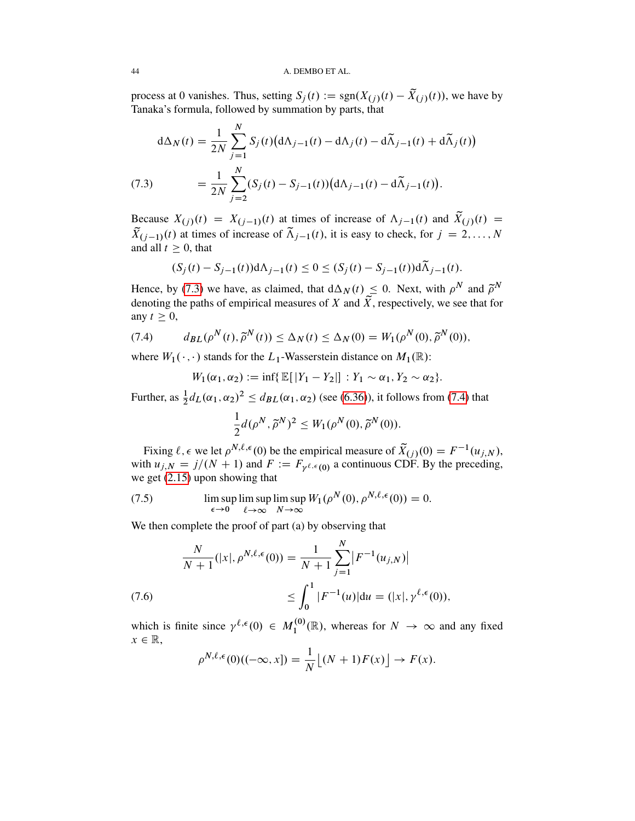process at 0 vanishes. Thus, setting  $S_j(t) := \text{sgn}(X_{(j)}(t) - \tilde{X}_{(j)}(t))$ , we have by Tanaka's formula, followed by summation by parts, that

(7.3) 
$$
d\Delta_N(t) = \frac{1}{2N} \sum_{j=1}^N S_j(t) (d\Lambda_{j-1}(t) - d\Lambda_j(t) - d\tilde{\Lambda}_{j-1}(t) + d\tilde{\Lambda}_j(t))
$$

$$
= \frac{1}{2N} \sum_{j=2}^N (S_j(t) - S_{j-1}(t)) (d\Lambda_{j-1}(t) - d\tilde{\Lambda}_{j-1}(t)).
$$

<span id="page-43-0"></span>Because  $X_{(j)}(t) = X_{(j-1)}(t)$  at times of increase of  $\Lambda_{j-1}(t)$  and  $\tilde{X}_{(j)}(t) =$  $\tilde{X}_{(j-1)}(t)$  at times of increase of  $\tilde{\Lambda}_{j-1}(t)$ , it is easy to check, for  $j = 2, ..., N$ and all  $t \geq 0$ , that

$$
(S_j(t) - S_{j-1}(t))d\Lambda_{j-1}(t) \le 0 \le (S_j(t) - S_{j-1}(t))d\widetilde{\Lambda}_{j-1}(t).
$$

Hence, by [\(7.3\)](#page-43-0) we have, as claimed, that  $d\Delta_N(t) \leq 0$ . Next, with  $\rho^N$  and  $\tilde{\rho}^N$ denoting the paths of empirical measures of X and  $\widetilde{X}$ , respectively, we see that for any  $t \geq 0$ ,

(7.4) 
$$
d_{BL}(\rho^N(t), \tilde{\rho}^N(t)) \leq \Delta_N(t) \leq \Delta_N(0) = W_1(\rho^N(0), \tilde{\rho}^N(0)),
$$

where  $W_1(\cdot, \cdot)$  stands for the  $L_1$ -Wasserstein distance on  $M_1(\mathbb{R})$ :

<span id="page-43-1"></span>
$$
W_1(\alpha_1, \alpha_2) := \inf \{ \mathbb{E}[|Y_1 - Y_2|] : Y_1 \sim \alpha_1, Y_2 \sim \alpha_2 \}.
$$

Further, as  $\frac{1}{2}d_L(\alpha_1, \alpha_2)^2 \leq d_{BL}(\alpha_1, \alpha_2)$  (see [\(6.36\)](#page-41-3)), it follows from [\(7.4\)](#page-43-1) that

$$
\frac{1}{2}d(\rho^N,\widetilde{\rho}^N)^2\leq W_1(\rho^N(0),\widetilde{\rho}^N(0)).
$$

Fixing  $\ell, \epsilon$  we let  $\rho^{N,\ell,\epsilon}(0)$  be the empirical measure of  $\tilde{X}_{(j)}(0) = F^{-1}(u_{j,N}),$ with  $u_{j,N} = j/(N + 1)$  and  $F := F_{\gamma^{\ell, \epsilon}(0)}$  a continuous CDF. By the preceding, we get [\(2.15\)](#page-8-8) upon showing that

<span id="page-43-2"></span>(7.5) 
$$
\limsup_{\epsilon \to 0} \limsup_{\ell \to \infty} \limsup_{N \to \infty} W_1(\rho^N(0), \rho^{N,\ell,\epsilon}(0)) = 0.
$$

We then complete the proof of part (a) by observing that

(7.6) 
$$
\frac{N}{N+1}(|x|, \rho^{N,\ell,\epsilon}(0)) = \frac{1}{N+1} \sum_{j=1}^{N} |F^{-1}(u_{j,N})|
$$

$$
\leq \int_{0}^{1} |F^{-1}(u)| du = (|x|, \gamma^{\ell,\epsilon}(0)),
$$

<span id="page-43-3"></span>which is finite since  $\gamma^{\ell,\epsilon}(0) \in M_1^{(0)}$  $1^{(0)}_{1}(\mathbb{R})$ , whereas for  $N \rightarrow \infty$  and any fixed  $x \in \mathbb{R}$ ,

$$
\rho^{N,\ell,\epsilon}(0)((-\infty,x]) = \frac{1}{N} \lfloor (N+1)F(x) \rfloor \to F(x).
$$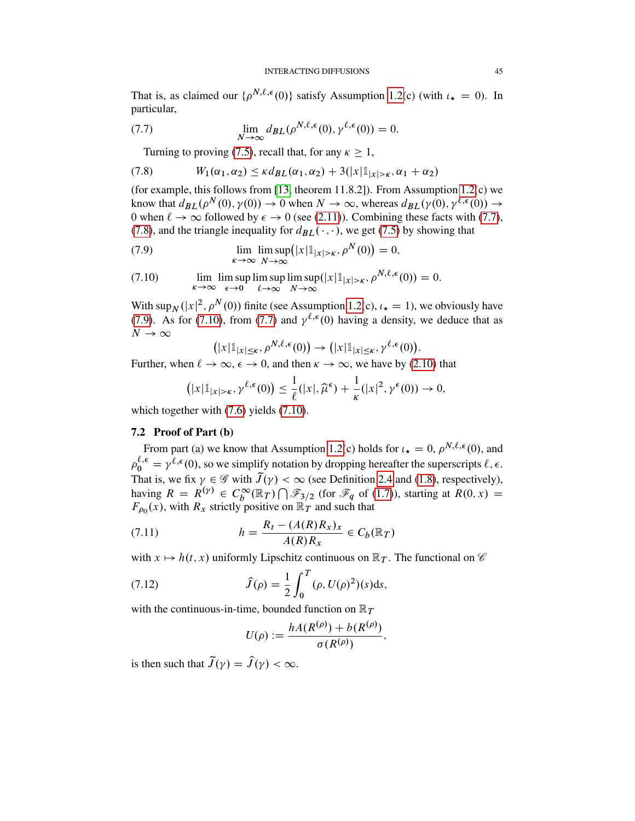That is, as claimed our  $\{\rho^{N,\ell,\epsilon}(0)\}$  satisfy Assumption [1.2\(](#page-2-0)c) (with  $\iota_{\star} = 0$ ). In particular,

(7.7) 
$$
\lim_{N \to \infty} d_{BL}(\rho^{N,\ell,\epsilon}(0), \gamma^{\ell,\epsilon}(0)) = 0.
$$

<span id="page-44-1"></span><span id="page-44-0"></span>Turning to proving [\(7.5\)](#page-43-2), recall that, for any  $\kappa \geq 1$ ,

(7.8) 
$$
W_1(\alpha_1, \alpha_2) \leq \kappa d_{BL}(\alpha_1, \alpha_2) + 3(|x|\mathbb{1}_{|x| > \kappa}, \alpha_1 + \alpha_2)
$$

(for example, this follows from [\[13,](#page-52-12) theorem 11.8.2]). From Assumption [1.2\(](#page-2-0)c) we know that  $d_{BL}(\rho^N(0), \gamma(0)) \to 0$  when  $N \to \infty$ , whereas  $d_{BL}(\gamma(0), \gamma^{\ell, \epsilon}(0)) \to$ 0 when  $\ell \to \infty$  followed by  $\epsilon \to 0$  (see [\(2.11\)](#page-8-6)). Combining these facts with [\(7.7\)](#page-44-0), [\(7.8\)](#page-44-1), and the triangle inequality for  $d_{BL}(\cdot, \cdot)$ , we get [\(7.5\)](#page-43-2) by showing that

<span id="page-44-2"></span>(7.9) 
$$
\lim_{\kappa \to \infty} \lim_{N \to \infty} \left( |x| \mathbb{1}_{|x| > \kappa}, \rho^N(0) \right) = 0,
$$

<span id="page-44-3"></span>(7.10) 
$$
\lim_{\kappa \to \infty} \limsup_{\epsilon \to 0} \limsup_{\ell \to \infty} \limsup_{N \to \infty} (|x| \mathbb{1}_{|x| > \kappa}, \rho^{N,\ell,\epsilon}(0)) = 0.
$$

With sup<sub>N</sub> (|x|<sup>2</sup>,  $\rho^{N}(0)$ ) finite (see Assumption [1.2\(](#page-2-0)c),  $\iota_{\star} = 1$ ), we obviously have [\(7.9\)](#page-44-2). As for [\(7.10\)](#page-44-3), from [\(7.7\)](#page-44-0) and  $\gamma^{\ell,\epsilon}(0)$  having a density, we deduce that as  $N \to \infty$ 

$$
(|x|\mathbb{1}_{|x|\leq\kappa},\rho^{N,\ell,\epsilon}(0))\to (|x|\mathbb{1}_{|x|\leq\kappa},\gamma^{\ell,\epsilon}(0)).
$$

Further, when  $\ell \to \infty$ ,  $\epsilon \to 0$ , and then  $\kappa \to \infty$ , we have by [\(2.10\)](#page-7-6) that

$$
\left(|x|\mathbb{1}_{|x|>\kappa},\gamma^{\ell,\epsilon}(0)\right)\leq\frac{1}{\ell}(|x|,\widehat{\mu}^{\epsilon})+\frac{1}{\kappa}(|x|^2,\gamma^{\epsilon}(0))\to 0,
$$

which together with  $(7.6)$  yields  $(7.10)$ .

# 7.2 Proof of Part (b)

From part (a) we know that Assumption [1.2\(](#page-2-0)c) holds for  $\iota_{\star} = 0$ ,  $\rho^{N,\ell,\epsilon}(0)$ , and  $\rho_0^{\ell, \epsilon} = \gamma^{\ell, \epsilon}(0)$ , so we simplify notation by dropping hereafter the superscripts  $\ell, \epsilon$ . That is, we fix  $\gamma \in \mathscr{G}$  with  $\tilde{J}(\gamma) < \infty$  (see Definition [2.4](#page-7-5) and [\(1.8\)](#page-3-0), respectively), having  $R = R^{(\gamma)} \in C_b^{\infty}(\mathbb{R}^7) \cap \mathcal{F}_{3/2}$  (for  $\mathcal{F}_q$  of [\(1.7\)](#page-3-7)), starting at  $R(0, x) =$  $F_{\rho_0}(x)$ , with  $R_x$  strictly positive on  $\mathbb{R}_T$  and such that

(7.11) 
$$
h = \frac{R_t - (A(R)R_x)_x}{A(R)R_x} \in C_b(\mathbb{R}_T)
$$

with  $x \mapsto h(t, x)$  uniformly Lipschitz continuous on  $\mathbb{R}_T$ . The functional on  $\mathscr{C}$ 

(7.12) 
$$
\hat{J}(\rho) = \frac{1}{2} \int_0^T (\rho, U(\rho)^2)(s) \, ds,
$$

with the continuous-in-time, bounded function on  $\mathbb{R}_T$ 

<span id="page-44-4"></span>
$$
U(\rho) := \frac{hA(R^{(\rho)}) + b(R^{(\rho)})}{\sigma(R^{(\rho)})}
$$

;

is then such that  $\tilde{J}(\gamma) = \hat{J}(\gamma) < \infty$ .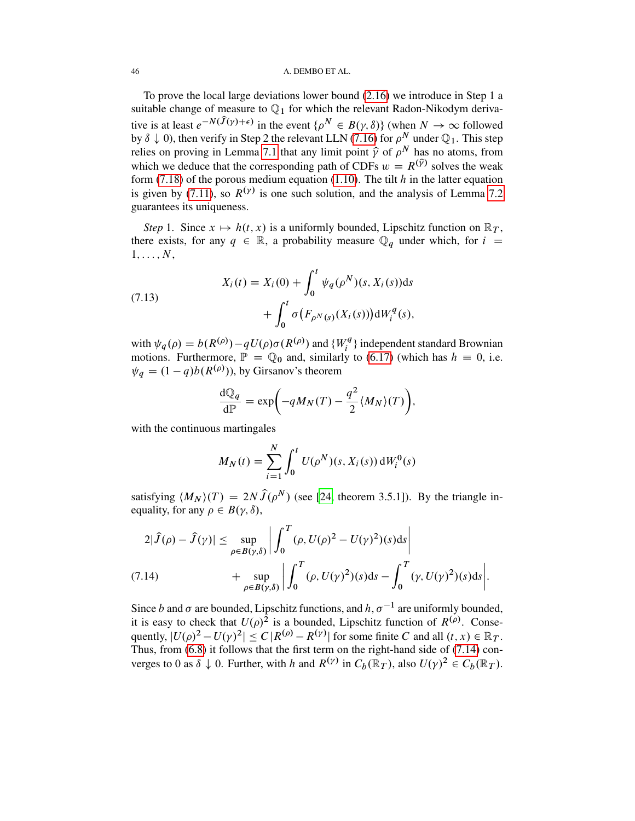### 46 A. DEMBO ET AL.

To prove the local large deviations lower bound [\(2.16\)](#page-8-9) we introduce in Step 1 a suitable change of measure to  $\mathbb{Q}_1$  for which the relevant Radon-Nikodym derivative is at least  $e^{-N(\hat{J}(\gamma)+\epsilon)}$  in the event  $\{\rho^N \in B(\gamma,\delta)\}\$  (when  $N \to \infty$  followed by  $\delta \downarrow 0$ ), then verify in Step 2 the relevant LLN [\(7.16\)](#page-46-0) for  $\rho^N$  under  $\mathbb{Q}_1$ . This step relies on proving in Lemma [7.1](#page-47-0) that any limit point  $\hat{\gamma}$  of  $\rho^N$  has no atoms, from which we deduce that the corresponding path of CDFs  $w = R^{(\hat{y})}$  solves the weak form [\(7.18\)](#page-47-1) of the porous medium equation [\(1.10\)](#page-4-0). The tilt  $h$  in the latter equation is given by [\(7.11\)](#page-44-4), so  $R^{(\gamma)}$  is one such solution, and the analysis of Lemma [7.2](#page-48-0) guarantees its uniqueness.

*Step* 1. Since  $x \mapsto h(t, x)$  is a uniformly bounded, Lipschitz function on  $\mathbb{R}_T$ , there exists, for any  $q \in \mathbb{R}$ , a probability measure  $\mathbb{Q}_q$  under which, for  $i =$  $1, \ldots, N$ ,

<span id="page-45-1"></span>(7.13)  

$$
X_i(t) = X_i(0) + \int_0^t \psi_q(\rho^N)(s, X_i(s))ds + \int_0^t \sigma(F_{\rho^N(s)}(X_i(s)))dW_i^q(s),
$$

with  $\psi_q(\rho) = b(R^{(\rho)}) - qU(\rho)\sigma(R^{(\rho)})$  and  $\{W_i^q\}$  $\mathcal{F}_i^q$ } independent standard Brownian motions. Furthermore,  $\mathbb{P} = \mathbb{Q}_0$  and, similarly to [\(6.17\)](#page-36-2) (which has  $h \equiv 0$ , i.e.  $\psi_q = (1 - q)b(R^{(\rho)}))$ , by Girsanov's theorem

$$
\frac{\mathrm{d}\mathbb{Q}_q}{\mathrm{d}\mathbb{P}} = \exp\biggl(-qM_N(T) - \frac{q^2}{2} \langle M_N \rangle(T)\biggr),\,
$$

with the continuous martingales

$$
M_N(t) = \sum_{i=1}^N \int_0^t U(\rho^N)(s, X_i(s)) dW_i^0(s)
$$

satisfying  $\langle M_N \rangle(T) = 2N\hat{J}(\rho^N)$  (see [\[24,](#page-53-12) theorem 3.5.1]). By the triangle inequality, for any  $\rho \in B(\gamma, \delta)$ ,

<span id="page-45-0"></span>
$$
2|\widehat{J}(\rho) - \widehat{J}(\gamma)| \le \sup_{\rho \in B(\gamma,\delta)} \left| \int_0^T (\rho, U(\rho)^2 - U(\gamma)^2)(s) \, ds \right|
$$
\n
$$
+ \sup_{\rho \in B(\gamma,\delta)} \left| \int_0^T (\rho, U(\gamma)^2)(s) \, ds - \int_0^T (\gamma, U(\gamma)^2)(s) \, ds \right|.
$$

Since b and  $\sigma$  are bounded, Lipschitz functions, and  $h, \sigma^{-1}$  are uniformly bounded, it is easy to check that  $U(\rho)^2$  is a bounded, Lipschitz function of  $R^{(\rho)}$ . Consequently,  $|U(\rho)^2 - U(\gamma)^2| \le C |R^{(\rho)} - R^{(\gamma)}|$  for some finite C and all  $(t, x) \in \mathbb{R}_T$ . Thus, from [\(6.8\)](#page-33-0) it follows that the first term on the right-hand side of [\(7.14\)](#page-45-0) converges to 0 as  $\delta \downarrow 0$ . Further, with h and  $R^{(\gamma)}$  in  $C_b(\mathbb{R}_T)$ , also  $U(\gamma)^2 \in C_b(\mathbb{R}_T)$ .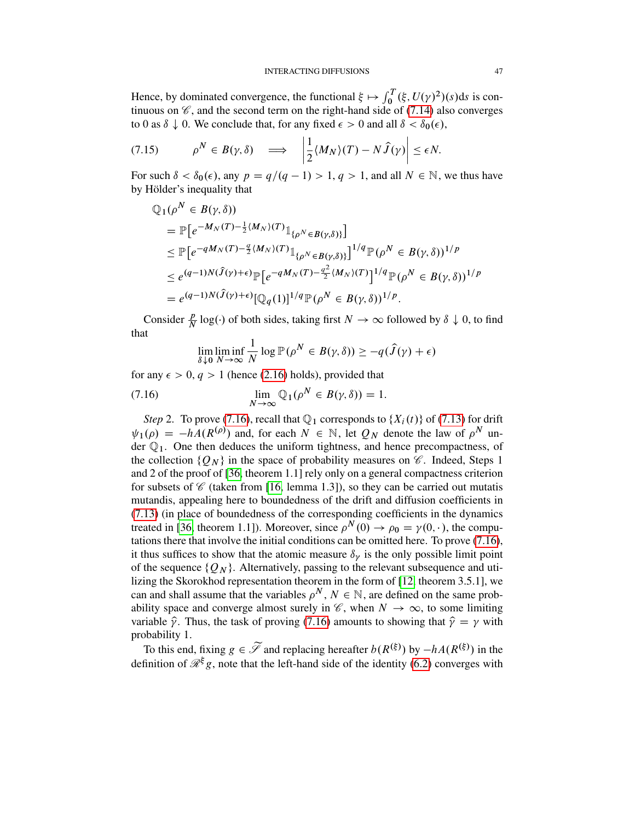Hence, by dominated convergence, the functional  $\xi \mapsto \int_0^T (\xi, U(\gamma)^2)(s)ds$  is continuous on  $\mathscr{C}$ , and the second term on the right-hand side of [\(7.14\)](#page-45-0) also converges to 0 as  $\delta \downarrow$  0. We conclude that, for any fixed  $\epsilon > 0$  and all  $\delta < \delta_0(\epsilon)$ ,

$$
(7.15) \t\t \rho^N \in B(\gamma, \delta) \implies \left|\frac{1}{2}\langle M_N\rangle(T) - N\,\hat{J}(\gamma)\right| \leq \epsilon N.
$$

For such  $\delta < \delta_0(\epsilon)$ , any  $p = q/(q - 1) > 1, q > 1$ , and all  $N \in \mathbb{N}$ , we thus have by Hölder's inequality that

$$
\begin{split} \mathbb{Q}_{1}(\rho^{N} \in B(\gamma,\delta)) \\ &= \mathbb{P}\big[e^{-M_{N}(T)-\frac{1}{2}\langle M_{N}\rangle(T)}\mathbb{1}_{\{\rho^{N} \in B(\gamma,\delta)\}}\big] \\ &\leq \mathbb{P}\big[e^{-qM_{N}(T)-\frac{q}{2}\langle M_{N}\rangle(T)}\mathbb{1}_{\{\rho^{N} \in B(\gamma,\delta)\}}\big]^{1/q}\mathbb{P}(\rho^{N} \in B(\gamma,\delta))^{1/p} \\ &\leq e^{(q-1)N(\hat{J}(\gamma)+\epsilon)}\mathbb{P}\big[e^{-qM_{N}(T)-\frac{q^{2}}{2}\langle M_{N}\rangle(T)}\big]^{1/q}\mathbb{P}(\rho^{N} \in B(\gamma,\delta))^{1/p} \\ &= e^{(q-1)N(\hat{J}(\gamma)+\epsilon)}[\mathbb{Q}_{q}(1)]^{1/q}\mathbb{P}(\rho^{N} \in B(\gamma,\delta))^{1/p} .\end{split}
$$

Consider  $\frac{p}{N} \log(\cdot)$  of both sides, taking first  $N \to \infty$  followed by  $\delta \downarrow 0$ , to find that

<span id="page-46-0"></span>
$$
\lim_{\delta \downarrow 0} \liminf_{N \to \infty} \frac{1}{N} \log \mathbb{P}(\rho^N \in B(\gamma, \delta)) \ge -q(\widehat{J}(\gamma) + \epsilon)
$$

for any  $\epsilon > 0$ ,  $q > 1$  (hence [\(2.16\)](#page-8-9) holds), provided that

(7.16) 
$$
\lim_{N \to \infty} \mathbb{Q}_1(\rho^N \in B(\gamma, \delta)) = 1.
$$

*Step* 2. To prove [\(7.16\)](#page-46-0), recall that  $\mathbb{Q}_1$  corresponds to  $\{X_i(t)\}\$  of [\(7.13\)](#page-45-1) for drift  $\psi_1(\rho) = -hA(R^{(\rho)})$  and, for each  $N \in \mathbb{N}$ , let  $Q_N$  denote the law of  $\rho^N$  under  $\mathbb{Q}_1$ . One then deduces the uniform tightness, and hence precompactness, of the collection  $\{Q_N\}$  in the space of probability measures on  $\mathscr C$ . Indeed, Steps 1 and 2 of the proof of [\[36,](#page-53-3) theorem 1.1] rely only on a general compactness criterion for subsets of  $\mathscr C$  (taken from [\[16,](#page-52-16) lemma 1.3]), so they can be carried out mutatis mutandis, appealing here to boundedness of the drift and diffusion coefficients in [\(7.13\)](#page-45-1) (in place of boundedness of the corresponding coefficients in the dynamics treated in [\[36,](#page-53-3) theorem 1.1]). Moreover, since  $\rho^{N}(0) \to \rho_0 = \gamma(0, \cdot)$ , the computations there that involve the initial conditions can be omitted here. To prove [\(7.16\)](#page-46-0), it thus suffices to show that the atomic measure  $\delta_{\gamma}$  is the only possible limit point of the sequence  $\{Q_N\}$ . Alternatively, passing to the relevant subsequence and utilizing the Skorokhod representation theorem in the form of [\[12,](#page-52-17) theorem 3.5.1], we can and shall assume that the variables  $\rho^N$ ,  $N \in \mathbb{N}$ , are defined on the same probability space and converge almost surely in  $\mathscr{C}$ , when  $N \to \infty$ , to some limiting variable  $\hat{\gamma}$ . Thus, the task of proving [\(7.16\)](#page-46-0) amounts to showing that  $\hat{\gamma} = \gamma$  with probability 1.

To this end, fixing  $g \in \widetilde{\mathscr{S}}$  and replacing hereafter  $b(R^{(\xi)})$  by  $-hA(R^{(\xi)})$  in the definition of  $\mathcal{R}^{\xi}g$ , note that the left-hand side of the identity [\(6.2\)](#page-32-0) converges with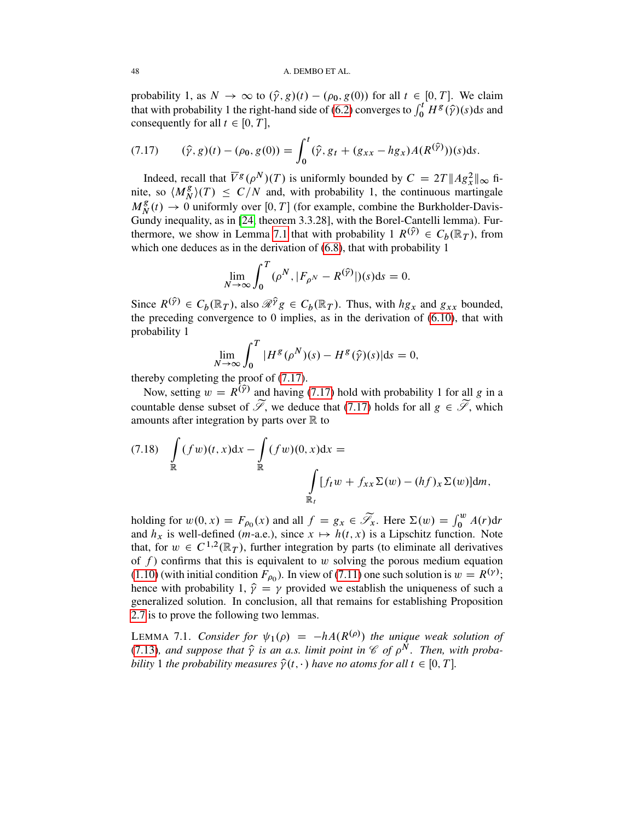#### 48 A. DEMBO ET AL.

probability 1, as  $N \to \infty$  to  $(\hat{\gamma}, g)(t) - (\rho_0, g(0))$  for all  $t \in [0, T]$ . We claim that with probability 1 the right-hand side of [\(6.2\)](#page-32-0) converges to  $\int_0^t H^g(\hat{y})(s)ds$  and consequently for all  $t \in [0, T]$ ,

<span id="page-47-2"></span>
$$
(7.17) \qquad (\hat{\gamma}, g)(t) - (\rho_0, g(0)) = \int_0^t (\hat{\gamma}, g_t + (g_{xx} - hg_x)A(R^{(\hat{\gamma})}))(s)ds.
$$

Indeed, recall that  $\overline{V}^g(\rho^N)(T)$  is uniformly bounded by  $C = 2T ||Ag_x^2||_{\infty}$  finite, so  $\langle M_N^g \rangle$  $\binom{g}{N}(T) \leq C/N$  and, with probability 1, the continuous martingale  $M_N^g$  $N(R(t) \rightarrow 0$  uniformly over [0, T] (for example, combine the Burkholder-Davis-Gundy inequality, as in [\[24,](#page-53-12) theorem 3.3.28], with the Borel-Cantelli lemma). Fur-thermore, we show in Lemma [7.1](#page-47-0) that with probability  $1 R^{(\hat{y})} \in C_b(\mathbb{R}_T)$ , from which one deduces as in the derivation of  $(6.8)$ , that with probability 1

$$
\lim_{N \to \infty} \int_0^T (\rho^N, |F_{\rho^N} - R^{(\widehat{\gamma})}|)(s) \mathrm{d} s = 0.
$$

Since  $R^{(\hat{y})} \in C_b(\mathbb{R}_T)$ , also  $\hat{\mathcal{R}}^{\hat{y}} g \in C_b(\mathbb{R}_T)$ . Thus, with  $hg_x$  and  $g_{xx}$  bounded, the preceding convergence to 0 implies, as in the derivation of [\(6.10\)](#page-34-0), that with probability 1

$$
\lim_{N \to \infty} \int_0^T |H^g(\rho^N)(s) - H^g(\hat{\gamma})(s)| \mathrm{d} s = 0,
$$

thereby completing the proof of [\(7.17\)](#page-47-2).

Now, setting  $w = R^{(\hat{y})}$  and having [\(7.17\)](#page-47-2) hold with probability 1 for all g in a countable dense subset of  $\widetilde{\mathscr{S}}$ , we deduce that [\(7.17\)](#page-47-2) holds for all  $g \in \widetilde{\mathscr{S}}$ , which amounts after integration by parts over  $\mathbb R$  to

<span id="page-47-1"></span>
$$
(7.18) \quad \int_{\mathbb{R}} (fw)(t,x)dx - \int_{\mathbb{R}} (fw)(0,x)dx =
$$

$$
\int_{\mathbb{R}_t} [f_t w + f_{xx} \Sigma(w) - (hf)_x \Sigma(w)]dm,
$$

holding for  $w(0, x) = F_{\rho_0}(x)$  and all  $f = g_x \in \widetilde{\mathscr{S}}_x$ . Here  $\Sigma(w) = \int_0^w A(r) dr$ and  $h_x$  is well-defined (*m*-a.e.), since  $x \mapsto h(t, x)$  is a Lipschitz function. Note that, for  $w \in C^{1,2}(\mathbb{R}_T)$ , further integration by parts (to eliminate all derivatives of  $f$ ) confirms that this is equivalent to w solving the porous medium equation [\(1.10\)](#page-4-0) (with initial condition  $F_{\rho_0}$ ). In view of [\(7.11\)](#page-44-4) one such solution is  $w = R^{(\gamma)}$ ; hence with probability 1,  $\hat{\gamma} = \gamma$  provided we establish the uniqueness of such a generalized solution. In conclusion, all that remains for establishing Proposition [2.7](#page-8-1) is to prove the following two lemmas.

<span id="page-47-0"></span>LEMMA 7.1. *Consider for*  $\psi_1(\rho) = -hA(R^{(\rho)})$  *the unique weak solution of* [\(7.13\)](#page-45-1), and suppose that  $\hat{\gamma}$  is an a.s. limit point in  $\mathscr{C}$  of  $\rho^{\tilde{N}}$ . Then, with proba*bility* 1 *the probability measures*  $\hat{\gamma}(t, \cdot)$  *have no atoms for all*  $t \in [0, T]$ *.*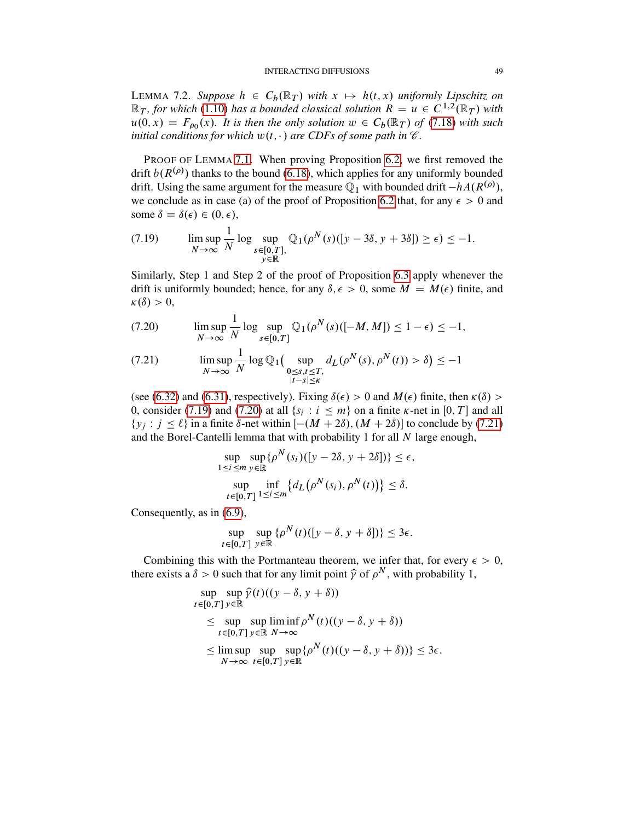#### INTERACTING DIFFUSIONS 49

<span id="page-48-0"></span>LEMMA 7.2. Suppose  $h \in C_b(\mathbb{R}_T)$  with  $x \mapsto h(t, x)$  uniformly Lipschitz on  $\mathbb{R}_T$ , for which [\(1.10\)](#page-4-0) has a bounded classical solution  $R = u \in C^{1,2}(\mathbb{R}_T)$  with  $u(0, x) = F_{\rho_0}(x)$ . It is then the only solution  $w \in C_b(\mathbb{R}_T)$  of [\(7.18\)](#page-47-1) with such *initial conditions for which*  $w(t, \cdot)$  *are CDFs of some path in*  $\mathscr{C}$ *.* 

PROOF OF LEMMA [7.1.](#page-47-0) When proving Proposition [6.2,](#page-36-3) we first removed the drift  $b(R^{(\rho)})$  thanks to the bound [\(6.18\)](#page-37-3), which applies for any uniformly bounded drift. Using the same argument for the measure  $\mathbb{Q}_1$  with bounded drift  $-hA(R^{(\rho)}),$ we conclude as in case (a) of the proof of Proposition [6.2](#page-36-3) that, for any  $\epsilon > 0$  and some  $\delta = \delta(\epsilon) \in (0, \epsilon),$ 

<span id="page-48-1"></span>
$$
(7.19) \qquad \limsup_{N \to \infty} \frac{1}{N} \log \sup_{\substack{s \in [0, T], \\ y \in \mathbb{R}}} \mathbb{Q}_1(\rho^N(s)([y - 3\delta, y + 3\delta]) \ge \epsilon) \le -1.
$$

Similarly, Step 1 and Step 2 of the proof of Proposition [6.3](#page-40-5) apply whenever the drift is uniformly bounded; hence, for any  $\delta, \epsilon > 0$ , some  $M = M(\epsilon)$  finite, and  $\kappa(\delta) > 0$ ,

<span id="page-48-2"></span>
$$
(7.20) \qquad \limsup_{N \to \infty} \frac{1}{N} \log \sup_{s \in [0,T]} \mathbb{Q}_1(\rho^N(s)([-M,M]) \le 1 - \epsilon) \le -1,
$$

<span id="page-48-3"></span>
$$
(7.21) \qquad \limsup_{N \to \infty} \frac{1}{N} \log \mathbb{Q}_1\left(\sup_{\substack{0 \le s,t \le T, \\ |t-s| \le \kappa}} d_L(\rho^N(s), \rho^N(t)) > \delta\right) \le -1
$$

(see [\(6.32\)](#page-40-2) and [\(6.31\)](#page-40-4), respectively). Fixing  $\delta(\epsilon) > 0$  and  $M(\epsilon)$  finite, then  $\kappa(\delta)$ 0, consider [\(7.19\)](#page-48-1) and [\(7.20\)](#page-48-2) at all  $\{s_i : i \leq m\}$  on a finite  $\kappa$ -net in [0, T] and all  $\{y_i : j \leq \ell\}$  in a finite  $\delta$ -net within  $[-(M + 2\delta), (M + 2\delta)]$  to conclude by [\(7.21\)](#page-48-3) and the Borel-Cantelli lemma that with probability 1 for all  $N$  large enough,

$$
\sup_{1 \le i \le m} \sup_{y \in \mathbb{R}} \{\rho^N(s_i) ([y - 2\delta, y + 2\delta])\} \le \epsilon,
$$
  
\n
$$
\sup_{t \in [0,T]} \inf_{1 \le i \le m} \{d_L(\rho^N(s_i), \rho^N(t))\} \le \delta.
$$

Consequently, as in [\(6.9\)](#page-34-2),

$$
\sup_{t \in [0,T]} \sup_{y \in \mathbb{R}} {\{\rho^N(t) ([y - \delta, y + \delta])\}} \le 3\epsilon.
$$

Combining this with the Portmanteau theorem, we infer that, for every  $\epsilon > 0$ , there exists a  $\delta > 0$  such that for any limit point  $\hat{\gamma}$  of  $\rho^N$ , with probability 1,

$$
\sup_{t \in [0,T]} \sup_{y \in \mathbb{R}} \hat{\gamma}(t)((y - \delta, y + \delta))
$$
\n
$$
\leq \sup_{t \in [0,T]} \sup_{y \in \mathbb{R}} \liminf_{N \to \infty} \rho^N(t)((y - \delta, y + \delta))
$$
\n
$$
\leq \limsup_{N \to \infty} \sup_{t \in [0,T]} \sup_{y \in \mathbb{R}} \{\rho^N(t)((y - \delta, y + \delta))\} \leq 3\epsilon.
$$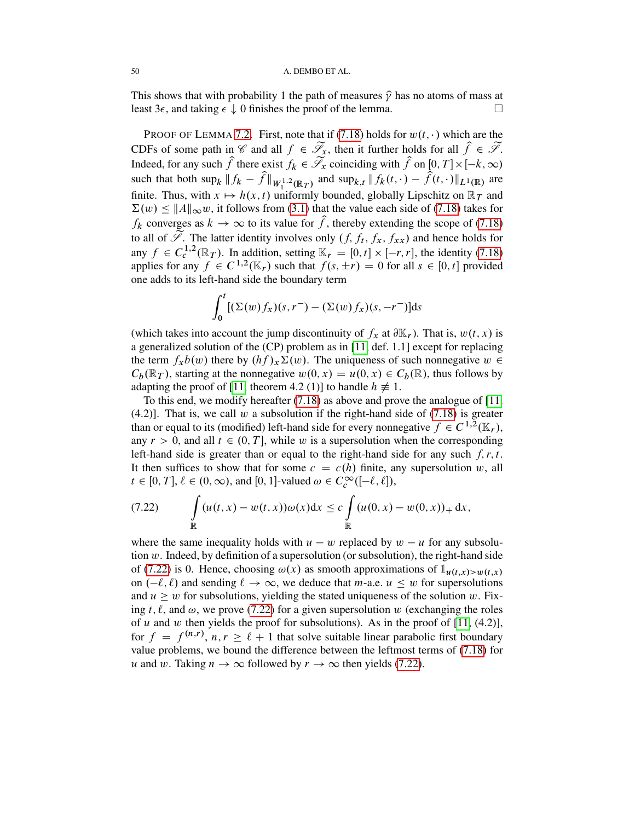This shows that with probability 1 the path of measures  $\hat{\gamma}$  has no atoms of mass at least  $3\epsilon$ , and taking  $\epsilon \downarrow 0$  finishes the proof of the lemma.

PROOF OF LEMMA [7.2.](#page-48-0) First, note that if [\(7.18\)](#page-47-1) holds for  $w(t, \cdot)$  which are the CDFs of some path in  $\mathscr C$  and all  $f \in \widetilde{\mathscr L}_x$ , then it further holds for all  $\widehat f \in \widetilde{\mathscr L}$ . Indeed, for any such  $\hat{f}$  there exist  $f_k \in \tilde{\mathscr{S}}_x$  coinciding with  $\hat{f}$  on  $[0, T] \times [-k, \infty)$ such that both  $\sup_k ||f_k - \hat{f}||_{W_1^{1,2}(\mathbb{R}_T)}$  and  $\sup_{k,t} ||f_k(t,\cdot) - \hat{f}(t,\cdot)||_{L^1(\mathbb{R})}$  are finite. Thus, with  $x \mapsto h(x, t)$  uniformly bounded, globally Lipschitz on  $\mathbb{R}_T$  and  $\sum(w) \leq ||A||_{\infty}w$ , it follows from [\(3.1\)](#page-9-2) that the value each side of [\(7.18\)](#page-47-1) takes for  $f_k$  converges as  $k \to \infty$  to its value for  $\hat{f}$ , thereby extending the scope of [\(7.18\)](#page-47-1) to all of S. The latter identity involves only  $(f, f_t, f_x, f_{xx})$  and hence holds for any  $f \in C_c^{1,2}(\mathbb{R}_T)$ . In addition, setting  $\mathbb{K}_r = [0, t] \times [-r, r]$ , the identity [\(7.18\)](#page-47-1) applies for any  $f \in C^{1,2}(\mathbb{K}_r)$  such that  $f(s, \pm r) = 0$  for all  $s \in [0, t]$  provided one adds to its left-hand side the boundary term

$$
\int_0^t [(\Sigma(w) f_x)(s, r^-) - (\Sigma(w) f_x)(s, -r^-)] \mathrm{d}s
$$

(which takes into account the jump discontinuity of  $f_x$  at  $\partial \mathbb{K}_r$ ). That is,  $w(t, x)$  is a generalized solution of the (CP) problem as in [\[11,](#page-52-18) def. 1.1] except for replacing the term  $f_xb(w)$  there by  $(hf)_x\Sigma(w)$ . The uniqueness of such nonnegative  $w \in$  $C_b(\mathbb{R}_T)$ , starting at the nonnegative  $w(0, x) = u(0, x) \in C_b(\mathbb{R})$ , thus follows by adapting the proof of [\[11,](#page-52-18) theorem 4.2 (1)] to handle  $h \neq 1$ .

To this end, we modify hereafter [\(7.18\)](#page-47-1) as above and prove the analogue of [\[11,](#page-52-18)  $(4.2)$ ]. That is, we call w a subsolution if the right-hand side of  $(7.18)$  is greater than or equal to its (modified) left-hand side for every nonnegative  $f \in C^{1,2}(\mathbb{K}_r)$ , any  $r > 0$ , and all  $t \in (0, T]$ , while w is a supersolution when the corresponding left-hand side is greater than or equal to the right-hand side for any such  $f, r, t$ . It then suffices to show that for some  $c = c(h)$  finite, any supersolution w, all  $t \in [0, T]$ ,  $\ell \in (0, \infty)$ , and  $[0, 1]$ -valued  $\omega \in C_c^{\infty}([-\ell, \ell])$ ,

<span id="page-49-0"></span>(7.22) 
$$
\int_{\mathbb{R}} (u(t,x) - w(t,x))\omega(x)dx \leq c \int_{\mathbb{R}} (u(0,x) - w(0,x))_{+} dx,
$$

where the same inequality holds with  $u - w$  replaced by  $w - u$  for any subsolution  $w$ . Indeed, by definition of a supersolution (or subsolution), the right-hand side of [\(7.22\)](#page-49-0) is 0. Hence, choosing  $\omega(x)$  as smooth approximations of  $\mathbb{1}_{u(t,x)>w(t,x)}$ on  $(-\ell, \ell)$  and sending  $\ell \to \infty$ , we deduce that *m*-a.e.  $u \leq w$  for supersolutions and  $u \geq w$  for subsolutions, yielding the stated uniqueness of the solution w. Fixing t,  $\ell$ , and  $\omega$ , we prove [\(7.22\)](#page-49-0) for a given supersolution w (exchanging the roles of u and w then yields the proof for subsolutions). As in the proof of  $[11, (4.2)]$  $[11, (4.2)]$ , for  $f = f^{(n,r)}$ ,  $n, r \ge \ell + 1$  that solve suitable linear parabolic first boundary value problems, we bound the difference between the leftmost terms of [\(7.18\)](#page-47-1) for u and w. Taking  $n \to \infty$  followed by  $r \to \infty$  then yields [\(7.22\)](#page-49-0).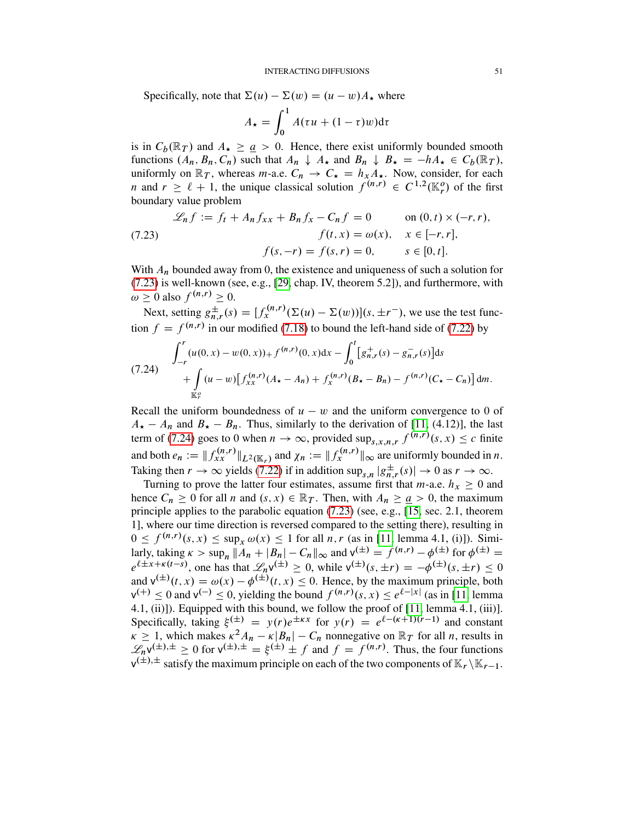Specifically, note that  $\Sigma(u) - \Sigma(w) = (u - w)A_{\star}$  where

$$
A_{\star} = \int_0^1 A(\tau u + (1 - \tau)w) d\tau
$$

is in  $C_b(\mathbb{R}_T)$  and  $A_{\star} \ge a > 0$ . Hence, there exist uniformly bounded smooth functions  $(A_n, B_n, C_n)$  such that  $A_n \downarrow A_\star$  and  $B_n \downarrow B_\star = -hA_\star \in C_b(\mathbb{R}_T)$ , uniformly on  $\mathbb{R}_T$ , whereas *m*-a.e.  $C_n \to C_{\star} = h_x A_{\star}$ . Now, consider, for each *n* and  $r \ge \ell + 1$ , the unique classical solution  $f^{(n,r)} \in C^{1,2}(\mathbb{K}_r^o)$  of the first boundary value problem

<span id="page-50-0"></span>(7.23) 
$$
\mathcal{L}_n f := f_t + A_n f_{xx} + B_n f_x - C_n f = 0 \quad \text{on } (0, t) \times (-r, r),
$$

$$
f(t, x) = \omega(x), \quad x \in [-r, r],
$$

$$
f(s, -r) = f(s, r) = 0, \quad s \in [0, t].
$$

With  $A_n$  bounded away from 0, the existence and uniqueness of such a solution for [\(7.23\)](#page-50-0) is well-known (see, e.g., [\[29,](#page-53-7) chap. IV, theorem 5.2]), and furthermore, with  $\omega \geq 0$  also  $f^{(n,r)} \geq 0$ .

Next, setting  $g_{n,r}^{\pm}(s) = [f_x^{(n,r)}(\Sigma(u) - \Sigma(w))](s, \pm r^{-})$ , we use the test function  $f = f^{(n,r)}$  in our modified [\(7.18\)](#page-47-1) to bound the left-hand side of [\(7.22\)](#page-49-0) by

<span id="page-50-1"></span>
$$
(7.24) \int_{-r}^{r} (u(0, x) - w(0, x)) + f^{(n, r)}(0, x) dx - \int_{0}^{t} [g_{n, r}^{+}(s) - g_{n, r}^{-}(s)] ds
$$
  
+ 
$$
\int_{\mathbb{K}_{r}^{0}} (u - w) [f_{xx}^{(n, r)}(A_{\star} - A_{n}) + f_{x}^{(n, r)}(B_{\star} - B_{n}) - f^{(n, r)}(C_{\star} - C_{n})] dm.
$$

Recall the uniform boundedness of  $u - w$  and the uniform convergence to 0 of  $A_{\star} - A_n$  and  $B_{\star} - B_n$ . Thus, similarly to the derivation of [\[11,](#page-52-18) (4.12)], the last term of [\(7.24\)](#page-50-1) goes to 0 when  $n \to \infty$ , provided sup<sub>s,x,n,r</sub>  $f^{(n,r)}(s, x) \leq c$  finite and both  $e_n := || f_{xx}^{(n,r)} ||_{L^2(\mathbb{K}_r)}$  and  $\chi_n := || f_x^{(n,r)} ||_{\infty}$  are uniformly bounded in n. Taking then  $r \to \infty$  yields [\(7.22\)](#page-49-0) if in addition sup<sub>s,n</sub>  $|g_{n,r}^{\pm}(s)| \to 0$  as  $r \to \infty$ .

Turning to prove the latter four estimates, assume first that  $m$ -a.e.  $h_x \ge 0$  and hence  $C_n \ge 0$  for all n and  $(s, x) \in \mathbb{R}_T$ . Then, with  $A_n \ge \underline{a} > 0$ , the maximum principle applies to the parabolic equation [\(7.23\)](#page-50-0) (see, e.g., [\[15,](#page-52-19) sec. 2.1, theorem 1], where our time direction is reversed compared to the setting there), resulting in  $0 \le f^{(n,r)}(s, x) \le \sup_x \omega(x) \le 1$  for all n, r (as in [\[11,](#page-52-18) lemma 4.1, (i)]). Similarly, taking  $\kappa > \sup_n ||A_n + |B_n| - C_n ||_{\infty}$  and  $v^{(\pm)} = f^{(n,r)} - \phi^{(\pm)}$  for  $\phi^{(\pm)} =$  $e^{\ell \pm x + \kappa(t-s)}$ , one has that  $\mathcal{L}_n v^{(\pm)} \geq 0$ , while  $v^{(\pm)}(s, \pm r) = -\phi^{(\pm)}(s, \pm r) \leq 0$ and  $v^{(\pm)}(t, x) = \omega(x) - \phi^{(\pm)}(t, x) \leq 0$ . Hence, by the maximum principle, both  $v^{(+)} \le 0$  and  $v^{(-)} \le 0$ , yielding the bound  $f^{(n,r)}(s, x) \le e^{\ell-|x|}$  (as in [\[11,](#page-52-18) lemma 4.1, (ii)]). Equipped with this bound, we follow the proof of [\[11,](#page-52-18) lemma 4.1, (iii)]. Specifically, taking  $\xi^{(\pm)} = y(r)e^{\pm \kappa x}$  for  $y(r) = e^{\ell - (\kappa + 1)(r-1)}$  and constant  $\kappa \geq 1$ , which makes  $\kappa^2 A_n - \kappa |B_n| - C_n$  nonnegative on  $\mathbb{R}_T$  for all *n*, results in  $\mathscr{L}_n v^{(\pm),\pm} \geq 0$  for  $v^{(\pm),\pm} = \xi^{(\pm)} \pm f$  and  $f = f^{(n,r)}$ . Thus, the four functions  $v^{(\pm),\pm}$  satisfy the maximum principle on each of the two components of  $\mathbb{K}_r \setminus \mathbb{K}_{r-1}$ .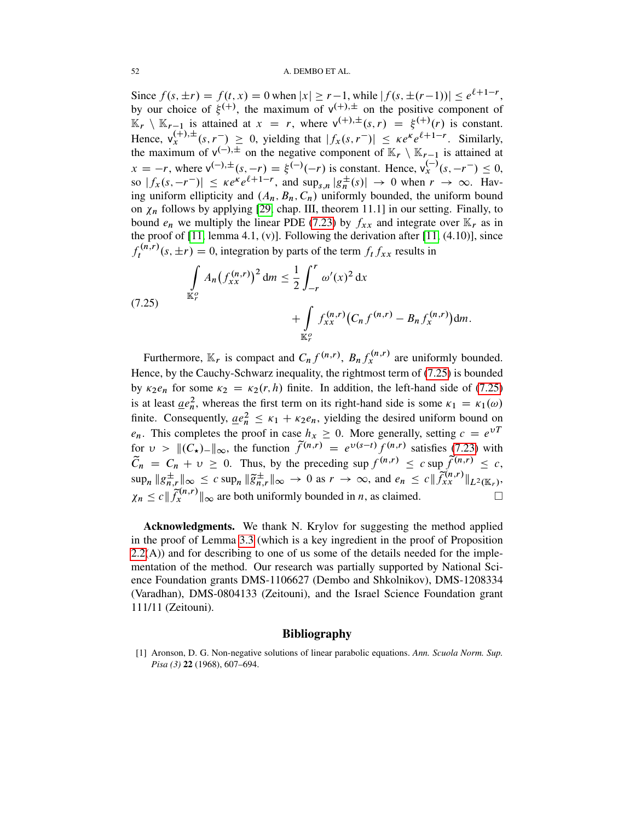### 52 A. DEMBO ET AL.

Since  $f(s, \pm r) = f(t, x) = 0$  when  $|x| \ge r-1$ , while  $|f(s, \pm (r-1))| \le e^{\ell+1-r}$ , by our choice of  $\xi^{(+)}$ , the maximum of  $v^{(+)}$  on the positive component of  $\mathbb{K}_r \setminus \mathbb{K}_{r-1}$  is attained at  $x = r$ , where  $v^{(+),\pm}(s,r) = \xi^{(+)}(r)$  is constant. Hence,  $\mathsf{v}_x^{(+),\pm}(s,r^-) \geq 0$ , yielding that  $|f_x(s,r^-)| \leq \kappa e^{\kappa} e^{\ell+1-r}$ . Similarly, the maximum of  $v^{(-)}$ .  $\pm$  on the negative component of  $\mathbb{K}_r \setminus \mathbb{K}_{r-1}$  is attained at  $x = -r$ , where  $v^{(-)} \pm (s, -r) = \xi^{(-)}(-r)$  is constant. Hence,  $v_x^{(-)}(s, -r^-) \le 0$ , so  $|f_x(s, -r^{-})| \le \kappa e^{\kappa} e^{\ell+1-r}$ , and  $\sup_{s,n} |g_n^{\pm}|$  $\frac{1}{n}(s)$   $\rightarrow$  0 when  $r \rightarrow \infty$ . Having uniform ellipticity and  $(A_n, B_n, C_n)$  uniformly bounded, the uniform bound on  $\chi_n$  follows by applying [\[29,](#page-53-7) chap. III, theorem 11.1] in our setting. Finally, to bound  $e_n$  we multiply the linear PDE [\(7.23\)](#page-50-0) by  $f_{xx}$  and integrate over  $\mathbb{K}_r$  as in the proof of [\[11,](#page-52-18) lemma 4.1, (v)]. Following the derivation after [\[11,](#page-52-18) (4.10)], since  $f_t^{(n,r)}$  $t_t^{(n,r)}(s,\pm r) = 0$ , integration by parts of the term  $f_t f_{xx}$  results in

<span id="page-51-1"></span>(7.25) 
$$
\int_{\mathbb{K}_r^o} A_n (f_{xx}^{(n,r)})^2 dm \leq \frac{1}{2} \int_{-r}^r \omega'(x)^2 dx + \int_{\mathbb{K}_r^o} f_{xx}^{(n,r)} (C_n f^{(n,r)} - B_n f_x^{(n,r)}) dm.
$$

Furthermore,  $\mathbb{K}_r$  is compact and  $C_n f^{(n,r)}$ ,  $B_n f_x^{(n,r)}$  are uniformly bounded. Hence, by the Cauchy-Schwarz inequality, the rightmost term of [\(7.25\)](#page-51-1) is bounded by  $\kappa_2 e_n$  for some  $\kappa_2 = \kappa_2(r, h)$  finite. In addition, the left-hand side of [\(7.25\)](#page-51-1) is at least  $\mu e_n^2$ , whereas the first term on its right-hand side is some  $\kappa_1 = \kappa_1(\omega)$ finite. Consequently,  $\underline{ae}_n^2 \leq \kappa_1 + \kappa_2 e_n$ , yielding the desired uniform bound on  $e_n$ . This completes the proof in case  $h_x \ge 0$ . More generally, setting  $c = e^{\nu T}$ for  $v > ||(C_{\star})_{-}||_{\infty}$ , the function  $\tilde{f}^{(n,r)} = e^{v(s-t)} f^{(n,r)}$  satisfies [\(7.23\)](#page-50-0) with  $\widetilde{C}_n = C_n + v \ge 0$ . Thus, by the preceding sup  $f^{(n,r)} \le c$  sup  $\widetilde{f}^{(n,r)} \le c$ ,  $\lim_{n \to \infty} \|g_{n,r}^{\pm}\|_{\infty} \leq c \sup_{n} \|\widetilde{g}_{n,r}^{\pm}\|_{\infty} \to 0 \text{ as } r \to \infty, \text{ and } e_n \leq c \|\widetilde{f}_{xx}^{(n,r)}\|_{L^2(\mathbb{K}_r)},$  $\chi_n \leq c \| \widetilde{f}_x^{(n,r)} \|_{\infty}$  are both uniformly bounded in n, as claimed.

Acknowledgments. We thank N. Krylov for suggesting the method applied in the proof of Lemma [3.3](#page-13-0) (which is a key ingredient in the proof of Proposition [2.2\(](#page-5-0)A)) and for describing to one of us some of the details needed for the implementation of the method. Our research was partially supported by National Science Foundation grants DMS-1106627 (Dembo and Shkolnikov), DMS-1208334 (Varadhan), DMS-0804133 (Zeitouni), and the Israel Science Foundation grant 111/11 (Zeitouni).

### **Bibliography**

<span id="page-51-0"></span>[1] Aronson, D. G. Non-negative solutions of linear parabolic equations. *Ann. Scuola Norm. Sup. Pisa (3)* 22 (1968), 607–694.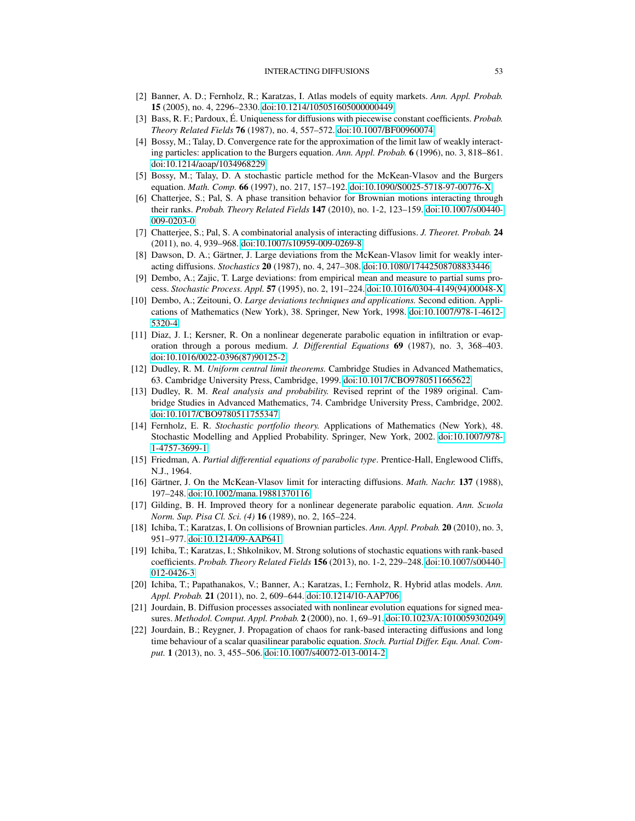- <span id="page-52-14"></span>[2] Banner, A. D.; Fernholz, R.; Karatzas, I. Atlas models of equity markets. *Ann. Appl. Probab.* 15 (2005), no. 4, 2296–2330. [doi:10.1214/105051605000000449](http://dx.doi.org/doi:10.1214/105051605000000449)
- <span id="page-52-0"></span>[3] Bass, R. F.; Pardoux, É. Uniqueness for diffusions with piecewise constant coefficients. *Probab. Theory Related Fields* 76 (1987), no. 4, 557–572. [doi:10.1007/BF00960074](http://dx.doi.org/doi:10.1007/BF00960074)
- <span id="page-52-8"></span>[4] Bossy, M.; Talay, D. Convergence rate for the approximation of the limit law of weakly interacting particles: application to the Burgers equation. *Ann. Appl. Probab.* 6 (1996), no. 3, 818–861. [doi:10.1214/aoap/1034968229](http://dx.doi.org/doi:10.1214/aoap/1034968229)
- <span id="page-52-9"></span>[5] Bossy, M.; Talay, D. A stochastic particle method for the McKean-Vlasov and the Burgers equation. *Math. Comp.* 66 (1997), no. 217, 157–192. [doi:10.1090/S0025-5718-97-00776-X](http://dx.doi.org/doi:10.1090/S0025-5718-97-00776-X)
- <span id="page-52-2"></span>[6] Chatterjee, S.; Pal, S. A phase transition behavior for Brownian motions interacting through their ranks. *Probab. Theory Related Fields* 147 (2010), no. 1-2, 123–159. [doi:10.1007/s00440-](http://dx.doi.org/doi:10.1007/s00440-009-0203-0) [009-0203-0](http://dx.doi.org/doi:10.1007/s00440-009-0203-0)
- <span id="page-52-3"></span>[7] Chatterjee, S.; Pal, S. A combinatorial analysis of interacting diffusions. *J. Theoret. Probab.* 24 (2011), no. 4, 939–968. [doi:10.1007/s10959-009-0269-8](http://dx.doi.org/doi:10.1007/s10959-009-0269-8)
- <span id="page-52-7"></span>[8] Dawson, D. A.; Gärtner, J. Large deviations from the McKean-Vlasov limit for weakly interacting diffusions. *Stochastics* 20 (1987), no. 4, 247–308. [doi:10.1080/17442508708833446](http://dx.doi.org/doi:10.1080/17442508708833446)
- <span id="page-52-13"></span>[9] Dembo, A.; Zajic, T. Large deviations: from empirical mean and measure to partial sums process. *Stochastic Process. Appl.* 57 (1995), no. 2, 191–224. [doi:10.1016/0304-4149\(94\)00048-X](http://dx.doi.org/doi:10.1016/0304-4149(94)00048-X)
- <span id="page-52-11"></span>[10] Dembo, A.; Zeitouni, O. *Large deviations techniques and applications.* Second edition. Applications of Mathematics (New York), 38. Springer, New York, 1998. [doi:10.1007/978-1-4612-](http://dx.doi.org/doi:10.1007/978-1-4612-5320-4) [5320-4](http://dx.doi.org/doi:10.1007/978-1-4612-5320-4)
- <span id="page-52-18"></span>[11] Diaz, J. I.; Kersner, R. On a nonlinear degenerate parabolic equation in infiltration or evaporation through a porous medium. *J. Differential Equations* 69 (1987), no. 3, 368–403. [doi:10.1016/0022-0396\(87\)90125-2](http://dx.doi.org/doi:10.1016/0022-0396(87)90125-2)
- <span id="page-52-17"></span>[12] Dudley, R. M. *Uniform central limit theorems.* Cambridge Studies in Advanced Mathematics, 63. Cambridge University Press, Cambridge, 1999. [doi:10.1017/CBO9780511665622](http://dx.doi.org/doi:10.1017/CBO9780511665622)
- <span id="page-52-12"></span>[13] Dudley, R. M. *Real analysis and probability.* Revised reprint of the 1989 original. Cambridge Studies in Advanced Mathematics, 74. Cambridge University Press, Cambridge, 2002. [doi:10.1017/CBO9780511755347](http://dx.doi.org/doi:10.1017/CBO9780511755347)
- <span id="page-52-1"></span>[14] Fernholz, E. R. *Stochastic portfolio theory.* Applications of Mathematics (New York), 48. Stochastic Modelling and Applied Probability. Springer, New York, 2002. [doi:10.1007/978-](http://dx.doi.org/doi:10.1007/978-1-4757-3699-1) [1-4757-3699-1](http://dx.doi.org/doi:10.1007/978-1-4757-3699-1)
- <span id="page-52-19"></span>[15] Friedman, A. *Partial differential equations of parabolic type*. Prentice-Hall, Englewood Cliffs, N.J., 1964.
- <span id="page-52-16"></span>[16] Gärtner, J. On the McKean-Vlasov limit for interacting diffusions. *Math. Nachr.* 137 (1988), 197–248. [doi:10.1002/mana.19881370116](http://dx.doi.org/doi:10.1002/mana.19881370116)
- <span id="page-52-6"></span>[17] Gilding, B. H. Improved theory for a nonlinear degenerate parabolic equation. *Ann. Scuola Norm. Sup. Pisa Cl. Sci. (4)* 16 (1989), no. 2, 165–224.
- <span id="page-52-4"></span>[18] Ichiba, T.; Karatzas, I. On collisions of Brownian particles. *Ann. Appl. Probab.* 20 (2010), no. 3, 951–977. [doi:10.1214/09-AAP641](http://dx.doi.org/doi:10.1214/09-AAP641)
- [19] Ichiba, T.; Karatzas, I.; Shkolnikov, M. Strong solutions of stochastic equations with rank-based coefficients. *Probab. Theory Related Fields* 156 (2013), no. 1-2, 229–248. [doi:10.1007/s00440-](http://dx.doi.org/doi:10.1007/s00440-012-0426-3) [012-0426-3](http://dx.doi.org/doi:10.1007/s00440-012-0426-3)
- <span id="page-52-5"></span>[20] Ichiba, T.; Papathanakos, V.; Banner, A.; Karatzas, I.; Fernholz, R. Hybrid atlas models. *Ann. Appl. Probab.* 21 (2011), no. 2, 609–644. [doi:10.1214/10-AAP706](http://dx.doi.org/doi:10.1214/10-AAP706)
- <span id="page-52-10"></span>[21] Jourdain, B. Diffusion processes associated with nonlinear evolution equations for signed measures. *Methodol. Comput. Appl. Probab.* 2 (2000), no. 1, 69–91. [doi:10.1023/A:1010059302049](http://dx.doi.org/doi:10.1023/A:1010059302049)
- <span id="page-52-15"></span>[22] Jourdain, B.; Reygner, J. Propagation of chaos for rank-based interacting diffusions and long time behaviour of a scalar quasilinear parabolic equation. *Stoch. Partial Differ. Equ. Anal. Comput.* 1 (2013), no. 3, 455–506. [doi:10.1007/s40072-013-0014-2](http://dx.doi.org/doi:10.1007/s40072-013-0014-2)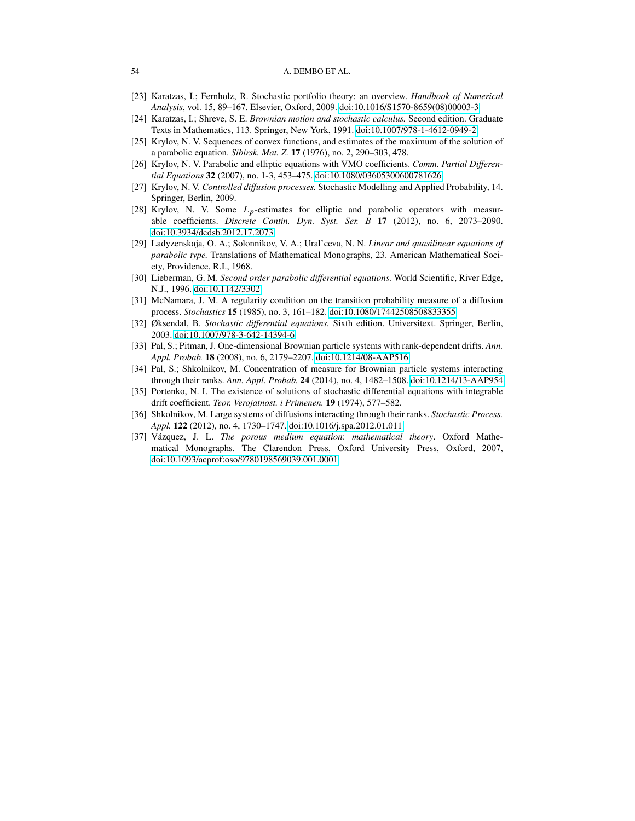#### 54 A. DEMBO ET AL.

- <span id="page-53-0"></span>[23] Karatzas, I.; Fernholz, R. Stochastic portfolio theory: an overview. *Handbook of Numerical Analysis*, vol. 15, 89–167. Elsevier, Oxford, 2009. [doi:10.1016/S1570-8659\(08\)00003-3](http://dx.doi.org/doi:10.1016/S1570-8659(08)00003-3)
- <span id="page-53-12"></span>[24] Karatzas, I.; Shreve, S. E. *Brownian motion and stochastic calculus.* Second edition. Graduate Texts in Mathematics, 113. Springer, New York, 1991. [doi:10.1007/978-1-4612-0949-2](http://dx.doi.org/doi:10.1007/978-1-4612-0949-2)
- <span id="page-53-5"></span>[25] Krylov, N. V. Sequences of convex functions, and estimates of the maximum of the solution of a parabolic equation. *Sibirsk. Mat. Z.* 17 (1976), no. 2, 290–303, 478.
- <span id="page-53-6"></span>[26] Krylov, N. V. Parabolic and elliptic equations with VMO coefficients. *Comm. Partial Differential Equations* 32 (2007), no. 1-3, 453–475. [doi:10.1080/03605300600781626](http://dx.doi.org/doi:10.1080/03605300600781626)
- <span id="page-53-9"></span>[27] Krylov, N. V. *Controlled diffusion processes.* Stochastic Modelling and Applied Probability, 14. Springer, Berlin, 2009.
- <span id="page-53-11"></span>[28] Krylov, N. V. Some Lp-estimates for elliptic and parabolic operators with measurable coefficients. *Discrete Contin. Dyn. Syst. Ser. B* 17 (2012), no. 6, 2073–2090. [doi:10.3934/dcdsb.2012.17.2073](http://dx.doi.org/doi:10.3934/dcdsb.2012.17.2073)
- <span id="page-53-7"></span>[29] Ladyzenskaja, O. A.; Solonnikov, V. A.; Ural'ceva, N. N. *Linear and quasilinear equations of parabolic type.* Translations of Mathematical Monographs, 23. American Mathematical Society, Providence, R.I., 1968.
- <span id="page-53-8"></span>[30] Lieberman, G. M. *Second order parabolic differential equations.* World Scientific, River Edge, N.J., 1996. [doi:10.1142/3302](http://dx.doi.org/doi:10.1142/3302)
- <span id="page-53-14"></span>[31] McNamara, J. M. A regularity condition on the transition probability measure of a diffusion process. *Stochastics* 15 (1985), no. 3, 161–182. [doi:10.1080/17442508508833355](http://dx.doi.org/doi:10.1080/17442508508833355)
- <span id="page-53-13"></span>[32] Øksendal, B. *Stochastic differential equations.* Sixth edition. Universitext. Springer, Berlin, 2003. [doi:10.1007/978-3-642-14394-6](http://dx.doi.org/doi:10.1007/978-3-642-14394-6)
- <span id="page-53-2"></span>[33] Pal, S.; Pitman, J. One-dimensional Brownian particle systems with rank-dependent drifts. *Ann. Appl. Probab.* 18 (2008), no. 6, 2179–2207. [doi:10.1214/08-AAP516](http://dx.doi.org/doi:10.1214/08-AAP516)
- <span id="page-53-1"></span>[34] Pal, S.; Shkolnikov, M. Concentration of measure for Brownian particle systems interacting through their ranks. *Ann. Appl. Probab.* 24 (2014), no. 4, 1482–1508. [doi:10.1214/13-AAP954](http://dx.doi.org/doi:10.1214/13-AAP954)
- <span id="page-53-10"></span>[35] Portenko, N. I. The existence of solutions of stochastic differential equations with integrable drift coefficient. *Teor. Verojatnost. i Primenen.* 19 (1974), 577–582.
- <span id="page-53-3"></span>[36] Shkolnikov, M. Large systems of diffusions interacting through their ranks. *Stochastic Process. Appl.* 122 (2012), no. 4, 1730–1747. [doi:10.1016/j.spa.2012.01.011](http://dx.doi.org/doi:10.1016/j.spa.2012.01.011)
- <span id="page-53-4"></span>[37] Vázquez, J. L. *The porous medium equation*: *mathematical theory*. Oxford Mathematical Monographs. The Clarendon Press, Oxford University Press, Oxford, 2007, [doi:10.1093/acprof:oso/9780198569039.001.0001](http://dx.doi.org/doi:10.1093/acprof:oso/9780198569039.001.0001)